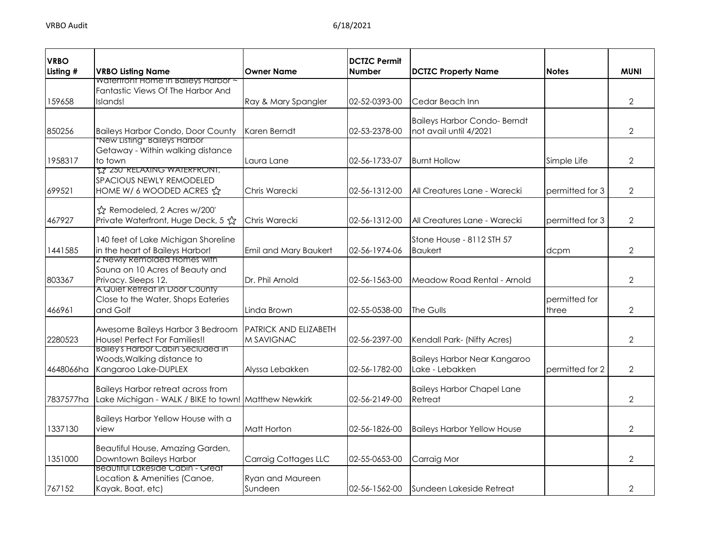| <b>VRBO</b> |                                                                                                   |                                            | <b>DCTZC Permit</b> |                                                               |                        |                |
|-------------|---------------------------------------------------------------------------------------------------|--------------------------------------------|---------------------|---------------------------------------------------------------|------------------------|----------------|
| Listing #   | <b>VRBO Listing Name</b>                                                                          | <b>Owner Name</b>                          | <b>Number</b>       | <b>DCTZC Property Name</b>                                    | <b>Notes</b>           | <b>MUNI</b>    |
|             | Watertront Home In Baileys Harbor ~<br>Fantastic Views Of The Harbor And                          |                                            |                     |                                                               |                        |                |
| 159658      | Islands!                                                                                          | Ray & Mary Spangler                        | 02-52-0393-00       | Cedar Beach Inn                                               |                        | $\overline{2}$ |
|             |                                                                                                   |                                            |                     |                                                               |                        |                |
| 850256      | <b>Baileys Harbor Condo, Door County</b>                                                          | Karen Berndt                               | 02-53-2378-00       | <b>Baileys Harbor Condo- Berndt</b><br>not avail until 4/2021 |                        | $\overline{2}$ |
| 1958317     | "New Listing" Baileys Harbor<br>Getaway - Within walking distance<br>to town                      | Laura Lane                                 | 02-56-1733-07       | <b>Burnt Hollow</b>                                           | Simple Life            | 2              |
| 699521      | <b>TZ 250 RELAXING WAIERFRONI,</b><br>SPACIOUS NEWLY REMODELED<br>HOME W/ 6 WOODED ACRES &        | Chris Warecki                              | 02-56-1312-00       | All Creatures Lane - Warecki                                  | permitted for 3        | $\overline{2}$ |
| 467927      | ☆ Remodeled, 2 Acres w/200'<br>Private Waterfront, Huge Deck, 5 ☆                                 | Chris Warecki                              | 02-56-1312-00       | All Creatures Lane - Warecki                                  | permitted for 3        | $\overline{2}$ |
| 1441585     | 140 feet of Lake Michigan Shoreline<br>in the heart of Baileys Harbor!                            | Emil and Mary Baukert                      | 02-56-1974-06       | Stone House - 8112 STH 57<br><b>Baukert</b>                   | dcpm                   | $\overline{2}$ |
| 803367      | 2 Newly Remolded Homes with<br>Sauna on 10 Acres of Beauty and<br>Privacy. Sleeps 12.             | Dr. Phil Arnold                            | 02-56-1563-00       | Meadow Road Rental - Arnold                                   |                        | $\overline{2}$ |
| 466961      | A Quiet Retreat in Door County<br>Close to the Water, Shops Eateries<br>and Golf                  | Linda Brown                                | 02-55-0538-00       | The Gulls                                                     | permitted for<br>three | $\overline{2}$ |
| 2280523     | Awesome Baileys Harbor 3 Bedroom<br>House! Perfect For Families!!                                 | <b>PATRICK AND ELIZABETH</b><br>M SAVIGNAC | 02-56-2397-00       | Kendall Park- (Nifty Acres)                                   |                        | $\overline{2}$ |
| 4648066ha   | Bailey's Harbor Cabin Secluded in<br>Woods, Walking distance to<br>Kangaroo Lake-DUPLEX           | Alyssa Lebakken                            | 02-56-1782-00       | <b>Baileys Harbor Near Kangaroo</b><br>Lake - Lebakken        | permitted for 2        | $\overline{2}$ |
| 7837577ha   | <b>Baileys Harbor retreat across from</b><br>Lake Michigan - WALK / BIKE to town! Matthew Newkirk |                                            | 02-56-2149-00       | <b>Baileys Harbor Chapel Lane</b><br>Retreat                  |                        | $\overline{2}$ |
| 1337130     | Baileys Harbor Yellow House with a<br>view                                                        | Matt Horton                                | 02-56-1826-00       | <b>Baileys Harbor Yellow House</b>                            |                        | $\overline{2}$ |
| 1351000     | Beautiful House, Amazing Garden,<br>Downtown Baileys Harbor                                       | <b>Carraig Cottages LLC</b>                | 02-55-0653-00       | Carraig Mor                                                   |                        | 2              |
| 767152      | Beautitul Lakeside Cabin - Great<br>Location & Amenities (Canoe,<br>Kayak, Boat, etc)             | Ryan and Maureen<br>Sundeen                | 02-56-1562-00       | <b>Sundeen Lakeside Retreat</b>                               |                        | 2              |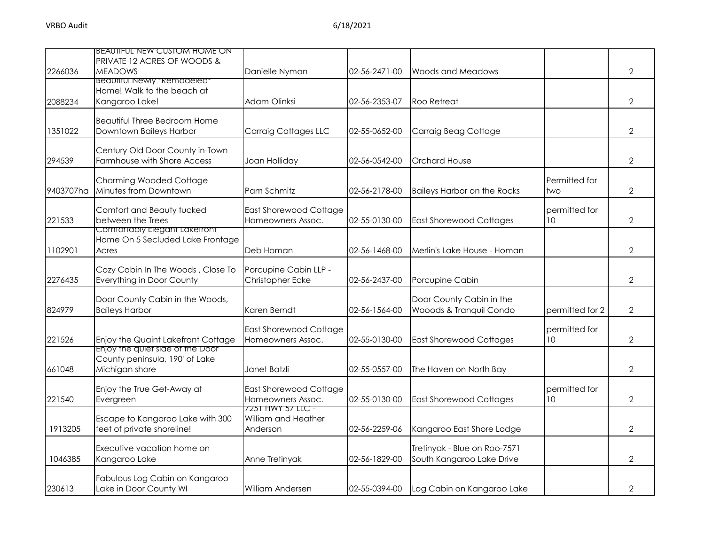| 2266036   | <b>BEAUTIFUL NEW CUSTOM HOME ON</b><br>PRIVATE 12 ACRES OF WOODS &<br><b>MEADOWS</b> | Danielle Nyman                                       | 02-56-2471-00 | Woods and Meadows                                         |                                  | $\overline{2}$ |
|-----------|--------------------------------------------------------------------------------------|------------------------------------------------------|---------------|-----------------------------------------------------------|----------------------------------|----------------|
|           | <b>Beautiful Newly *Remodeled*</b><br>Home! Walk to the beach at                     |                                                      |               |                                                           |                                  |                |
| 2088234   | Kangaroo Lake!                                                                       | Adam Olinksi                                         | 02-56-2353-07 | Roo Retreat                                               |                                  | 2              |
| 1351022   | Beautiful Three Bedroom Home<br>Downtown Baileys Harbor                              | Carraig Cottages LLC                                 | 02-55-0652-00 | Carraig Beag Cottage                                      |                                  | $\overline{2}$ |
| 294539    | Century Old Door County in-Town<br>Farmhouse with Shore Access                       | Joan Holliday                                        | 02-56-0542-00 | <b>Orchard House</b>                                      |                                  | $\overline{2}$ |
| 9403707ha | <b>Charming Wooded Cottage</b><br>Minutes from Downtown                              | Pam Schmitz                                          | 02-56-2178-00 | <b>Baileys Harbor on the Rocks</b>                        | Permitted for<br>two             | $\mathbf{2}$   |
| 221533    | Comfort and Beauty tucked<br>between the Trees                                       | <b>East Shorewood Cottage</b><br>Homeowners Assoc.   | 02-55-0130-00 | <b>East Shorewood Cottages</b>                            | permitted for<br>10 <sup>°</sup> | $\overline{2}$ |
| 1102901   | Comfortably Elegant Laketront<br>Home On 5 Secluded Lake Frontage<br>Acres           | Deb Homan                                            | 02-56-1468-00 | Merlin's Lake House - Homan                               |                                  | $\overline{2}$ |
| 2276435   | Cozy Cabin In The Woods, Close To<br>Everything in Door County                       | Porcupine Cabin LLP -<br>Christopher Ecke            | 02-56-2437-00 | Porcupine Cabin                                           |                                  | $\overline{2}$ |
| 824979    | Door County Cabin in the Woods,<br><b>Baileys Harbor</b>                             | Karen Berndt                                         | 02-56-1564-00 | Door County Cabin in the<br>Wooods & Tranquil Condo       | permitted for 2                  | $\overline{2}$ |
| 221526    | Enjoy the Quaint Lakefront Cottage                                                   | <b>East Shorewood Cottage</b><br>Homeowners Assoc.   | 02-55-0130-00 | <b>East Shorewood Cottages</b>                            | permitted for<br>10              | $\overline{2}$ |
| 661048    | Enjoy the quiet side of the Door<br>County peninsula, 190' of Lake<br>Michigan shore | Janet Batzli                                         | 02-55-0557-00 | The Haven on North Bay                                    |                                  | $\overline{2}$ |
| 221540    | Enjoy the True Get-Away at<br>Evergreen                                              | <b>East Shorewood Cottage</b><br>Homeowners Assoc.   | 02-55-0130-00 | <b>East Shorewood Cottages</b>                            | permitted for<br>10 <sup>°</sup> | $\overline{2}$ |
| 1913205   | Escape to Kangaroo Lake with 300<br>feet of private shoreline!                       | 7251 HWY 57 LLC -<br>William and Heather<br>Anderson | 02-56-2259-06 | Kangaroo East Shore Lodge                                 |                                  | $\overline{2}$ |
| 1046385   | Executive vacation home on<br>Kangaroo Lake                                          | Anne Tretinyak                                       | 02-56-1829-00 | Tretinyak - Blue on Roo-7571<br>South Kangaroo Lake Drive |                                  | $\overline{2}$ |
| 230613    | Fabulous Log Cabin on Kangaroo<br>Lake in Door County WI                             | William Andersen                                     | 02-55-0394-00 | Log Cabin on Kangaroo Lake                                |                                  | $\overline{2}$ |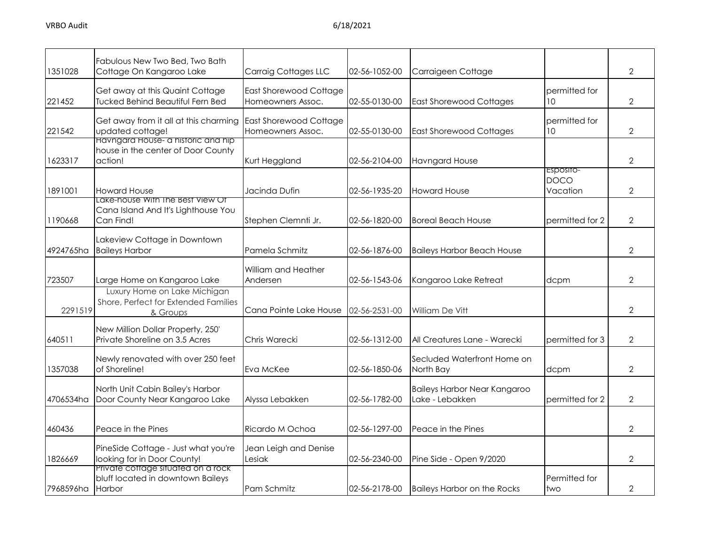| 1351028   | Fabulous New Two Bed, Two Bath<br>Cottage On Kangaroo Lake                                 | <b>Carraig Cottages LLC</b>                 | 02-56-1052-00 | Carraigeen Cottage                                     |                                      | $\overline{2}$ |
|-----------|--------------------------------------------------------------------------------------------|---------------------------------------------|---------------|--------------------------------------------------------|--------------------------------------|----------------|
| 221452    | Get away at this Quaint Cottage<br><b>Tucked Behind Beautiful Fern Bed</b>                 | East Shorewood Cottage<br>Homeowners Assoc. | 02-55-0130-00 | <b>East Shorewood Cottages</b>                         | permitted for<br>10 <sup>°</sup>     | $\overline{2}$ |
| 221542    | Get away from it all at this charming<br>updated cottage!                                  | East Shorewood Cottage<br>Homeowners Assoc. | 02-55-0130-00 | <b>East Shorewood Cottages</b>                         | permitted for<br>10                  | $\overline{2}$ |
| 1623317   | <b>Havngard House- a historic and hip</b><br>house in the center of Door County<br>action! | Kurt Heggland                               | 02-56-2104-00 | <b>Havngard House</b>                                  |                                      | $\mathbf{2}$   |
| 1891001   | <b>Howard House</b>                                                                        | Jacinda Dufin                               | 02-56-1935-20 | <b>Howard House</b>                                    | ESPOSITO-<br><b>DOCO</b><br>Vacation | $\overline{2}$ |
| 1190668   | Lake-house With the Best View Of<br>Cana Island And It's Lighthouse You<br>Can Find!       | Stephen Clemnti Jr.                         | 02-56-1820-00 | <b>Boreal Beach House</b>                              | permitted for 2                      | $\overline{2}$ |
| 4924765ha | Lakeview Cottage in Downtown<br><b>Baileys Harbor</b>                                      | Pamela Schmitz                              | 02-56-1876-00 | <b>Baileys Harbor Beach House</b>                      |                                      | $\overline{2}$ |
| 723507    | Large Home on Kangaroo Lake                                                                | William and Heather<br>Andersen             | 02-56-1543-06 | Kangaroo Lake Retreat                                  | dcpm                                 | $\overline{2}$ |
| 2291519   | Luxury Home on Lake Michigan<br>Shore, Perfect for Extended Families<br>& Groups           | Cana Pointe Lake House                      | 02-56-2531-00 | William De Vitt                                        |                                      | $\overline{2}$ |
| 640511    | New Million Dollar Property, 250'<br>Private Shoreline on 3.5 Acres                        | Chris Warecki                               | 02-56-1312-00 | All Creatures Lane - Warecki                           | permitted for 3                      | $\overline{2}$ |
| 1357038   | Newly renovated with over 250 feet<br>of Shoreline!                                        | Eva McKee                                   | 02-56-1850-06 | Secluded Waterfront Home on<br>North Bay               | dcpm                                 | $\overline{2}$ |
| 4706534ha | North Unit Cabin Bailey's Harbor<br>Door County Near Kangaroo Lake                         | Alyssa Lebakken                             | 02-56-1782-00 | <b>Baileys Harbor Near Kangaroo</b><br>Lake - Lebakken | permitted for 2                      | $\overline{2}$ |
| 460436    | Peace in the Pines                                                                         | Ricardo M Ochoa                             | 02-56-1297-00 | Peace in the Pines                                     |                                      | $\overline{2}$ |
| 1826669   | PineSide Cottage - Just what you're<br>looking for in Door County!                         | Jean Leigh and Denise<br>Lesiak             | 02-56-2340-00 | Pine Side - Open 9/2020                                |                                      | $\overline{2}$ |
| 7968596ha | Private cottage situated on a rock<br>bluff located in downtown Baileys<br>Harbor          | Pam Schmitz                                 | 02-56-2178-00 | <b>Baileys Harbor on the Rocks</b>                     | Permitted for<br>two                 | $\mathbf{2}$   |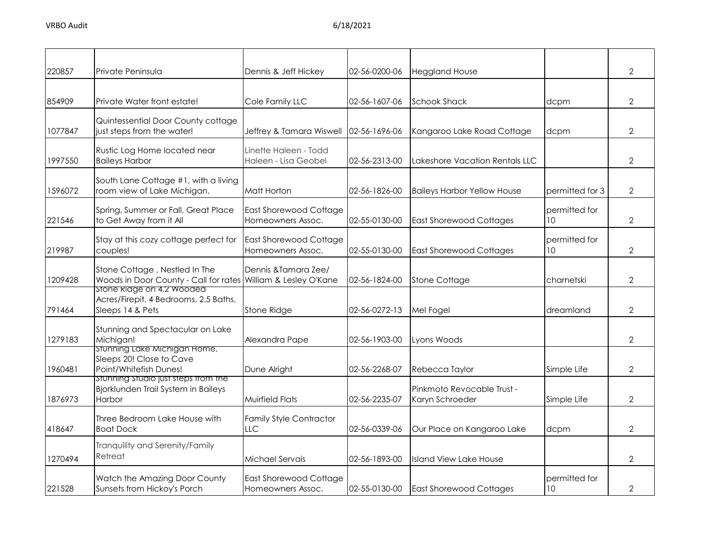| 220857  | Private Peninsula                                                                              | Dennis & Jeff Hickey                               | 02-56-0200-06 | <b>Heggland House</b>                         |                     | $\overline{2}$ |
|---------|------------------------------------------------------------------------------------------------|----------------------------------------------------|---------------|-----------------------------------------------|---------------------|----------------|
| 854909  | Private Water front estate!                                                                    | Cole Family LLC                                    | 02-56-1607-06 | <b>Schook Shack</b>                           | dcpm                | $\overline{2}$ |
| 1077847 | Quintessential Door County cottage<br>just steps from the water!                               | Jeffrey & Tamara Wiswell                           | 02-56-1696-06 | Kangaroo Lake Road Cottage                    | dcpm                | $\overline{2}$ |
| 1997550 | Rustic Log Home located near<br><b>Baileys Harbor</b>                                          | Linette Haleen - Todd<br>Haleen - Lisa Geobel      | 02-56-2313-00 | Lakeshore Vacation Rentals LLC                |                     | $\overline{2}$ |
| 1596072 | South Lane Cottage #1, with a living<br>room view of Lake Michigan.                            | Matt Horton                                        | 02-56-1826-00 | <b>Baileys Harbor Yellow House</b>            | permitted for 3     | $\overline{2}$ |
| 221546  | Spring, Summer or Fall, Great Place<br>to Get Away from it All                                 | <b>East Shorewood Cottage</b><br>Homeowners Assoc. | 02-55-0130-00 | <b>East Shorewood Cottages</b>                | permitted for<br>10 | $\overline{2}$ |
| 219987  | Stay at this cozy cottage perfect for<br>couples!                                              | <b>East Shorewood Cottage</b><br>Homeowners Assoc. | 02-55-0130-00 | <b>East Shorewood Cottages</b>                | permitted for<br>10 | $\overline{2}$ |
| 1209428 | Stone Cottage, Nestled In The<br>Woods in Door County - Call for rates William & Lesley O'Kane | Dennis & Tamara Zee/                               | 02-56-1824-00 | <b>Stone Cottage</b>                          | charnetski          | $\overline{2}$ |
| 791464  | Stone Ridge on 4.2 Wooded<br>Acres/Firepit, 4 Bedrooms, 2.5 Baths,<br>Sleeps 14 & Pets         | <b>Stone Ridge</b>                                 | 02-56-0272-13 | Mel Fogel                                     | dreamland           | $\overline{2}$ |
| 1279183 | Stunning and Spectacular on Lake<br>Michigan!                                                  | Alexandra Pape                                     | 02-56-1903-00 | Lyons Woods                                   |                     | $\overline{2}$ |
| 1960481 | Stunning Lake Michigan Home,<br>Sleeps 20! Close to Cave<br>Point/Whitefish Dunes!             | Dune Alright                                       | 02-56-2268-07 | Rebecca Taylor                                | Simple Life         | $\overline{2}$ |
| 1876973 | Stunning Studio just steps trom the<br>Bjorklunden Trail System in Baileys<br>Harbor           | <b>Muirfield Flats</b>                             | 02-56-2235-07 | Pinkmoto Revocable Trust -<br>Karyn Schroeder | Simple Life         | $\overline{2}$ |
| 418647  | Three Bedroom Lake House with<br><b>Boat Dock</b>                                              | <b>Family Style Contractor</b><br><b>LLC</b>       | 02-56-0339-06 | Our Place on Kangaroo Lake                    | dcpm                | $\overline{2}$ |
| 1270494 | Tranquility and Serenity/Family<br>Retreat                                                     | Michael Servais                                    | 02-56-1893-00 | <b>Island View Lake House</b>                 |                     | $\overline{2}$ |
| 221528  | Watch the Amazing Door County<br>Sunsets from Hickoy's Porch                                   | <b>East Shorewood Cottage</b><br>Homeowners Assoc. | 02-55-0130-00 | <b>East Shorewood Cottages</b>                | permitted for<br>10 | $\mathbf{2}$   |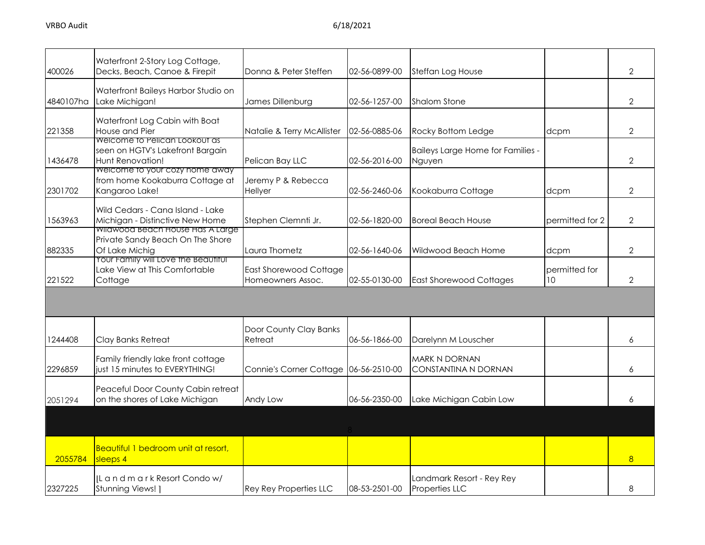| 400026    | Waterfront 2-Story Log Cottage,<br>Decks, Beach, Canoe & Firepit                                        | Donna & Peter Steffen                       | 02-56-0899-00 | Steffan Log House                           |                     | $\overline{2}$ |
|-----------|---------------------------------------------------------------------------------------------------------|---------------------------------------------|---------------|---------------------------------------------|---------------------|----------------|
| 4840107ha | Waterfront Baileys Harbor Studio on<br>Lake Michigan!                                                   | James Dillenburg                            | 02-56-1257-00 | <b>Shalom Stone</b>                         |                     | $\overline{2}$ |
| 221358    | Waterfront Log Cabin with Boat<br>House and Pier                                                        | Natalie & Terry McAllister                  | 02-56-0885-06 | Rocky Bottom Ledge                          | dcpm                | $\overline{2}$ |
| 1436478   | Welcome to Pelican Lookout as<br>seen on HGTV's Lakefront Bargain<br>Hunt Renovation!                   | Pelican Bay LLC                             | 02-56-2016-00 | Baileys Large Home for Families -<br>Nguyen |                     | $\overline{2}$ |
| 2301702   | Welcome to your cozy home away<br>from home Kookaburra Cottage at<br>Kangaroo Lake!                     | Jeremy P & Rebecca<br>Hellyer               | 02-56-2460-06 | Kookaburra Cottage                          | dcpm                | 2              |
| 1563963   | Wild Cedars - Cana Island - Lake<br>Michigan - Distinctive New Home<br>wilawood Beach House Has A Large | Stephen Clemnti Jr.                         | 02-56-1820-00 | <b>Boreal Beach House</b>                   | permitted for 2     | 2              |
| 882335    | Private Sandy Beach On The Shore<br>Of Lake Michig                                                      | Laura Thometz                               | 02-56-1640-06 | Wildwood Beach Home                         | dcpm                | $\overline{2}$ |
| 221522    | Your Family will Love the Beautiful<br>Lake View at This Comfortable<br>Cottage                         | East Shorewood Cottage<br>Homeowners Assoc. | 02-55-0130-00 | <b>East Shorewood Cottages</b>              | permitted for<br>10 | 2              |
|           |                                                                                                         |                                             |               |                                             |                     |                |
| 1244408   | Clay Banks Retreat                                                                                      | Door County Clay Banks<br>Retreat           | 06-56-1866-00 | Darelynn M Louscher                         |                     | 6              |
| 2296859   | Family friendly lake front cottage<br>iust 15 minutes to EVERYTHING!                                    | Connie's Corner Cottage 06-56-2510-00       |               | MARK N DORNAN<br>CONSTANTINA N DORNAN       |                     | 6              |
| 2051294   | Peaceful Door County Cabin retreat<br>on the shores of Lake Michigan                                    | Andy Low                                    | 06-56-2350-00 | Lake Michigan Cabin Low                     |                     | 6              |
|           |                                                                                                         |                                             |               |                                             |                     |                |
| 2055784   | Beautiful 1 bedroom unit at resort,<br>$s$ sleeps $4$                                                   |                                             |               |                                             |                     | 8              |
| 2327225   | IL and mark Resort Condow/<br>Stunning Views! ]                                                         | <b>Rey Rey Properties LLC</b>               | 08-53-2501-00 | Landmark Resort - Rey Rey<br>Properties LLC |                     | 8              |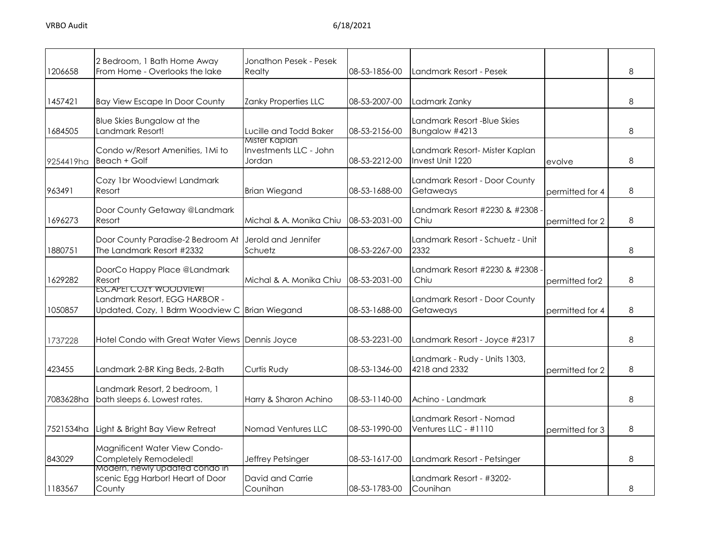| 1206658   | 2 Bedroom, 1 Bath Home Away<br>From Home - Overlooks the lake                                             | Jonathon Pesek - Pesek<br>Realty                  | 08-53-1856-00 | Landmark Resort - Pesek                            |                 | 8 |
|-----------|-----------------------------------------------------------------------------------------------------------|---------------------------------------------------|---------------|----------------------------------------------------|-----------------|---|
| 1457421   | <b>Bay View Escape In Door County</b>                                                                     | Zanky Properties LLC                              | 08-53-2007-00 | Ladmark Zanky                                      |                 | 8 |
| 1684505   | Blue Skies Bungalow at the<br>Landmark Resort!                                                            | Lucille and Todd Baker                            | 08-53-2156-00 | Landmark Resort -Blue Skies<br>Bungalow #4213      |                 | 8 |
| 9254419ha | Condo w/Resort Amenities, 1Mi to<br>Beach + Golf                                                          | Mister Kaplan<br>Investments LLC - John<br>Jordan | 08-53-2212-00 | Landmark Resort- Mister Kaplan<br>Invest Unit 1220 | evolve          | 8 |
| 963491    | Cozy 1br Woodview! Landmark<br>Resort                                                                     | <b>Brian Wiegand</b>                              | 08-53-1688-00 | Landmark Resort - Door County<br>Getaweays         | permitted for 4 | 8 |
| 1696273   | Door County Getaway @Landmark<br>Resort                                                                   | Michal & A. Monika Chiu                           | 08-53-2031-00 | Landmark Resort #2230 & #2308<br>Chiu              | permitted for 2 | 8 |
| 1880751   | Door County Paradise-2 Bedroom At<br>The Landmark Resort #2332                                            | Jerold and Jennifer<br>Schuetz                    | 08-53-2267-00 | Landmark Resort - Schuetz - Unit<br>2332           |                 | 8 |
| 1629282   | DoorCo Happy Place @Landmark<br>Resort                                                                    | Michal & A. Monika Chiu                           | 08-53-2031-00 | Landmark Resort #2230 & #2308<br>Chiu              | permitted for2  | 8 |
| 1050857   | ESCAPE! COZY WOODVIEW!<br>Landmark Resort, EGG HARBOR -<br>Updated, Cozy, 1 Bdrm Woodview C Brian Wiegand |                                                   | 08-53-1688-00 | Landmark Resort - Door County<br>Getaweays         | permitted for 4 | 8 |
| 1737228   | Hotel Condo with Great Water Views Dennis Joyce                                                           |                                                   | 08-53-2231-00 | Landmark Resort - Joyce #2317                      |                 | 8 |
| 423455    | Landmark 2-BR King Beds, 2-Bath                                                                           | Curtis Rudy                                       | 08-53-1346-00 | Landmark - Rudy - Units 1303,<br>4218 and 2332     | permitted for 2 | 8 |
| 7083628ha | Landmark Resort, 2 bedroom, 1<br>bath sleeps 6. Lowest rates.                                             | Harry & Sharon Achino                             | 08-53-1140-00 | Achino - Landmark                                  |                 | 8 |
| 7521534ha | Light & Bright Bay View Retreat                                                                           | Nomad Ventures LLC                                | 08-53-1990-00 | Landmark Resort - Nomad<br>Ventures LLC - #1110    | permitted for 3 | 8 |
| 843029    | Magnificent Water View Condo-<br>Completely Remodeled!                                                    | Jeffrey Petsinger                                 | 08-53-1617-00 | Landmark Resort - Petsinger                        |                 | 8 |
| 1183567   | Modern, newly updated condo in<br>scenic Egg Harbor! Heart of Door<br>County                              | David and Carrie<br>Counihan                      | 08-53-1783-00 | Landmark Resort - #3202-<br>Counihan               |                 | 8 |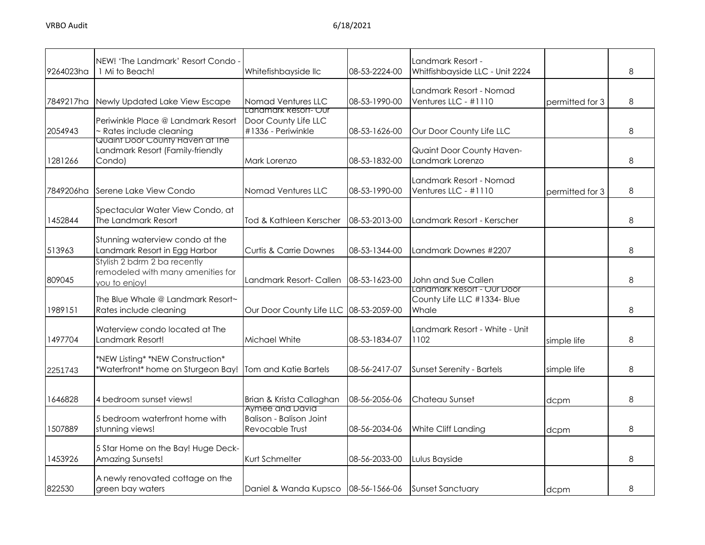| 9264023ha | NEW! 'The Landmark' Resort Condo<br>1 Mi to Beach!                                 | Whitefishbayside llc                                                 | 08-53-2224-00 | Landmark Resort -<br>Whitfishbayside LLC - Unit 2224               |                 | 8 |
|-----------|------------------------------------------------------------------------------------|----------------------------------------------------------------------|---------------|--------------------------------------------------------------------|-----------------|---|
| 7849217ha | Newly Updated Lake View Escape                                                     | Nomad Ventures LLC                                                   | 08-53-1990-00 | Landmark Resort - Nomad<br>Ventures LLC - #1110                    | permitted for 3 | 8 |
| 2054943   | Periwinkle Place @ Landmark Resort<br>- Rates include cleaning                     | Lanamark Resort- Our<br>Door County Life LLC<br>#1336 - Periwinkle   | 08-53-1626-00 | Our Door County Life LLC                                           |                 | 8 |
| 1281266   | Quaint Door County Haven at The<br>Landmark Resort (Family-friendly<br>Condo)      | Mark Lorenzo                                                         | 08-53-1832-00 | Quaint Door County Haven-<br>Landmark Lorenzo                      |                 | 8 |
| 7849206ha | Serene Lake View Condo                                                             | Nomad Ventures LLC                                                   | 08-53-1990-00 | Landmark Resort - Nomad<br>Ventures LLC - #1110                    | permitted for 3 | 8 |
| 1452844   | Spectacular Water View Condo, at<br>The Landmark Resort                            | Tod & Kathleen Kerscher                                              | 08-53-2013-00 | Landmark Resort - Kerscher                                         |                 | 8 |
| 513963    | Stunning waterview condo at the<br>Landmark Resort in Egg Harbor                   | <b>Curtis &amp; Carrie Downes</b>                                    | 08-53-1344-00 | Landmark Downes #2207                                              |                 | 8 |
| 809045    | Stylish 2 bdrm 2 ba recently<br>remodeled with many amenities for<br>you to enjoy! | Landmark Resort- Callen                                              | 08-53-1623-00 | John and Sue Callen                                                |                 | 8 |
| 1989151   | The Blue Whale @ Landmark Resort~<br>Rates include cleaning                        | Our Door County Life LLC 08-53-2059-00                               |               | Landmark Resort - Our Door<br>County Life LLC #1334- Blue<br>Whale |                 | 8 |
| 1497704   | Waterview condo located at The<br>Landmark Resort!                                 | Michael White                                                        | 08-53-1834-07 | Landmark Resort - White - Unit<br>1102                             | simple life     | 8 |
| 2251743   | *NEW Listing* *NEW Construction*<br>*Waterfront* home on Sturgeon Bay!             | Tom and Katie Bartels                                                | 08-56-2417-07 | <b>Sunset Serenity - Bartels</b>                                   | simple life     | 8 |
| 1646828   | 4 bedroom sunset views!                                                            | Brian & Krista Callaghan                                             | 08-56-2056-06 | Chateau Sunset                                                     | dcpm            | 8 |
| 1507889   | 5 bedroom waterfront home with<br>stunning views!                                  | Aymee ana Davia<br><b>Balison - Balison Joint</b><br>Revocable Trust | 08-56-2034-06 | White Cliff Landing                                                | dcpm            | 8 |
| 1453926   | 5 Star Home on the Bay! Huge Deck-<br>Amazing Sunsets!                             | Kurt Schmelter                                                       | 08-56-2033-00 | Lulus Bayside                                                      |                 | 8 |
| 822530    | A newly renovated cottage on the<br>green bay waters                               | Daniel & Wanda Kupsco   08-56-1566-06                                |               | <b>Sunset Sanctuary</b>                                            | dcpm            | 8 |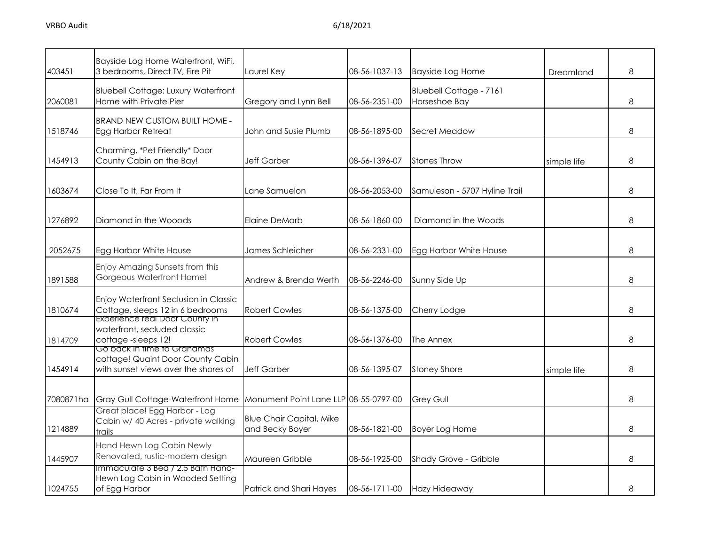| 403451    | Bayside Log Home Waterfront, WiFi,<br>3 bedrooms, Direct TV, Fire Pit                                    | Laurel Key                                         | 08-56-1037-13 | <b>Bayside Log Home</b>                         | Dreamland   | 8 |
|-----------|----------------------------------------------------------------------------------------------------------|----------------------------------------------------|---------------|-------------------------------------------------|-------------|---|
| 2060081   | <b>Bluebell Cottage: Luxury Waterfront</b><br>Home with Private Pier                                     | Gregory and Lynn Bell                              | 08-56-2351-00 | <b>Bluebell Cottage - 7161</b><br>Horseshoe Bay |             | 8 |
| 1518746   | <b>BRAND NEW CUSTOM BUILT HOME -</b><br><b>Egg Harbor Retreat</b>                                        | John and Susie Plumb                               | 08-56-1895-00 | Secret Meadow                                   |             | 8 |
| 1454913   | Charming, *Pet Friendly* Door<br>County Cabin on the Bay!                                                | <b>Jeff Garber</b>                                 | 08-56-1396-07 | <b>Stones Throw</b>                             | simple life | 8 |
| 1603674   | Close To It, Far From It                                                                                 | ane Samuelon.                                      | 08-56-2053-00 | Samuleson - 5707 Hyline Trail                   |             | 8 |
| 1276892   | Diamond in the Wooods                                                                                    | Elaine DeMarb                                      | 08-56-1860-00 | Diamond in the Woods                            |             | 8 |
| 2052675   | Egg Harbor White House                                                                                   | James Schleicher                                   | 08-56-2331-00 | Egg Harbor White House                          |             | 8 |
| 1891588   | Enjoy Amazing Sunsets from this<br>Gorgeous Waterfront Home!                                             | Andrew & Brenda Werth                              | 08-56-2246-00 | Sunny Side Up                                   |             | 8 |
| 1810674   | Enjoy Waterfront Seclusion in Classic<br>Cottage, sleeps 12 in 6 bedrooms                                | <b>Robert Cowles</b>                               | 08-56-1375-00 | Cherry Lodge                                    |             | 8 |
| 1814709   | Experience real Door County in<br>waterfront, secluded classic<br>cottage-sleeps 12!                     | <b>Robert Cowles</b>                               | 08-56-1376-00 | The Annex                                       |             | 8 |
| 1454914   | Go back in time to Granamas<br>cottage! Quaint Door County Cabin<br>with sunset views over the shores of | <b>Jeff Garber</b>                                 | 08-56-1395-07 | <b>Stoney Shore</b>                             | simple life | 8 |
| 7080871ha | Gray Gull Cottage-Waterfront Home                                                                        | Monument Point Lane LLP 08-55-0797-00              |               | <b>Grey Gull</b>                                |             | 8 |
| 1214889   | Great place! Egg Harbor - Log<br>Cabin w/ 40 Acres - private walking<br>trails                           | <b>Blue Chair Capital, Mike</b><br>and Becky Boyer | 08-56-1821-00 | Boyer Log Home                                  |             | 8 |
| 1445907   | Hand Hewn Log Cabin Newly<br>Renovated, rustic-modern design                                             | Maureen Gribble                                    | 08-56-1925-00 | Shady Grove - Gribble                           |             | 8 |
| 1024755   | Immaculate 3 Bed / 2.5 Bath Hand-<br>Hewn Log Cabin in Wooded Setting<br>of Egg Harbor                   | Patrick and Shari Hayes                            | 08-56-1711-00 | Hazy Hideaway                                   |             | 8 |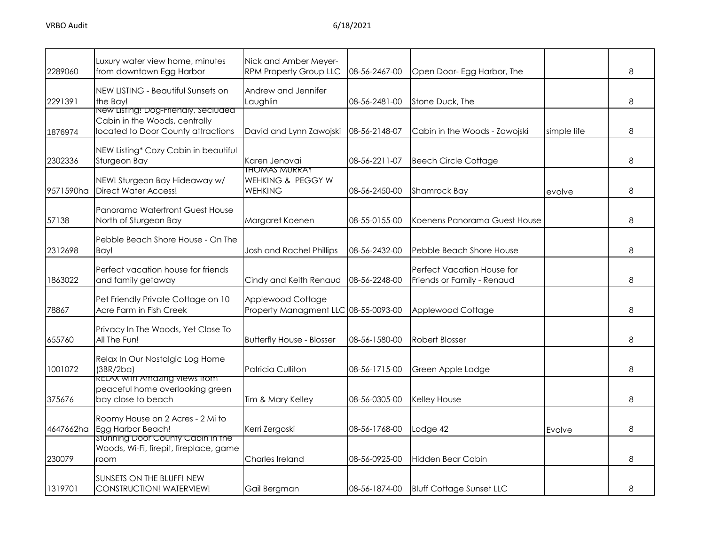| 2289060   | Luxury water view home, minutes<br>from downtown Egg Harbor                                                | Nick and Amber Meyer-<br><b>RPM Property Group LLC</b>      | 08-56-2467-00 | Open Door- Egg Harbor, The                                      |             | 8 |
|-----------|------------------------------------------------------------------------------------------------------------|-------------------------------------------------------------|---------------|-----------------------------------------------------------------|-------------|---|
| 2291391   | NEW LISTING - Beautiful Sunsets on<br>the Bay!                                                             | Andrew and Jennifer<br>Laughlin                             | 08-56-2481-00 | Stone Duck, The                                                 |             | 8 |
| 1876974   | New Listing: Dog-Frienaly, seciuded<br>Cabin in the Woods, centrally<br>located to Door County attractions | David and Lynn Zawojski                                     | 08-56-2148-07 | Cabin in the Woods - Zawojski                                   | simple life | 8 |
| 2302336   | NEW Listing* Cozy Cabin in beautiful<br>Sturgeon Bay                                                       | Karen Jenovai                                               | 08-56-2211-07 | <b>Beech Circle Cottage</b>                                     |             | 8 |
| 9571590ha | NEW! Sturgeon Bay Hideaway w/<br><b>Direct Water Access!</b>                                               | <b>IHOMAS MURRAY</b><br>WEHKING & PEGGY W<br><b>WEHKING</b> | 08-56-2450-00 | <b>Shamrock Bay</b>                                             | evolve      | 8 |
| 57138     | Panorama Waterfront Guest House<br>North of Sturgeon Bay                                                   | Margaret Koenen                                             | 08-55-0155-00 | Koenens Panorama Guest House                                    |             | 8 |
| 2312698   | Pebble Beach Shore House - On The<br>Bay!                                                                  | <b>Josh and Rachel Phillips</b>                             | 08-56-2432-00 | Pebble Beach Shore House                                        |             | 8 |
| 1863022   | Perfect vacation house for friends<br>and family getaway                                                   | Cindy and Keith Renaud                                      | 08-56-2248-00 | <b>Perfect Vacation House for</b><br>Friends or Family - Renaud |             | 8 |
| 78867     | Pet Friendly Private Cottage on 10<br>Acre Farm in Fish Creek                                              | Applewood Cottage<br>Property Managment LLC 08-55-0093-00   |               | Applewood Cottage                                               |             | 8 |
| 655760    | Privacy In The Woods, Yet Close To<br>All The Fun!                                                         | <b>Butterfly House - Blosser</b>                            | 08-56-1580-00 | <b>Robert Blosser</b>                                           |             | 8 |
| 1001072   | Relax In Our Nostalgic Log Home<br>(3BR/2ba)                                                               | <b>Patricia Culliton</b>                                    | 08-56-1715-00 | Green Apple Lodge                                               |             | 8 |
| 375676    | RELAX with Amazing views from<br>peaceful home overlooking green<br>bay close to beach                     | Tim & Mary Kelley                                           | 08-56-0305-00 | Kelley House                                                    |             | 8 |
| 4647662ha | Roomy House on 2 Acres - 2 Mi to<br>Egg Harbor Beach!                                                      | Kerri Zergoski                                              | 08-56-1768-00 | Lodge 42                                                        | Evolve      | 8 |
| 230079    | Stunning Door County Cabin in the<br>Woods, Wi-Fi, firepit, fireplace, game<br>room                        | Charles Ireland                                             | 08-56-0925-00 | Hidden Bear Cabin                                               |             | 8 |
| 1319701   | SUNSETS ON THE BLUFF! NEW<br>CONSTRUCTION! WATERVIEW!                                                      | Gail Bergman                                                | 08-56-1874-00 | <b>Bluff Cottage Sunset LLC</b>                                 |             | 8 |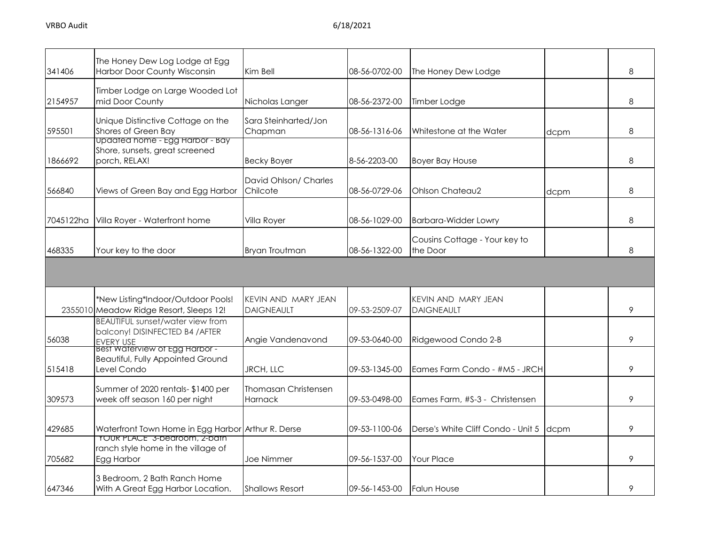| 341406    | The Honey Dew Log Lodge at Egg<br>Harbor Door County Wisconsin                                                              | Kim Bell                                 | 08-56-0702-00 | The Honey Dew Lodge                       |      | 8 |
|-----------|-----------------------------------------------------------------------------------------------------------------------------|------------------------------------------|---------------|-------------------------------------------|------|---|
| 2154957   | Timber Lodge on Large Wooded Lot<br>mid Door County                                                                         | Nicholas Langer                          | 08-56-2372-00 | Timber Lodge                              |      | 8 |
| 595501    | Unique Distinctive Cottage on the<br>Shores of Green Bay                                                                    | Sara Steinharted/Jon<br>Chapman          | 08-56-1316-06 | Whitestone at the Water                   | dcpm | 8 |
| 1866692   | Updated home - Egg Harbor - Bay<br>Shore, sunsets, great screened<br>porch, RELAX!                                          | <b>Becky Boyer</b>                       | 8-56-2203-00  | <b>Boyer Bay House</b>                    |      | 8 |
| 566840    | Views of Green Bay and Egg Harbor                                                                                           | David Ohlson/ Charles<br>Chilcote        | 08-56-0729-06 | Ohlson Chateau2                           | dcpm | 8 |
| 7045122ha | Villa Royer - Waterfront home                                                                                               | Villa Royer                              | 08-56-1029-00 | <b>Barbara-Widder Lowry</b>               |      | 8 |
| 468335    | Your key to the door                                                                                                        | <b>Bryan Troutman</b>                    | 08-56-1322-00 | Cousins Cottage - Your key to<br>the Door |      | 8 |
|           |                                                                                                                             |                                          |               |                                           |      |   |
|           | *New Listing*Indoor/Outdoor Pools!<br>2355010 Meadow Ridge Resort, Sleeps 12!                                               | KEVIN AND MARY JEAN<br><b>DAIGNEAULT</b> | 09-53-2509-07 | KEVIN AND MARY JEAN<br><b>DAIGNEAULT</b>  |      | 9 |
| 56038     | <b>BEAUTIFUL sunset/water view from</b><br>balcony! DISINFECTED B4 / AFTER<br> EVERY USE<br> Best Waterview of Egg Harbor - | Angie Vandenavond                        | 09-53-0640-00 | Ridgewood Condo 2-B                       |      | 9 |
| 515418    | <b>Beautiful, Fully Appointed Ground</b><br>Level Condo                                                                     | <b>JRCH, LLC</b>                         | 09-53-1345-00 | Eames Farm Condo - #M5 - JRCH             |      | 9 |
| 309573    | Summer of 2020 rentals- \$1400 per<br>week off season 160 per night                                                         | Thomasan Christensen<br>Harnack          | 09-53-0498-00 | Eames Farm, #S-3 - Christensen            |      | 9 |
| 429685    | Waterfront Town Home in Egg Harbor Arthur R. Derse                                                                          |                                          | 09-53-1100-06 | Derse's White Cliff Condo - Unit 5        | dcpm | 9 |
| 705682    | YOUR PLACE" 3-bedroom, 2-bath<br>ranch style home in the village of<br>Egg Harbor                                           | <b>Joe Nimmer</b>                        | 09-56-1537-00 | Your Place                                |      | 9 |
| 647346    | 3 Bedroom, 2 Bath Ranch Home<br>With A Great Egg Harbor Location.                                                           | <b>Shallows Resort</b>                   | 09-56-1453-00 | <b>Falun House</b>                        |      | 9 |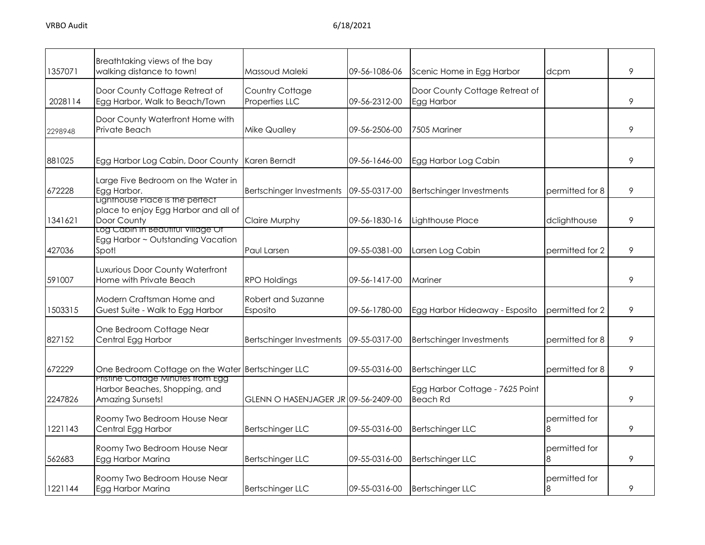| 1357071 | Breathtaking views of the bay<br>walking distance to town!                               | Massoud Maleki                      | 09-56-1086-06 | Scenic Home in Egg Harbor                          | dcpm               | 9 |
|---------|------------------------------------------------------------------------------------------|-------------------------------------|---------------|----------------------------------------------------|--------------------|---|
| 2028114 | Door County Cottage Retreat of<br>Egg Harbor, Walk to Beach/Town                         | Country Cottage<br>Properties LLC   | 09-56-2312-00 | Door County Cottage Retreat of<br>Egg Harbor       |                    | 9 |
| 2298948 | Door County Waterfront Home with<br>Private Beach                                        | <b>Mike Qualley</b>                 | 09-56-2506-00 | 7505 Mariner                                       |                    | 9 |
| 881025  | Egg Harbor Log Cabin, Door County                                                        | Karen Berndt                        | 09-56-1646-00 | Egg Harbor Log Cabin                               |                    | 9 |
| 672228  | Large Five Bedroom on the Water in<br>Egg Harbor.<br>Lighthouse Place is the pertect     | <b>Bertschinger Investments</b>     | 09-55-0317-00 | Bertschinger Investments                           | permitted for 8    | 9 |
| 1341621 | place to enjoy Egg Harbor and all of<br>Door County<br>Log Cabin in Beaufiful Village Of | Claire Murphy                       | 09-56-1830-16 | Lighthouse Place                                   | dclighthouse       | 9 |
| 427036  | Egg Harbor ~ Outstanding Vacation<br>Spot!                                               | <b>Paul Larsen</b>                  | 09-55-0381-00 | Larsen Log Cabin                                   | permitted for 2    | 9 |
| 591007  | Luxurious Door County Waterfront<br>Home with Private Beach                              | <b>RPO Holdings</b>                 | 09-56-1417-00 | Mariner                                            |                    | 9 |
| 1503315 | Modern Craftsman Home and<br>Guest Suite - Walk to Egg Harbor                            | Robert and Suzanne<br>Esposito      | 09-56-1780-00 | Egg Harbor Hideaway - Esposito                     | permitted for 2    | 9 |
| 827152  | One Bedroom Cottage Near<br>Central Egg Harbor                                           | <b>Bertschinger Investments</b>     | 09-55-0317-00 | Bertschinger Investments                           | permitted for 8    | 9 |
| 672229  | One Bedroom Cottage on the Water Bertschinger LLC                                        |                                     | 09-55-0316-00 | <b>Bertschinger LLC</b>                            | permitted for 8    | 9 |
| 2247826 | Pristine Cottage Minutes from Egg<br>Harbor Beaches, Shopping, and<br>Amazing Sunsets!   | GLENN O HASENJAGER JR 09-56-2409-00 |               | Egg Harbor Cottage - 7625 Point<br><b>Beach Rd</b> |                    | 9 |
| 1221143 | Roomy Two Bedroom House Near<br>Central Egg Harbor                                       | <b>Bertschinger LLC</b>             | 09-55-0316-00 | <b>Bertschinger LLC</b>                            | permitted for<br>8 | 9 |
| 562683  | Roomy Two Bedroom House Near<br>Egg Harbor Marina                                        | <b>Bertschinger LLC</b>             | 09-55-0316-00 | <b>Bertschinger LLC</b>                            | permitted for<br>8 | 9 |
| 1221144 | Roomy Two Bedroom House Near<br>Egg Harbor Marina                                        | <b>Bertschinger LLC</b>             | 09-55-0316-00 | <b>Bertschinger LLC</b>                            | permitted for<br>8 | 9 |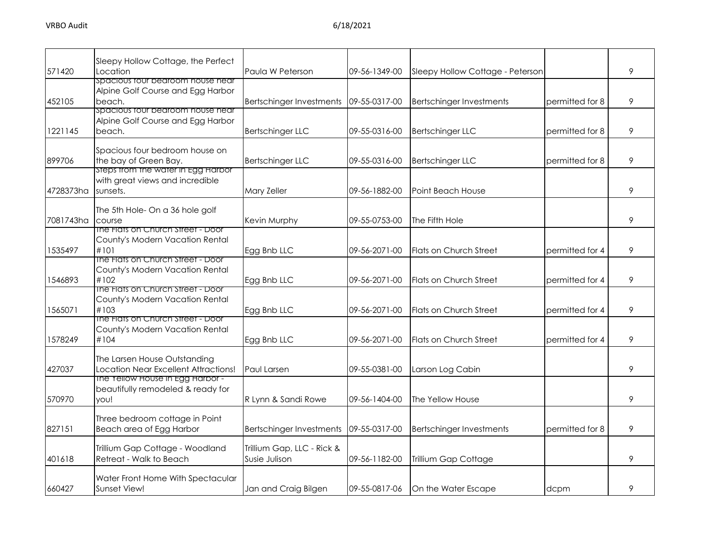| 571420    | Sleepy Hollow Cottage, the Perfect<br>Location                                                | Paula W Peterson                            | 09-56-1349-00 | Sleepy Hollow Cottage - Peterson |                 | 9 |
|-----------|-----------------------------------------------------------------------------------------------|---------------------------------------------|---------------|----------------------------------|-----------------|---|
|           | spacious tour bedroom house near                                                              |                                             |               |                                  |                 |   |
| 452105    | Alpine Golf Course and Egg Harbor<br>beach.                                                   | Bertschinger Investments                    | 09-55-0317-00 | <b>Bertschinger Investments</b>  | permitted for 8 | 9 |
| 1221145   | spacious four bearoom nouse near<br>Alpine Golf Course and Egg Harbor<br>beach.               | <b>Bertschinger LLC</b>                     | 09-55-0316-00 | <b>Bertschinger LLC</b>          | permitted for 8 | 9 |
| 899706    | Spacious four bedroom house on<br>the bay of Green Bay.<br>steps trom the water in Egg Harbor | <b>Bertschinger LLC</b>                     | 09-55-0316-00 | <b>Bertschinger LLC</b>          | permitted for 8 | 9 |
| 4728373ha | with great views and incredible<br>sunsets.                                                   | Mary Zeller                                 | 09-56-1882-00 | Point Beach House                |                 | 9 |
| 7081743ha | The 5th Hole- On a 36 hole golf<br>course                                                     | Kevin Murphy                                | 09-55-0753-00 | The Fifth Hole                   |                 | 9 |
| 1535497   | The Flats on Church Street - Door<br>County's Modern Vacation Rental<br>#101                  | Egg Bnb LLC                                 | 09-56-2071-00 | <b>Flats on Church Street</b>    | permitted for 4 | 9 |
| 1546893   | The Flats on Church Street - Door<br>County's Modern Vacation Rental<br>#102                  | Egg Bnb LLC                                 | 09-56-2071-00 | Flats on Church Street           | permitted for 4 | 9 |
| 1565071   | The Flats on Church Street - Door<br>County's Modern Vacation Rental<br>#103                  | Egg Bnb LLC                                 | 09-56-2071-00 | <b>Flats on Church Street</b>    | permitted for 4 | 9 |
| 1578249   | The Flats on Church Street - Door<br>County's Modern Vacation Rental<br>#104                  | Egg Bnb LLC                                 | 09-56-2071-00 | Flats on Church Street           | permitted for 4 | 9 |
| 427037    | The Larsen House Outstanding<br>Location Near Excellent Attractions!                          | Paul Larsen                                 | 09-55-0381-00 | Larson Log Cabin                 |                 | 9 |
| 570970    | The Yellow House in Egg Harbor -<br>beautifully remodeled & ready for<br>vou!                 | R Lynn & Sandi Rowe                         | 09-56-1404-00 | The Yellow House                 |                 | 9 |
| 827151    | Three bedroom cottage in Point<br>Beach area of Egg Harbor                                    | <b>Bertschinger Investments</b>             | 09-55-0317-00 | <b>Bertschinger Investments</b>  | permitted for 8 | 9 |
| 401618    | Trillium Gap Cottage - Woodland<br>Retreat - Walk to Beach                                    | Trillium Gap, LLC - Rick &<br>Susie Julison | 09-56-1182-00 | Trillium Gap Cottage             |                 | 9 |
| 660427    | Water Front Home With Spectacular<br>Sunset View!                                             | Jan and Craig Bilgen                        | 09-55-0817-06 | On the Water Escape              | dcpm            | 9 |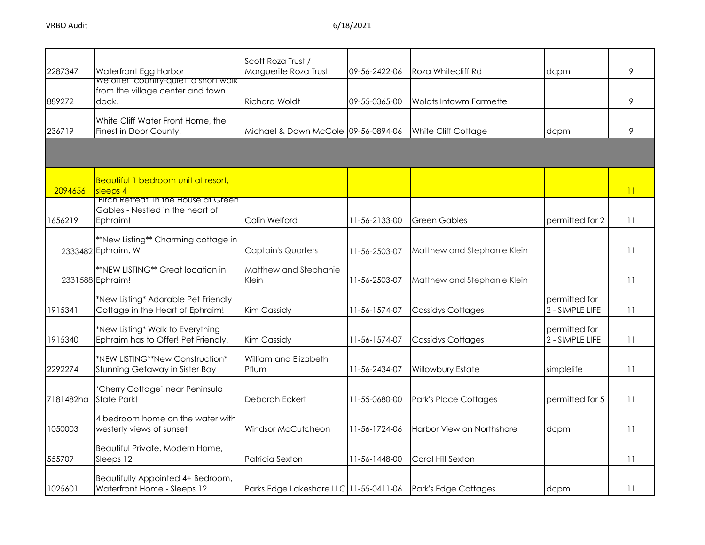| 2287347   | Waterfront Egg Harbor                        | Scott Roza Trust /<br>Marguerite Roza Trust | 09-56-2422-06 | <b>Roza Whitecliff Rd</b>     | dcpm            | 9  |
|-----------|----------------------------------------------|---------------------------------------------|---------------|-------------------------------|-----------------|----|
|           | we offer "country-quiet" a short walk        |                                             |               |                               |                 |    |
|           | from the village center and town             |                                             |               |                               |                 |    |
| 889272    | dock.                                        | <b>Richard Woldt</b>                        | 09-55-0365-00 | <b>Woldts Intowm Farmette</b> |                 | 9  |
|           | White Cliff Water Front Home, the            |                                             |               |                               |                 |    |
| 236719    | Finest in Door County!                       | Michael & Dawn McCole 09-56-0894-06         |               | White Cliff Cottage           | dcpm            | 9  |
|           |                                              |                                             |               |                               |                 |    |
|           |                                              |                                             |               |                               |                 |    |
|           | Beautiful 1 bedroom unit at resort,          |                                             |               |                               |                 |    |
| 2094656   | sleeps 4                                     |                                             |               |                               |                 | 11 |
|           | "Birch Refreat" in the House at Green        |                                             |               |                               |                 |    |
| 1656219   | Gables - Nestled in the heart of<br>Ephraim! | Colin Welford                               | 11-56-2133-00 | <b>Green Gables</b>           | permitted for 2 | 11 |
|           |                                              |                                             |               |                               |                 |    |
|           | **New Listing** Charming cottage in          |                                             |               |                               |                 |    |
|           | 2333482 Ephraim, WI                          | <b>Captain's Quarters</b>                   | 11-56-2503-07 | Matthew and Stephanie Klein   |                 | 11 |
|           | **NEW LISTING** Great location in            | Matthew and Stephanie                       |               |                               |                 |    |
|           | 2331588 Ephraim!                             | Klein                                       | 11-56-2503-07 | Matthew and Stephanie Klein   |                 | 11 |
|           |                                              |                                             |               |                               |                 |    |
|           | *New Listing* Adorable Pet Friendly          |                                             |               |                               | permitted for   |    |
| 1915341   | Cottage in the Heart of Ephraim!             | Kim Cassidy                                 | 11-56-1574-07 | <b>Cassidys Cottages</b>      | 2 - SIMPLE LIFE | 11 |
|           | *New Listing* Walk to Everything             |                                             |               |                               | permitted for   |    |
| 1915340   | Ephraim has to Offer! Pet Friendly!          | Kim Cassidy                                 | 11-56-1574-07 | <b>Cassidys Cottages</b>      | 2 - SIMPLE LIFE | 11 |
|           | *NEW LISTING**New Construction*              | William and Elizabeth                       |               |                               |                 |    |
| 2292274   | Stunning Getaway in Sister Bay               | Pflum                                       | 11-56-2434-07 | Willowbury Estate             | simplelife      | 11 |
|           |                                              |                                             |               |                               |                 |    |
|           | 'Cherry Cottage' near Peninsula              |                                             |               |                               |                 |    |
| 7181482ha | State Park!                                  | Deborah Eckert                              | 11-55-0680-00 | Park's Place Cottages         | permitted for 5 | 11 |
|           | 4 bedroom home on the water with             |                                             |               |                               |                 |    |
| 1050003   | westerly views of sunset                     | Windsor McCutcheon                          | 11-56-1724-06 | Harbor View on Northshore     | dcpm            | 11 |
|           |                                              |                                             |               |                               |                 |    |
| 555709    | Beautiful Private, Modern Home,<br>Sleeps 12 | Patricia Sexton                             | 11-56-1448-00 | Coral Hill Sexton             |                 | 11 |
|           |                                              |                                             |               |                               |                 |    |
|           | Beautifully Appointed 4+ Bedroom,            |                                             |               |                               |                 |    |
| 1025601   | Waterfront Home - Sleeps 12                  | Parks Edge Lakeshore LLC 11-55-0411-06      |               | Park's Edge Cottages          | dcpm            | 11 |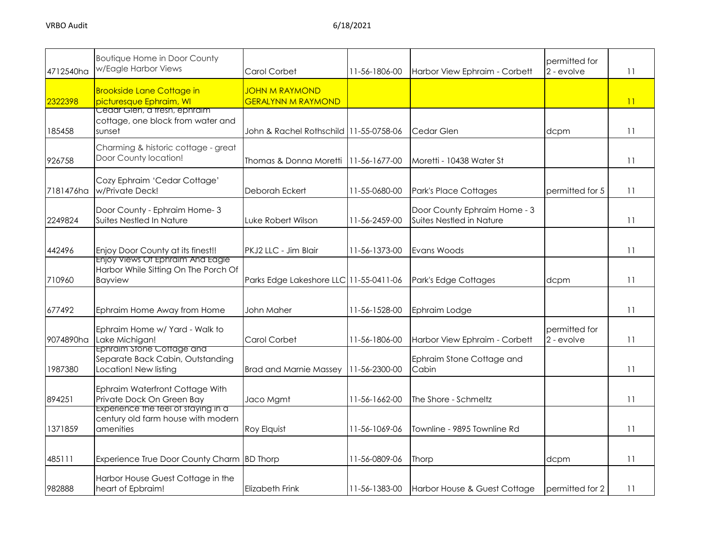| 4712540ha | <b>Boutique Home in Door County</b><br>w/Eagle Harbor Views                            | Carol Corbet                                       | 11-56-1806-00 | Harbor View Ephraim - Corbett                            | permitted for<br>2 - evolve | 11              |
|-----------|----------------------------------------------------------------------------------------|----------------------------------------------------|---------------|----------------------------------------------------------|-----------------------------|-----------------|
| 2322398   | <b>Brookside Lane Cottage in</b><br>picturesque Ephraim, WI                            | <b>JOHN M RAYMOND</b><br><b>GERALYNN M RAYMOND</b> |               |                                                          |                             | $\overline{11}$ |
| 185458    | <u>Cedar Gien, a tresh, ephraim </u><br>cottage, one block from water and<br>sunset    | John & Rachel Rothschild 11-55-0758-06             |               | Cedar Glen                                               | dcpm                        | 11              |
| 926758    | Charming & historic cottage - great<br>Door County location!                           | Thomas & Donna Moretti   11-56-1677-00             |               | Moretti - 10438 Water St                                 |                             | 11              |
| 7181476ha | Cozy Ephraim 'Cedar Cottage'<br>w/Private Deck!                                        | Deborah Eckert                                     | 11-55-0680-00 | <b>Park's Place Cottages</b>                             | permitted for 5             | 11              |
| 2249824   | Door County - Ephraim Home-3<br>Suites Nestled In Nature                               | Luke Robert Wilson                                 | 11-56-2459-00 | Door County Ephraim Home - 3<br>Suites Nestled in Nature |                             | 11              |
| 442496    | Enjoy Door County at its finest!!                                                      | PKJ2 LLC - Jim Blair                               | 11-56-1373-00 | Evans Woods                                              |                             | 11              |
| 710960    | Enjoy Views Of Ephraim And Eagle<br>Harbor While Sitting On The Porch Of<br>Bayview    | Parks Edge Lakeshore LLC 11-55-0411-06             |               | Park's Edge Cottages                                     | dcpm                        | 11              |
| 677492    | Ephraim Home Away from Home                                                            | John Maher                                         | 11-56-1528-00 | Ephraim Lodge                                            |                             | 11              |
| 9074890ha | Ephraim Home w/ Yard - Walk to<br>Lake Michigan!                                       | Carol Corbet                                       | 11-56-1806-00 | Harbor View Ephraim - Corbett                            | permitted for<br>2 - evolve | 11              |
| 1987380   | Ephraim Stone Cottage and<br>Separate Back Cabin, Outstanding<br>Location! New listing | <b>Brad and Marnie Massey</b>                      | 11-56-2300-00 | Ephraim Stone Cottage and<br>Cabin                       |                             | 11              |
| 894251    | Ephraim Waterfront Cottage With<br>Private Dock On Green Bay                           | Jaco Mamt                                          | 11-56-1662-00 | The Shore - Schmeltz                                     |                             | 11              |
| 1371859   | Experience the teel of staying in a<br>century old farm house with modern<br>amenities | Roy Elquist                                        | 11-56-1069-06 | Townline - 9895 Townline Rd                              |                             | 11              |
| 485111    | Experience True Door County Charm BD Thorp                                             |                                                    | 11-56-0809-06 | Thorp                                                    | dcpm                        | 11              |
| 982888    | Harbor House Guest Cottage in the<br>heart of Epbraim!                                 | Elizabeth Frink                                    | 11-56-1383-00 | Harbor House & Guest Cottage                             | permitted for 2             | 11              |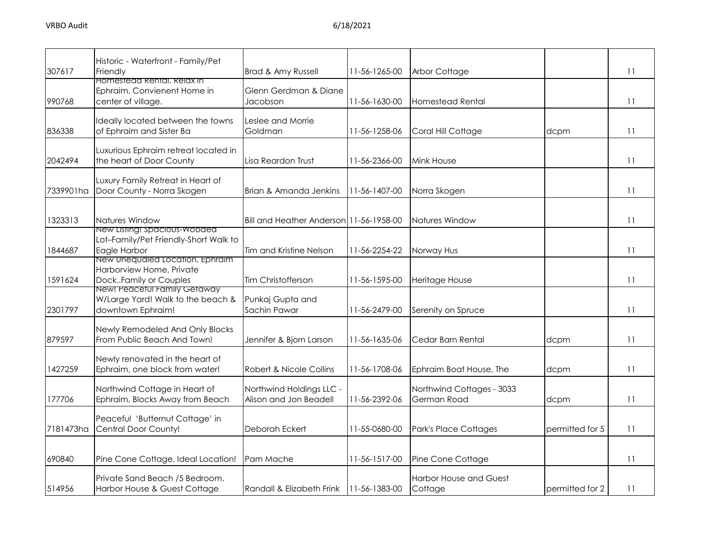| 307617    | Historic - Waterfront - Family/Pet<br>Friendly                                           | Brad & Amy Russell                                 | 11-56-1265-00   | Arbor Cottage                            |                 | $\overline{11}$ |
|-----------|------------------------------------------------------------------------------------------|----------------------------------------------------|-----------------|------------------------------------------|-----------------|-----------------|
| 990768    | Homestead Kental, Kelax in<br>Ephraim. Convienent Home in<br>center of village.          | Glenn Gerdman & Diane<br>Jacobson                  | 11-56-1630-00   | <b>Homestead Rental</b>                  |                 | 11              |
| 836338    | Ideally located between the towns<br>of Ephraim and Sister Ba                            | Leslee and Morrie<br>Goldman                       | 11-56-1258-06   | Coral Hill Cottage                       | dcpm            | 11              |
| 2042494   | Luxurious Ephraim retreat located in<br>the heart of Door County                         | Lisa Reardon Trust                                 | 11-56-2366-00   | Mink House                               |                 | $\overline{11}$ |
| 7339901ha | Luxury Family Retreat in Heart of<br>Door County - Norra Skogen                          | Brian & Amanda Jenkins                             | 11-56-1407-00   | Norra Skogen                             |                 | 11              |
| 1323313   | Natures Window<br>New Listing: spacious-wooded                                           | Bill and Heather Anderson 11-56-1958-00            |                 | Natures Window                           |                 | 11              |
| 1844687   | Lot-Family/Pet Friendly-Short Walk to<br>Eagle Harbor<br>New Unequaled Location, Ephraim | Tim and Kristine Nelson                            | 11-56-2254-22   | Norway Hus                               |                 | 11              |
| 1591624   | Harborview Home, Private<br>DockFamily or Couples                                        | Tim Christofferson                                 | 11-56-1595-00   | Heritage House                           |                 | 11              |
| 2301797   | New! Peaceful Family Gefaway<br>W/Large Yard! Walk to the beach &<br>downtown Ephraim!   | Punkaj Gupta and<br>Sachin Pawar                   | 11-56-2479-00   | Serenity on Spruce                       |                 | 11              |
| 879597    | Newly Remodeled And Only Blocks<br>From Public Beach And Town!                           | Jennifer & Bjorn Larson                            | 11-56-1635-06   | Cedar Barn Rental                        | dcpm            | 11              |
| 1427259   | Newly renovated in the heart of<br>Ephraim, one block from water!                        | Robert & Nicole Collins                            | 11-56-1708-06   | Ephraim Boat House, The                  | dcpm            | 11              |
| 177706    | Northwind Cottage in Heart of<br>Ephraim, Blocks Away from Beach                         | Northwind Holdings LLC -<br>Alison and Jon Beadell | 11-56-2392-06   | Northwind Cottages - 3033<br>German Road | dcpm            | 11              |
| 7181473ha | Peaceful 'Butternut Cottage' in<br>Central Door County!                                  | Deborah Eckert                                     | 11-55-0680-00   | Park's Place Cottages                    | permitted for 5 | 11              |
| 690840    | Pine Cone Cottage, Ideal Location!                                                       | Pam Mache                                          | 11-56-1517-00   | Pine Cone Cottage                        |                 | 11              |
| 514956    | Private Sand Beach /5 Bedroom.<br>Harbor House & Guest Cottage                           | Randall & Elizabeth Frink                          | $11-56-1383-00$ | <b>Harbor House and Guest</b><br>Cottage | permitted for 2 | 11              |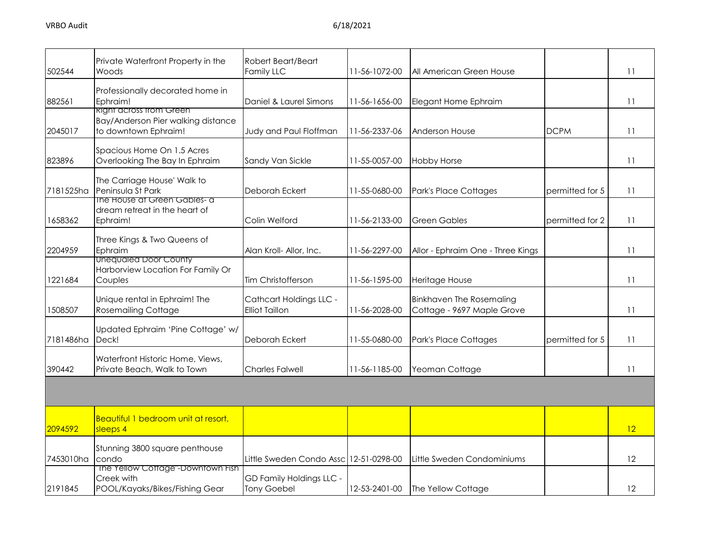| 502544    | Private Waterfront Property in the<br>Woods                                                   | Robert Beart/Beart<br>Family LLC                 | 11-56-1072-00 | All American Green House                                      |                 | 11 |
|-----------|-----------------------------------------------------------------------------------------------|--------------------------------------------------|---------------|---------------------------------------------------------------|-----------------|----|
| 882561    | Professionally decorated home in<br>Ephraim!                                                  | Daniel & Laurel Simons                           | 11-56-1656-00 | Elegant Home Ephraim                                          |                 | 11 |
| 2045017   | <u> Right across from Green</u><br>Bay/Anderson Pier walking distance<br>to downtown Ephraim! | Judy and Paul Floffman                           | 11-56-2337-06 | Anderson House                                                | <b>DCPM</b>     | 11 |
| 823896    | Spacious Home On 1.5 Acres<br>Overlooking The Bay In Ephraim                                  | Sandy Van Sickle                                 | 11-55-0057-00 | <b>Hobby Horse</b>                                            |                 | 11 |
| 7181525ha | The Carriage House' Walk to<br>Peninsula St Park<br>ine House at Green Gables- a              | Deborah Eckert                                   | 11-55-0680-00 | Park's Place Cottages                                         | permitted for 5 | 11 |
| 1658362   | dream retreat in the heart of<br>Ephraim!                                                     | Colin Welford                                    | 11-56-2133-00 | <b>Green Gables</b>                                           | permitted for 2 | 11 |
| 2204959   | Three Kings & Two Queens of<br>Ephraim                                                        | Alan Kroll- Allor, Inc.                          | 11-56-2297-00 | Allor - Ephraim One - Three Kings                             |                 | 11 |
| 1221684   | Unequaled Door County<br>Harborview Location For Family Or<br>Couples                         | Tim Christofferson                               | 11-56-1595-00 | Heritage House                                                |                 | 11 |
| 1508507   | Unique rental in Ephraim! The<br><b>Rosemailing Cottage</b>                                   | Cathcart Holdings LLC -<br><b>Elliot Taillon</b> | 11-56-2028-00 | <b>Binkhaven The Rosemaling</b><br>Cottage - 9697 Maple Grove |                 | 11 |
| 7181486ha | Updated Ephraim 'Pine Cottage' w/<br>Deck!                                                    | Deborah Eckert                                   | 11-55-0680-00 | Park's Place Cottages                                         | permitted for 5 | 11 |
| 390442    | Waterfront Historic Home, Views,<br>Private Beach, Walk to Town                               | <b>Charles Falwell</b>                           | 11-56-1185-00 | Yeoman Cottage                                                |                 | 11 |
|           |                                                                                               |                                                  |               |                                                               |                 |    |
| 2094592   | Beautiful 1 bedroom unit at resort,<br>sleeps 4                                               |                                                  |               |                                                               |                 | 12 |
| 7453010ha | Stunning 3800 square penthouse<br>condo                                                       | Little Sweden Condo Assc 12-51-0298-00           |               | Little Sweden Condominiums                                    |                 | 12 |
| 2191845   | The Yellow Cottage"-Downtown Fish<br>Creek with<br>POOL/Kayaks/Bikes/Fishing Gear             | GD Family Holdings LLC -<br><b>Tony Goebel</b>   | 12-53-2401-00 | The Yellow Cottage                                            |                 | 12 |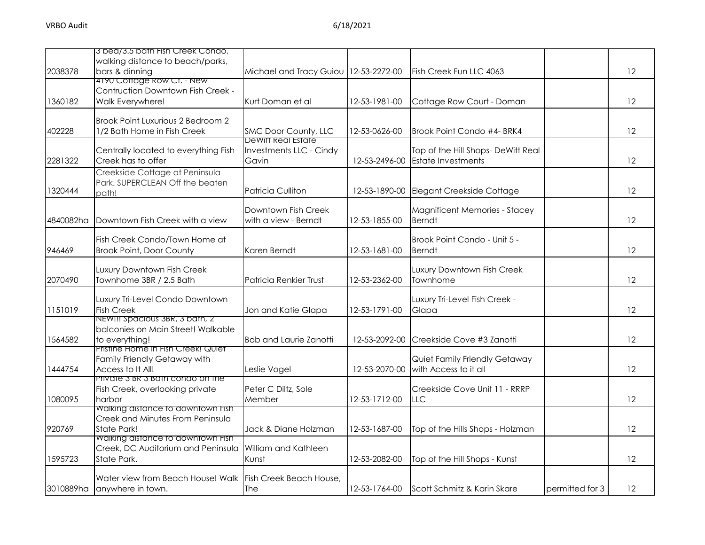|           | 3 bed/3.5 bath Fish Creek Condo,                          |                                       |               |                                        |                 |    |
|-----------|-----------------------------------------------------------|---------------------------------------|---------------|----------------------------------------|-----------------|----|
| 2038378   | walking distance to beach/parks,<br>bars & dinning        | Michael and Tracy Guiou 12-53-2272-00 |               | Fish Creek Fun LLC 4063                |                 | 12 |
|           | 4190 Coffage Row Cf. - New                                |                                       |               |                                        |                 |    |
|           | Contruction Downtown Fish Creek -                         |                                       |               |                                        |                 |    |
| 1360182   | Walk Everywhere!                                          | Kurt Doman et al                      | 12-53-1981-00 | Cottage Row Court - Doman              |                 | 12 |
|           | Brook Point Luxurious 2 Bedroom 2                         |                                       |               |                                        |                 |    |
| 402228    | 1/2 Bath Home in Fish Creek                               | SMC Door County, LLC                  | 12-53-0626-00 | Brook Point Condo #4- BRK4             |                 | 12 |
|           |                                                           | <b>DeWift Real Estate</b>             |               |                                        |                 |    |
|           | Centrally located to everything Fish                      | Investments LLC - Cindy               |               | Top of the Hill Shops- DeWitt Real     |                 |    |
| 2281322   | Creek has to offer                                        | Gavin                                 | 12-53-2496-00 | <b>Estate Investments</b>              |                 | 12 |
|           | Creekside Cottage at Peninsula                            |                                       |               |                                        |                 |    |
| 1320444   | Park. SUPERCLEAN Off the beaten<br>path!                  | Patricia Culliton                     | 12-53-1890-00 | Elegant Creekside Cottage              |                 | 12 |
|           |                                                           |                                       |               |                                        |                 |    |
|           |                                                           | Downtown Fish Creek                   |               | Magnificent Memories - Stacey          |                 |    |
| 4840082ha | Downtown Fish Creek with a view                           | with a view - Berndt                  | 12-53-1855-00 | Berndt                                 |                 | 12 |
|           | Fish Creek Condo/Town Home at                             |                                       |               | Brook Point Condo - Unit 5 -           |                 |    |
| 946469    | <b>Brook Point, Door County</b>                           | Karen Berndt                          | 12-53-1681-00 | <b>Berndt</b>                          |                 | 12 |
|           |                                                           |                                       |               |                                        |                 |    |
| 2070490   | Luxury Downtown Fish Creek<br>Townhome 3BR / 2.5 Bath     | <b>Patricia Renkier Trust</b>         | 12-53-2362-00 | Luxury Downtown Fish Creek<br>Townhome |                 | 12 |
|           |                                                           |                                       |               |                                        |                 |    |
|           | Luxury Tri-Level Condo Downtown                           |                                       |               | Luxury Tri-Level Fish Creek -          |                 |    |
| 1151019   | <b>Fish Creek</b><br>NEW!!! Spacious 3BR, 3 bath, 2       | Jon and Katie Glapa                   | 12-53-1791-00 | Glapa                                  |                 | 12 |
|           | balconies on Main Street! Walkable                        |                                       |               |                                        |                 |    |
| 1564582   | to everything!                                            | <b>Bob and Laurie Zanotti</b>         | 12-53-2092-00 | Creekside Cove #3 Zanotti              |                 | 12 |
|           | Pristine Home in Fish Creek! Quiet                        |                                       |               |                                        |                 |    |
|           | Family Friendly Getaway with                              |                                       |               | Quiet Family Friendly Getaway          |                 |    |
| 1444754   | Access to It All!<br>Private 3 BR 3 Bath condo on the     | Leslie Vogel                          | 12-53-2070-00 | with Access to it all                  |                 | 12 |
|           | Fish Creek, overlooking private                           | Peter C Diltz, Sole                   |               | Creekside Cove Unit 11 - RRRP          |                 |    |
| 1080095   | harbor                                                    | Member                                | 12-53-1712-00 | LLC                                    |                 | 12 |
|           | <b>Walking alstance to downtown Fish</b>                  |                                       |               |                                        |                 |    |
| 920769    | Creek and Minutes From Peninsula<br><b>State Park!</b>    | Jack & Diane Holzman                  | 12-53-1687-00 | Top of the Hills Shops - Holzman       |                 | 12 |
|           | Walking distance to downtown Fish                         |                                       |               |                                        |                 |    |
|           | Creek, DC Auditorium and Peninsula                        | William and Kathleen                  |               |                                        |                 |    |
| 1595723   | State Park.                                               | Kunst                                 | 12-53-2082-00 | Top of the Hill Shops - Kunst          |                 | 12 |
|           | Water view from Beach House! Walk Fish Creek Beach House, |                                       |               |                                        |                 |    |
| 3010889ha | anywhere in town.                                         | The                                   | 12-53-1764-00 | Scott Schmitz & Karin Skare            | permitted for 3 | 12 |
|           |                                                           |                                       |               |                                        |                 |    |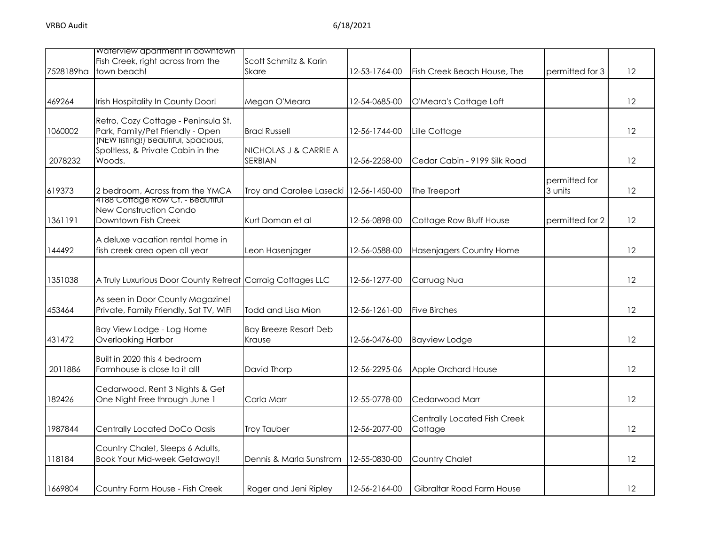|           | Waterview apartment in downtown                                            |                                        |               |                              |                 |         |
|-----------|----------------------------------------------------------------------------|----------------------------------------|---------------|------------------------------|-----------------|---------|
|           | Fish Creek, right across from the                                          | Scott Schmitz & Karin                  |               |                              |                 |         |
| 7528189ha | town beach!                                                                | <b>Skare</b>                           | 12-53-1764-00 | Fish Creek Beach House, The  | permitted for 3 | 12      |
|           |                                                                            |                                        |               |                              |                 |         |
| 469264    | Irish Hospitality In County Door!                                          | Megan O'Meara                          | 12-54-0685-00 | O'Meara's Cottage Loft       |                 | 12      |
|           | Retro, Cozy Cottage - Peninsula St.                                        |                                        |               |                              |                 |         |
| 1060002   | Park, Family/Pet Friendly - Open                                           | <b>Brad Russell</b>                    | 12-56-1744-00 | Lille Cottage                |                 | 12      |
|           | (NEW listing!) Beautitul, Spacious,                                        |                                        |               |                              |                 |         |
| 2078232   | Spoltless, & Private Cabin in the<br>Woods.                                | NICHOLAS J & CARRIE A<br>SERBIAN       | 12-56-2258-00 | Cedar Cabin - 9199 Silk Road |                 | 12      |
|           |                                                                            |                                        |               |                              |                 |         |
|           |                                                                            |                                        |               |                              | permitted for   |         |
| 619373    | 2 bedroom, Across from the YMCA                                            | Troy and Carolee Lasecki 12-56-1450-00 |               | The Treeport                 | 3 units         | 12      |
|           | 4188 Cottage Row Ct. - Beautiful<br>New Construction Condo                 |                                        |               |                              |                 |         |
| 1361191   | Downtown Fish Creek                                                        | Kurt Doman et al                       | 12-56-0898-00 | Cottage Row Bluff House      | permitted for 2 | 12      |
|           |                                                                            |                                        |               |                              |                 |         |
|           | A deluxe vacation rental home in                                           |                                        |               |                              |                 |         |
| 144492    | fish creek area open all year                                              | Leon Hasenjager                        | 12-56-0588-00 | Hasenjagers Country Home     |                 | 12      |
|           |                                                                            |                                        |               |                              |                 |         |
| 1351038   | A Truly Luxurious Door County Retreat Carraig Cottages LLC                 |                                        | 12-56-1277-00 | Carruag Nua                  |                 | 12      |
|           |                                                                            |                                        |               |                              |                 |         |
| 453464    | As seen in Door County Magazine!<br>Private, Family Friendly, Sat TV, WIFI | Todd and Lisa Mion                     | 12-56-1261-00 | <b>Five Birches</b>          |                 | 12      |
|           |                                                                            |                                        |               |                              |                 |         |
|           | Bay View Lodge - Log Home                                                  | <b>Bay Breeze Resort Deb</b>           |               |                              |                 |         |
| 431472    | Overlooking Harbor                                                         | Krause                                 | 12-56-0476-00 | <b>Bayview Lodge</b>         |                 | 12      |
|           | Built in 2020 this 4 bedroom                                               |                                        |               |                              |                 |         |
| 2011886   | Farmhouse is close to it all!                                              | David Thorp                            | 12-56-2295-06 | Apple Orchard House          |                 | 12      |
|           |                                                                            |                                        |               |                              |                 |         |
|           | Cedarwood, Rent 3 Nights & Get                                             |                                        |               |                              |                 |         |
| 182426    | One Night Free through June 1                                              | Carla Marr                             | 12-55-0778-00 | Cedarwood Marr               |                 | 12      |
|           |                                                                            |                                        |               | Centrally Located Fish Creek |                 |         |
| 1987844   | Centrally Located DoCo Oasis                                               | <b>Troy Tauber</b>                     | 12-56-2077-00 | Cottage                      |                 | 12      |
|           |                                                                            |                                        |               |                              |                 |         |
| 118184    | Country Chalet, Sleeps 6 Adults,<br><b>Book Your Mid-week Getaway!!</b>    | Dennis & Marla Sunstrom                | 12-55-0830-00 | Country Chalet               |                 | 12      |
|           |                                                                            |                                        |               |                              |                 |         |
|           |                                                                            |                                        |               |                              |                 |         |
| 1669804   | Country Farm House - Fish Creek                                            | Roger and Jeni Ripley                  | 12-56-2164-00 | Gibraltar Road Farm House    |                 | $12 \,$ |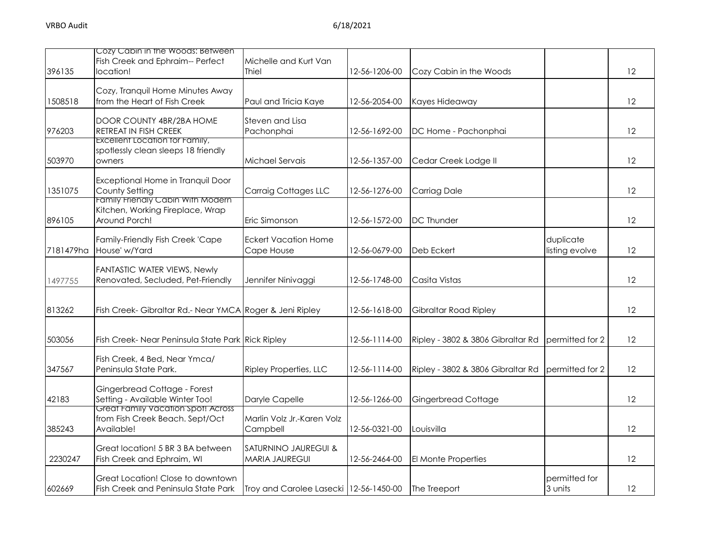|           | Cozy Cabin in the Woods: Between                                                              |                                               |               |                                   |                             |    |
|-----------|-----------------------------------------------------------------------------------------------|-----------------------------------------------|---------------|-----------------------------------|-----------------------------|----|
| 396135    | Fish Creek and Ephraim-- Perfect<br>location!                                                 | Michelle and Kurt Van<br>Thiel                | 12-56-1206-00 | Cozy Cabin in the Woods           |                             | 12 |
| 1508518   | Cozy, Tranquil Home Minutes Away<br>from the Heart of Fish Creek                              | Paul and Tricia Kaye                          | 12-56-2054-00 | Kayes Hideaway                    |                             | 12 |
| 976203    | DOOR COUNTY 4BR/2BA HOME<br>RETREAT IN FISH CREEK                                             | Steven and Lisa<br>Pachonphai                 | 12-56-1692-00 | DC Home - Pachonphai              |                             | 12 |
| 503970    | Excellent Location for Family,<br>spotlessly clean sleeps 18 friendly<br>owners               | Michael Servais                               | 12-56-1357-00 | Cedar Creek Lodge II              |                             | 12 |
| 1351075   | Exceptional Home in Tranquil Door<br>County Setting                                           | Carraig Cottages LLC                          | 12-56-1276-00 | <b>Carriag Dale</b>               |                             | 12 |
| 896105    | <u>Family Frienaly Cabin With Modern</u><br>Kitchen, Working Fireplace, Wrap<br>Around Porch! | Eric Simonson                                 | 12-56-1572-00 | <b>DC</b> Thunder                 |                             | 12 |
| 7181479ha | Family-Friendly Fish Creek 'Cape<br>House' w/Yard                                             | <b>Eckert Vacation Home</b><br>Cape House     | 12-56-0679-00 | Deb Eckert                        | duplicate<br>listing evolve | 12 |
| 1497755   | FANTASTIC WATER VIEWS, Newly<br>Renovated, Secluded, Pet-Friendly                             | Jennifer Ninivaggi                            | 12-56-1748-00 | Casita Vistas                     |                             | 12 |
| 813262    | Fish Creek- Gibraltar Rd.- Near YMCA Roger & Jeni Ripley                                      |                                               | 12-56-1618-00 | <b>Gibraltar Road Ripley</b>      |                             | 12 |
| 503056    | Fish Creek- Near Peninsula State Park Rick Ripley                                             |                                               | 12-56-1114-00 | Ripley - 3802 & 3806 Gibraltar Rd | permitted for 2             | 12 |
| 347567    | Fish Creek, 4 Bed, Near Ymca/<br>Peninsula State Park.                                        | Ripley Properties, LLC                        | 12-56-1114-00 | Ripley - 3802 & 3806 Gibraltar Rd | permitted for 2             | 12 |
| 42183     | Gingerbread Cottage - Forest<br>Setting - Available Winter Too!                               | Daryle Capelle                                | 12-56-1266-00 | Gingerbread Cottage               |                             | 12 |
| 385243    | Great Family vacation spot! Across<br>from Fish Creek Beach. Sept/Oct<br>Available!           | Marlin Volz Jr.-Karen Volz<br>Campbell        | 12-56-0321-00 | Louisvilla                        |                             | 12 |
| 2230247   | Great location! 5 BR 3 BA between<br>Fish Creek and Ephraim, WI                               | SATURNINO JAUREGUI &<br><b>MARIA JAUREGUI</b> | 12-56-2464-00 | El Monte Properties               |                             | 12 |
| 602669    | Great Location! Close to downtown<br>Fish Creek and Peninsula State Park                      | Troy and Carolee Lasecki 12-56-1450-00        |               | The Treeport                      | permitted for<br>3 units    | 12 |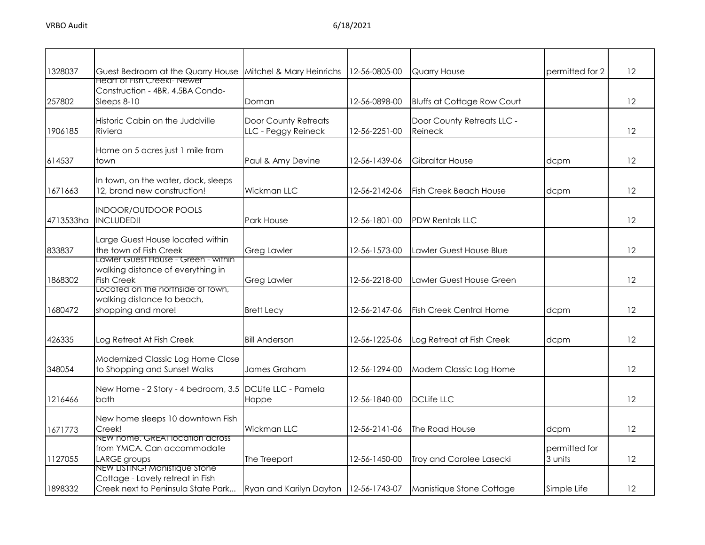| 1328037   | Guest Bedroom at the Quarry House                                                                       | Mitchel & Mary Heinrichs                           | 12-56-0805-00 | <b>Quarry House</b>                   | permitted for 2          | 12 |
|-----------|---------------------------------------------------------------------------------------------------------|----------------------------------------------------|---------------|---------------------------------------|--------------------------|----|
| 257802    | Heart of Fish Creek!- Newer<br>Construction - 4BR, 4.5BA Condo-<br>Sleeps 8-10                          | Doman                                              | 12-56-0898-00 | <b>Bluffs at Cottage Row Court</b>    |                          | 12 |
| 1906185   | Historic Cabin on the Juddville<br>Riviera                                                              | <b>Door County Retreats</b><br>LLC - Peggy Reineck | 12-56-2251-00 | Door County Retreats LLC -<br>Reineck |                          | 12 |
| 614537    | Home on 5 acres just 1 mile from<br>town                                                                | Paul & Amy Devine                                  | 12-56-1439-06 | Gibraltar House                       | dcpm                     | 12 |
| 1671663   | In town, on the water, dock, sleeps<br>12, brand new construction!                                      | Wickman LLC                                        | 12-56-2142-06 | <b>Fish Creek Beach House</b>         | dcpm                     | 12 |
| 4713533ha | <b>INDOOR/OUTDOOR POOLS</b><br>INCLUDED!!                                                               | Park House                                         | 12-56-1801-00 | <b>PDW Rentals LLC</b>                |                          | 12 |
| 833837    | Large Guest House located within<br>the town of Fish Creek                                              | <b>Greg Lawler</b>                                 | 12-56-1573-00 | Lawler Guest House Blue               |                          | 12 |
| 1868302   | Lawler Guest House - Green - within<br>walking distance of everything in<br><b>Fish Creek</b>           | <b>Greg Lawler</b>                                 | 12-56-2218-00 | Lawler Guest House Green              |                          | 12 |
| 1680472   | Located on the northside of fown,<br>walking distance to beach,<br>shopping and more!                   | <b>Brett Lecy</b>                                  | 12-56-2147-06 | <b>Fish Creek Central Home</b>        | dcpm                     | 12 |
| 426335    | Log Retreat At Fish Creek                                                                               | <b>Bill Anderson</b>                               | 12-56-1225-06 | Log Retreat at Fish Creek             | dcpm                     | 12 |
| 348054    | Modernized Classic Log Home Close<br>to Shopping and Sunset Walks                                       | James Graham                                       | 12-56-1294-00 | Modern Classic Log Home               |                          | 12 |
| 1216466   | New Home - 2 Story - 4 bedroom, 3.5 DCLife LLC - Pamela<br>bath                                         | Hoppe                                              | 12-56-1840-00 | <b>DCLife LLC</b>                     |                          | 12 |
| 1671773   | New home sleeps 10 downtown Fish<br>Creek!                                                              | <b>Wickman LLC</b>                                 | 12-56-2141-06 | The Road House                        | dcpm                     | 12 |
| 1127055   | NEW home. GREAI location across<br>from YMCA. Can accommodate<br>LARGE groups                           | The Treeport                                       | 12-56-1450-00 | Troy and Carolee Lasecki              | permitted for<br>3 units | 12 |
| 1898332   | NEW LISTING! Manistique Stone<br>Cottage - Lovely retreat in Fish<br>Creek next to Peninsula State Park | Ryan and Karilyn Dayton 12-56-1743-07              |               | Manistique Stone Cottage              | Simple Life              | 12 |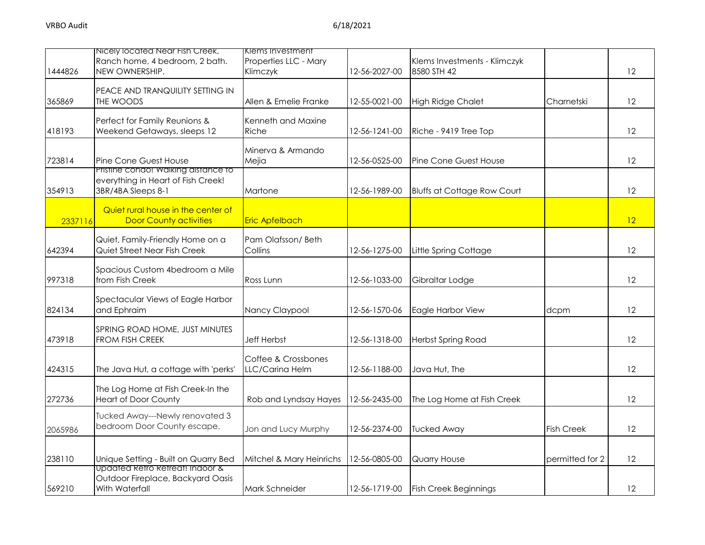|         | Nicely located Near Fish Creek,<br>Ranch home, 4 bedroom, 2 bath.                                 | Klems Investment<br>Properties LLC - Mary |               | Klems Investments - Klimczyk       |                   |    |
|---------|---------------------------------------------------------------------------------------------------|-------------------------------------------|---------------|------------------------------------|-------------------|----|
| 1444826 | NEW OWNERSHIP.                                                                                    | Klimczyk                                  | 12-56-2027-00 | 8580 STH 42                        |                   | 12 |
| 365869  | PEACE AND TRANQUILITY SETTING IN<br>THE WOODS                                                     | Allen & Emelie Franke                     | 12-55-0021-00 | <b>High Ridge Chalet</b>           | Charnetski        | 12 |
| 418193  | Perfect for Family Reunions &<br>Weekend Getaways, sleeps 12                                      | Kenneth and Maxine<br>Riche               | 12-56-1241-00 | Riche - 9419 Tree Top              |                   | 12 |
| 723814  | Pine Cone Guest House                                                                             | Minerva & Armando<br>Mejia                | 12-56-0525-00 | <b>Pine Cone Guest House</b>       |                   | 12 |
| 354913  | Pristine condo! Walking distance to<br>everything in Heart of Fish Creek!<br>3BR/4BA Sleeps 8-1   | Martone                                   | 12-56-1989-00 | <b>Bluffs at Cottage Row Court</b> |                   | 12 |
| 2337116 | Quiet rural house in the center of<br><b>Door County activities</b>                               | <b>Eric Apfelbach</b>                     |               |                                    |                   | 12 |
| 642394  | Quiet, Family-Friendly Home on a<br>Quiet Street Near Fish Creek                                  | Pam Olafsson/Beth<br>Collins              | 12-56-1275-00 | Little Spring Cottage              |                   | 12 |
| 997318  | Spacious Custom 4bedroom a Mile<br>from Fish Creek                                                | Ross Lunn                                 | 12-56-1033-00 | Gibraltar Lodge                    |                   | 12 |
| 824134  | Spectacular Views of Eagle Harbor<br>and Ephraim                                                  | Nancy Claypool                            | 12-56-1570-06 | Eagle Harbor View                  | dcpm              | 12 |
| 473918  | SPRING ROAD HOME, JUST MINUTES<br><b>FROM FISH CREEK</b>                                          | <b>Jeff Herbst</b>                        | 12-56-1318-00 | <b>Herbst Spring Road</b>          |                   | 12 |
| 424315  | The Java Hut, a cottage with 'perks'                                                              | Coffee & Crossbones<br>LLC/Carina Helm    | 12-56-1188-00 | Java Hut, The                      |                   | 12 |
| 272736  | The Log Home at Fish Creek-In the<br><b>Heart of Door County</b>                                  | Rob and Lyndsay Hayes                     | 12-56-2435-00 | The Log Home at Fish Creek         |                   | 12 |
| 2065986 | Tucked Away---Newly renovated 3<br>bedroom Door County escape.                                    | Jon and Lucy Murphy                       | 12-56-2374-00 | <b>Tucked Away</b>                 | <b>Fish Creek</b> | 12 |
| 238110  | Unique Setting - Built on Quarry Bed                                                              | Mitchel & Mary Heinrichs                  | 12-56-0805-00 | <b>Quarry House</b>                | permitted for 2   | 12 |
| 569210  | <u>Updated Retro Retreat! Indoor &amp;</u><br>Outdoor Fireplace, Backyard Oasis<br>With Waterfall | Mark Schneider                            | 12-56-1719-00 | <b>Fish Creek Beginnings</b>       |                   | 12 |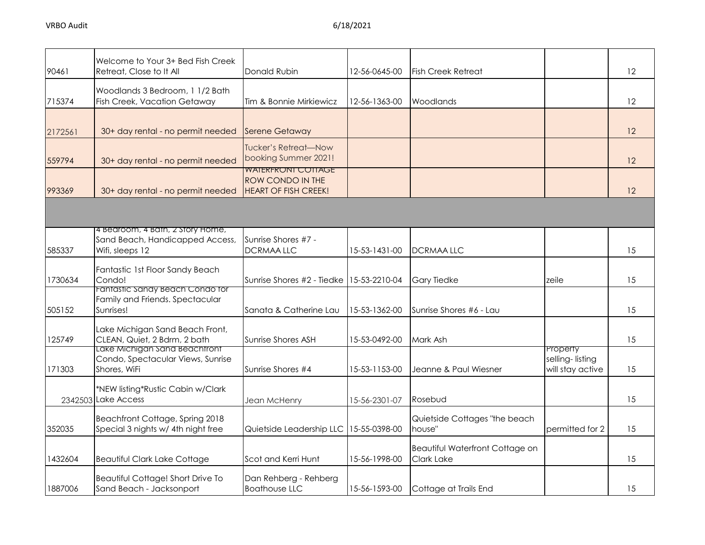| 90461   | Welcome to Your 3+ Bed Fish Creek<br>Retreat, Close to It All                          | Donald Rubin                                                                 | 12-56-0645-00 | <b>Fish Creek Retreat</b>                            |                                                 | 12 |
|---------|----------------------------------------------------------------------------------------|------------------------------------------------------------------------------|---------------|------------------------------------------------------|-------------------------------------------------|----|
| 715374  | Woodlands 3 Bedroom, 1 1/2 Bath<br><b>Fish Creek, Vacation Getaway</b>                 | Tim & Bonnie Mirkiewicz                                                      | 12-56-1363-00 | Woodlands                                            |                                                 | 12 |
| 2172561 | 30+ day rental - no permit needed                                                      | <b>Serene Getaway</b>                                                        |               |                                                      |                                                 | 12 |
| 559794  | 30+ day rental - no permit needed                                                      | Tucker's Retreat—Now<br>booking Summer 2021!                                 |               |                                                      |                                                 | 12 |
| 993369  | 30+ day rental - no permit needed                                                      | <u>WAIERFRONI COITAGE</u><br>ROW CONDO IN THE<br><b>HEART OF FISH CREEK!</b> |               |                                                      |                                                 | 12 |
|         |                                                                                        |                                                                              |               |                                                      |                                                 |    |
| 585337  | 4 Bearoom, 4 Bath, 2 Story Home,<br>Sand Beach, Handicapped Access,<br>Wifi, sleeps 12 | Sunrise Shores #7 -<br><b>DCRMAALLC</b>                                      | 15-53-1431-00 | <b>DCRMAALLC</b>                                     |                                                 | 15 |
| 1730634 | Fantastic 1st Floor Sandy Beach<br>Condo!                                              | Sunrise Shores #2 - Tiedke                                                   | 15-53-2210-04 | <b>Gary Tiedke</b>                                   | zeile                                           | 15 |
| 505152  | Fantastic Sandy Beach Condo for<br>Family and Friends. Spectacular<br>Sunrises!        | Sanata & Catherine Lau                                                       | 15-53-1362-00 | Sunrise Shores #6 - Lau                              |                                                 | 15 |
| 125749  | Lake Michigan Sand Beach Front,<br>CLEAN, Quiet, 2 Bdrm, 2 bath                        | Sunrise Shores ASH                                                           | 15-53-0492-00 | Mark Ash                                             |                                                 | 15 |
| 171303  | Lake Michigan Sand Beachtront<br>Condo, Spectacular Views, Sunrise<br>Shores, WiFi     | Sunrise Shores #4                                                            | 15-53-1153-00 | Jeanne & Paul Wiesner                                | Property<br>selling-listing<br>will stay active | 15 |
|         | *NEW listing*Rustic Cabin w/Clark<br>2342503 Lake Access                               | Jean McHenry                                                                 | 15-56-2301-07 | Rosebud                                              |                                                 | 15 |
| 352035  | Beachfront Cottage, Spring 2018<br>Special 3 nights w/ 4th night free                  | Quietside Leadership LLC                                                     | 15-55-0398-00 | Quietside Cottages "the beach<br>house"              | permitted for 2                                 | 15 |
| 1432604 | <b>Beautiful Clark Lake Cottage</b>                                                    | Scot and Kerri Hunt                                                          | 15-56-1998-00 | Beautiful Waterfront Cottage on<br><b>Clark Lake</b> |                                                 | 15 |
| 1887006 | Beautiful Cottage! Short Drive To<br>Sand Beach - Jacksonport                          | Dan Rehberg - Rehberg<br><b>Boathouse LLC</b>                                | 15-56-1593-00 | Cottage at Trails End                                |                                                 | 15 |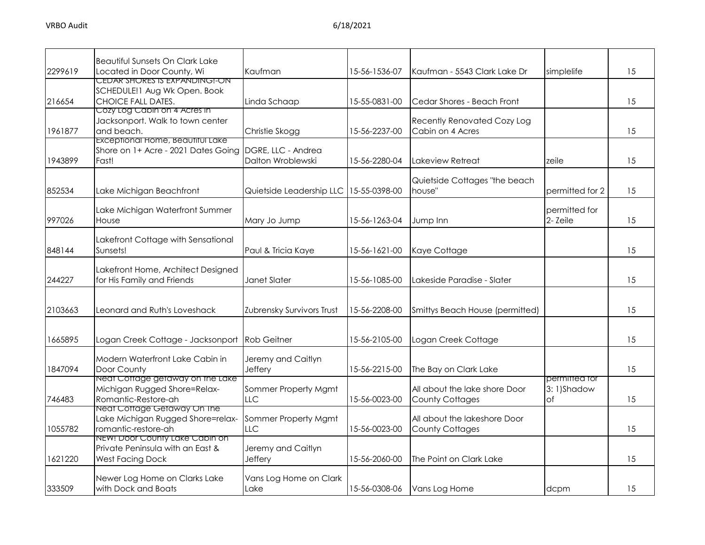| 2299619 | <b>Beautiful Sunsets On Clark Lake</b><br>Located in Door County, Wi                          | Kaufman                                  | 15-56-1536-07 | Kaufman - 5543 Clark Lake Dr                            | simplelife                        | 15 |
|---------|-----------------------------------------------------------------------------------------------|------------------------------------------|---------------|---------------------------------------------------------|-----------------------------------|----|
| 216654  | CEDAR SHORES IS EXPANDING!-ON<br>SCHEDULE! 1 Aug Wk Open. Book<br>CHOICE FALL DATES.          | Linda Schaap                             | 15-55-0831-00 | Cedar Shores - Beach Front                              |                                   | 15 |
| 1961877 | Cozy Log Cabin on 4 Acres in<br>Jacksonport. Walk to town center<br>and beach.                | Christie Skogg                           | 15-56-2237-00 | <b>Recently Renovated Cozy Log</b><br>Cabin on 4 Acres  |                                   | 15 |
| 1943899 | Exceptional Home, Beautiful Lake<br>Shore on 1+ Acre - 2021 Dates Going<br>Fast!              | DGRE, LLC - Andrea<br>Dalton Wroblewski  | 15-56-2280-04 | Lakeview Retreat                                        | zeile                             | 15 |
| 852534  | Lake Michigan Beachfront                                                                      | Quietside Leadership LLC   15-55-0398-00 |               | Quietside Cottages "the beach<br>house"                 | permitted for 2                   | 15 |
| 997026  | Lake Michigan Waterfront Summer<br>House                                                      | Mary Jo Jump                             | 15-56-1263-04 | Jump Inn                                                | permitted for<br>2-Zeile          | 15 |
| 848144  | Lakefront Cottage with Sensational<br>Sunsets!                                                | Paul & Tricia Kaye                       | 15-56-1621-00 | Kaye Cottage                                            |                                   | 15 |
| 244227  | Lakefront Home, Architect Designed<br>for His Family and Friends                              | Janet Slater                             | 15-56-1085-00 | Lakeside Paradise - Slater                              |                                   | 15 |
| 2103663 | Leonard and Ruth's Loveshack                                                                  | Zubrensky Survivors Trust                | 15-56-2208-00 | Smittys Beach House (permitted)                         |                                   | 15 |
| 1665895 | Logan Creek Cottage - Jacksonport Rob Geitner                                                 |                                          | 15-56-2105-00 | Logan Creek Cottage                                     |                                   | 15 |
| 1847094 | Modern Waterfront Lake Cabin in<br>Door County                                                | Jeremy and Caitlyn<br><b>Jeffery</b>     | 15-56-2215-00 | The Bay on Clark Lake                                   |                                   | 15 |
| 746483  | Neat Cottage getaway on the Lake<br>Michigan Rugged Shore=Relax-<br>Romantic-Restore-ah       | Sommer Property Mgmt<br><b>LLC</b>       | 15-56-0023-00 | All about the lake shore Door<br><b>County Cottages</b> | permitted for<br>3:1)Shadow<br>of | 15 |
| 1055782 | Neat Cottage Getaway On the<br>Lake Michigan Rugged Shore=relax-<br>romantic-restore-ah       | Sommer Property Mgmt<br>LLC              | 15-56-0023-00 | All about the lakeshore Door<br><b>County Cottages</b>  |                                   | 15 |
| 1621220 | NEW! Door County Lake Cabin on<br>Private Peninsula with an East &<br><b>West Facing Dock</b> | Jeremy and Caitlyn<br>Jeffery            | 15-56-2060-00 | The Point on Clark Lake                                 |                                   | 15 |
| 333509  | Newer Log Home on Clarks Lake<br>with Dock and Boats                                          | Vans Log Home on Clark<br>Lake           | 15-56-0308-06 | Vans Log Home                                           | dcpm                              | 15 |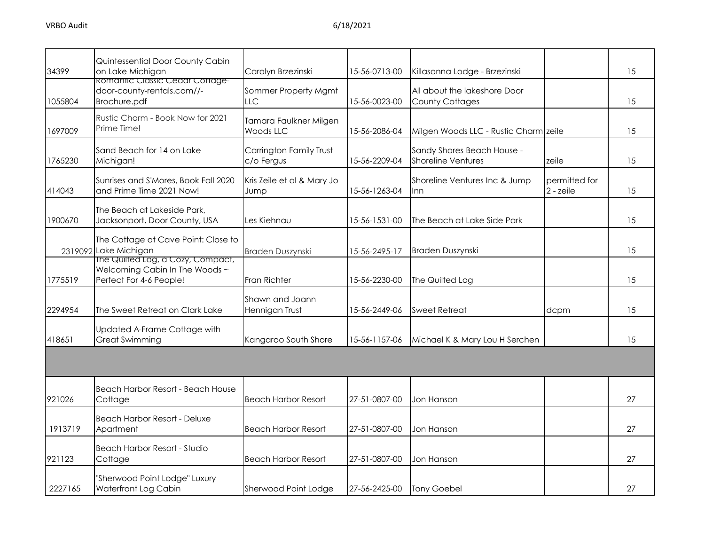| 34399   | Quintessential Door County Cabin<br>on Lake Michigan                                           | Carolyn Brzezinski                         | 15-56-0713-00 | Killasonna Lodge - Brzezinski                           |                            | 15 |
|---------|------------------------------------------------------------------------------------------------|--------------------------------------------|---------------|---------------------------------------------------------|----------------------------|----|
| 1055804 | <b>Romantic Classic Cedar Cottage-</b><br>door-county-rentals.com//-<br>Brochure.pdf           | Sommer Property Mgmt<br>LLC                | 15-56-0023-00 | All about the lakeshore Door<br><b>County Cottages</b>  |                            | 15 |
| 1697009 | Rustic Charm - Book Now for 2021<br>Prime Time!                                                | Tamara Faulkner Milgen<br><b>Woods LLC</b> | 15-56-2086-04 | Milgen Woods LLC - Rustic Charm zeile                   |                            | 15 |
| 1765230 | Sand Beach for 14 on Lake<br>Michigan!                                                         | Carrington Family Trust<br>c/o Fergus      | 15-56-2209-04 | Sandy Shores Beach House -<br><b>Shoreline Ventures</b> | zeile                      | 15 |
| 414043  | Sunrises and S'Mores, Book Fall 2020<br>and Prime Time 2021 Now!                               | Kris Zeile et al & Mary Jo<br>Jump         | 15-56-1263-04 | Shoreline Ventures Inc & Jump<br>Inn                    | permitted for<br>2 - zeile | 15 |
| 1900670 | The Beach at Lakeside Park,<br>Jacksonport, Door County, USA                                   | Les Kiehnau                                | 15-56-1531-00 | The Beach at Lake Side Park                             |                            | 15 |
|         | The Cottage at Cave Point: Close to<br>2319092 Lake Michigan                                   | Braden Duszynski                           | 15-56-2495-17 | <b>Braden Duszynski</b>                                 |                            | 15 |
| 1775519 | The Quilted Log, a Cozy, Compact,<br>Welcoming Cabin In The Woods ~<br>Perfect For 4-6 People! | Fran Richter                               | 15-56-2230-00 | The Quilted Log                                         |                            | 15 |
| 2294954 | The Sweet Retreat on Clark Lake                                                                | Shawn and Joann<br>Hennigan Trust          | 15-56-2449-06 | <b>Sweet Retreat</b>                                    | dcpm                       | 15 |
| 418651  | Updated A-Frame Cottage with<br><b>Great Swimming</b>                                          | Kangaroo South Shore                       | 15-56-1157-06 | Michael K & Mary Lou H Serchen                          |                            | 15 |
|         |                                                                                                |                                            |               |                                                         |                            |    |
| 921026  | Beach Harbor Resort - Beach House<br>Cottage                                                   | <b>Beach Harbor Resort</b>                 | 27-51-0807-00 | Jon Hanson                                              |                            | 27 |
| 1913719 | <b>Beach Harbor Resort - Deluxe</b><br>Apartment                                               | <b>Beach Harbor Resort</b>                 | 27-51-0807-00 | Jon Hanson                                              |                            | 27 |
| 921123  | Beach Harbor Resort - Studio<br>Cottage                                                        | <b>Beach Harbor Resort</b>                 | 27-51-0807-00 | Jon Hanson                                              |                            | 27 |
| 2227165 | "Sherwood Point Lodge" Luxury<br>Waterfront Log Cabin                                          | Sherwood Point Lodge                       | 27-56-2425-00 | <b>Tony Goebel</b>                                      |                            | 27 |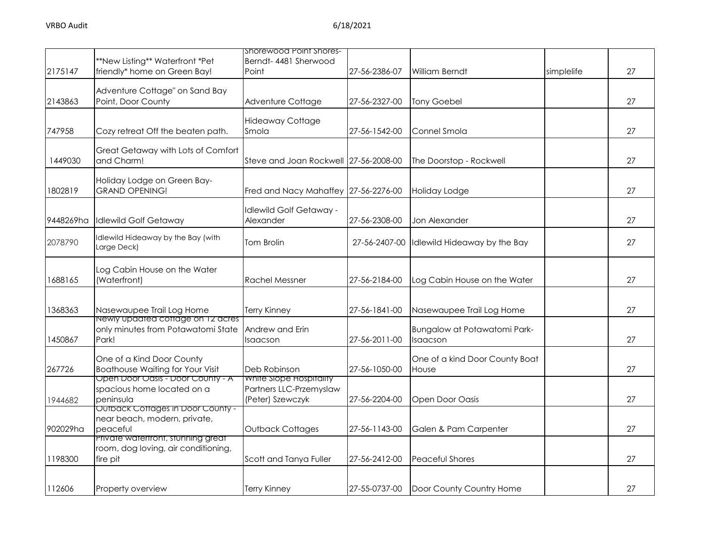|           |                                                                       | Shorewood Point Shores-                     |               |                                |            |    |
|-----------|-----------------------------------------------------------------------|---------------------------------------------|---------------|--------------------------------|------------|----|
| 2175147   | **New Listing** Waterfront *Pet<br>friendly* home on Green Bay!       | Berndt- 4481 Sherwood<br>Point              | 27-56-2386-07 | William Berndt                 | simplelife | 27 |
|           |                                                                       |                                             |               |                                |            |    |
|           | Adventure Cottage" on Sand Bay                                        |                                             |               |                                |            |    |
| 2143863   | Point, Door County                                                    | Adventure Cottage                           | 27-56-2327-00 | <b>Tony Goebel</b>             |            | 27 |
|           |                                                                       | <b>Hideaway Cottage</b>                     |               |                                |            |    |
| 747958    | Cozy retreat Off the beaten path.                                     | Smola                                       | 27-56-1542-00 | Connel Smola                   |            | 27 |
|           | Great Getaway with Lots of Comfort                                    |                                             |               |                                |            |    |
| 1449030   | and Charm!                                                            | Steve and Joan Rockwell 27-56-2008-00       |               | The Doorstop - Rockwell        |            | 27 |
|           | Holiday Lodge on Green Bay-                                           |                                             |               |                                |            |    |
| 1802819   | <b>GRAND OPENING!</b>                                                 | Fred and Nacy Mahaffey 27-56-2276-00        |               | Holiday Lodge                  |            | 27 |
|           |                                                                       |                                             |               |                                |            |    |
| 9448269ha | <b>Idlewild Golf Getaway</b>                                          | Idlewild Golf Getaway -<br>Alexander        | 27-56-2308-00 | Jon Alexander                  |            | 27 |
|           |                                                                       |                                             |               |                                |            |    |
| 2078790   | dlewild Hideaway by the Bay (with<br>Large Deck)                      | Tom Brolin                                  | 27-56-2407-00 | Idlewild Hideaway by the Bay   |            | 27 |
|           |                                                                       |                                             |               |                                |            |    |
|           | Log Cabin House on the Water                                          |                                             |               |                                |            |    |
| 1688165   | (Waterfront)                                                          | <b>Rachel Messner</b>                       | 27-56-2184-00 | Log Cabin House on the Water   |            | 27 |
|           |                                                                       |                                             |               |                                |            |    |
| 1368363   | Nasewaupee Trail Log Home<br><u>Newly upaated cottage on 12 acres</u> | <b>Terry Kinney</b>                         | 27-56-1841-00 | Nasewaupee Trail Log Home      |            | 27 |
|           | only minutes from Potawatomi State                                    | Andrew and Erin                             |               | Bungalow at Potawatomi Park-   |            |    |
| 1450867   | Park!                                                                 | Isaacson                                    | 27-56-2011-00 | Isaacson                       |            | 27 |
|           | One of a Kind Door County                                             |                                             |               | One of a kind Door County Boat |            |    |
| 267726    | <b>Boathouse Waiting for Your Visit</b>                               | Deb Robinson                                | 27-56-1050-00 | House                          |            | 27 |
|           | Open Door Oasis - Door County - A                                     | White Slope Hospitality                     |               |                                |            |    |
|           | spacious home located on a<br>peninsula                               | Partners LLC-Przemyslaw<br>(Peter) Szewczyk | 27-56-2204-00 | Open Door Oasis                |            | 27 |
| 1944682   | <u> Outback Coffages in Door County -</u>                             |                                             |               |                                |            |    |
|           | near beach, modern, private,                                          |                                             |               |                                |            |    |
| 902029ha  | peaceful<br>Private watertront, stunning great                        | <b>Outback Cottages</b>                     | 27-56-1143-00 | Galen & Pam Carpenter          |            | 27 |
|           | room, dog loving, air conditioning,                                   |                                             |               |                                |            |    |
| 1198300   | fire pit                                                              | Scott and Tanya Fuller                      | 27-56-2412-00 | <b>Peaceful Shores</b>         |            | 27 |
|           |                                                                       |                                             |               |                                |            |    |
| 112606    | Property overview                                                     | <b>Terry Kinney</b>                         | 27-55-0737-00 | Door County Country Home       |            | 27 |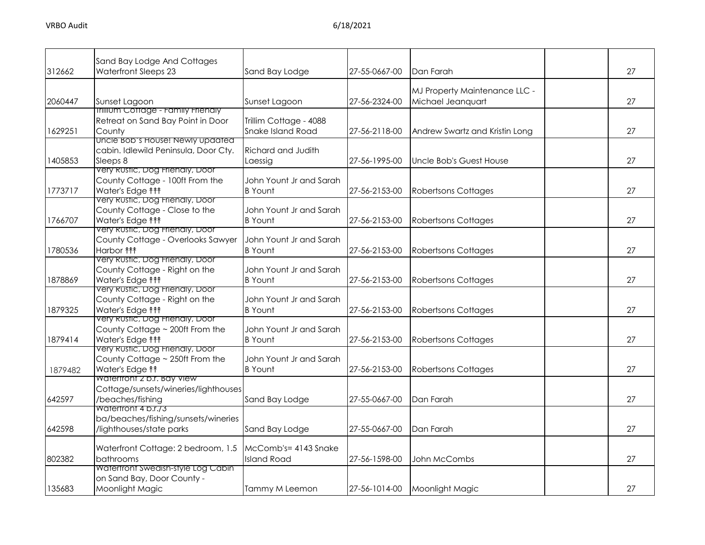| 312662  | Sand Bay Lodge And Cottages<br>Waterfront Sleeps 23                                                                                 | Sand Bay Lodge                              | 27-55-0667-00 | Dan Farah                                          | 27 |
|---------|-------------------------------------------------------------------------------------------------------------------------------------|---------------------------------------------|---------------|----------------------------------------------------|----|
| 2060447 | Sunset Lagoon                                                                                                                       | Sunset Lagoon                               | 27-56-2324-00 | MJ Property Maintenance LLC -<br>Michael Jeanquart | 27 |
| 1629251 | <b>Inilium Cottage - Family Frienaly</b><br>Retreat on Sand Bay Point in Door<br>County                                             | Trillim Cottage - 4088<br>Snake Island Road | 27-56-2118-00 | Andrew Swartz and Kristin Long                     | 27 |
| 1405853 | Uncle Bob's House! Newly updated<br>cabin. Idlewild Peninsula, Door Cty.<br>Sleeps 8                                                | Richard and Judith<br>Laessig               | 27-56-1995-00 | Uncle Bob's Guest House                            | 27 |
| 1773717 | Very Rustic, Dog Friendly, Door<br>County Cottage - 100ft From the<br>Water's Edge <sup>11</sup><br>Very Rustic, Dog Friendly, Door | John Yount Jr and Sarah<br><b>B</b> Yount   | 27-56-2153-00 | <b>Robertsons Cottages</b>                         | 27 |
| 1766707 | County Cottage - Close to the<br>Water's Edge <sup>11</sup><br>very Rustic, Dog Frienaly, Door                                      | John Yount Jr and Sarah<br><b>B</b> Yount   | 27-56-2153-00 | <b>Robertsons Cottages</b>                         | 27 |
| 1780536 | County Cottage - Overlooks Sawyer<br>Harbor <b>fff</b><br>Very Rustic, Dog Friendly, Door                                           | John Yount Jr and Sarah<br><b>B</b> Yount   | 27-56-2153-00 | <b>Robertsons Cottages</b>                         | 27 |
| 1878869 | County Cottage - Right on the<br>Water's Edge <sup>11</sup><br>Very Rustic, Dog Frienaly, Door                                      | John Yount Jr and Sarah<br><b>B</b> Yount   | 27-56-2153-00 | <b>Robertsons Cottages</b>                         | 27 |
| 1879325 | County Cottage - Right on the<br>Water's Edge <sup>11</sup><br>very Rustic, Dog Frienaly, Door                                      | John Yount Jr and Sarah<br><b>B</b> Yount   | 27-56-2153-00 | <b>Robertsons Cottages</b>                         | 27 |
| 1879414 | County Cottage ~ 200ft From the<br>Water's Edge <sup>11</sup><br>Very Rustic, Dog Frienaly, Door                                    | John Yount Jr and Sarah<br><b>B</b> Yount   | 27-56-2153-00 | <b>Robertsons Cottages</b>                         | 27 |
| 1879482 | County Cottage ~ 250ft From the<br>Water's Edge <sup>11</sup><br>Watertront 2 b.r. Bay View                                         | John Yount Jr and Sarah<br><b>B</b> Yount   | 27-56-2153-00 | <b>Robertsons Cottages</b>                         | 27 |
| 642597  | Cottage/sunsets/wineries/lighthouses<br>/beaches/fishing<br>watertront 4 p.r.73                                                     | Sand Bay Lodge                              | 27-55-0667-00 | Dan Farah                                          | 27 |
| 642598  | ba/beaches/fishing/sunsets/wineries<br>/lighthouses/state parks                                                                     | Sand Bay Lodge                              | 27-55-0667-00 | Dan Farah                                          | 27 |
| 802382  | Waterfront Cottage: 2 bedroom, 1.5<br>bathrooms                                                                                     | McComb's= 4143 Snake<br><b>Island Road</b>  | 27-56-1598-00 | John McCombs                                       | 27 |
| 135683  | Watertront Swedish-style Log Cabin<br>on Sand Bay, Door County -<br>Moonlight Magic                                                 | Tammy M Leemon                              | 27-56-1014-00 | Moonlight Magic                                    | 27 |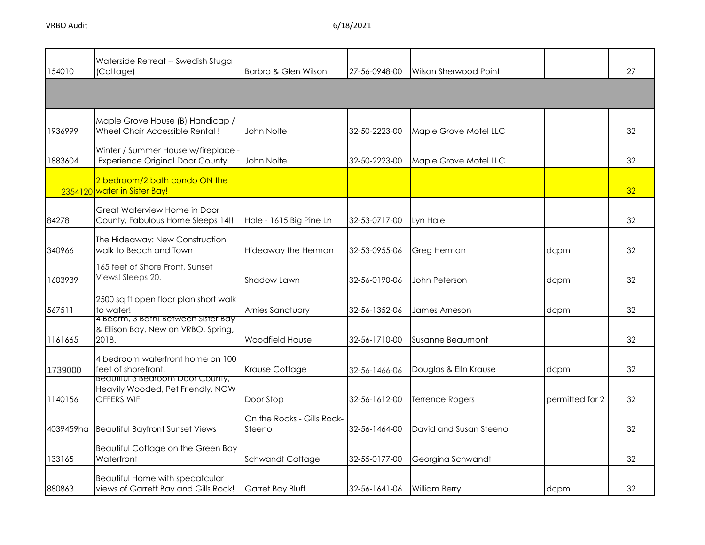| 154010    | Waterside Retreat -- Swedish Stuga<br>(Cottage)                                      | Barbro & Glen Wilson                 | 27-56-0948-00 | Wilson Sherwood Point  |                 | 27 |
|-----------|--------------------------------------------------------------------------------------|--------------------------------------|---------------|------------------------|-----------------|----|
|           |                                                                                      |                                      |               |                        |                 |    |
| 1936999   | Maple Grove House (B) Handicap /<br>Wheel Chair Accessible Rental!                   | John Nolte                           | 32-50-2223-00 | Maple Grove Motel LLC  |                 | 32 |
| 1883604   | Winter / Summer House w/fireplace -<br><b>Experience Original Door County</b>        | John Nolte                           | 32-50-2223-00 | Maple Grove Motel LLC  |                 | 32 |
|           | 2 bedroom/2 bath condo ON the<br>2354120 water in Sister Bay!                        |                                      |               |                        |                 | 32 |
| 84278     | Great Waterview Home in Door<br>County. Fabulous Home Sleeps 14!!                    | Hale - 1615 Big Pine Ln              | 32-53-0717-00 | Lyn Hale               |                 | 32 |
| 340966    | The Hideaway: New Construction<br>walk to Beach and Town                             | Hideaway the Herman                  | 32-53-0955-06 | Greg Herman            | dcpm            | 32 |
| 1603939   | 165 feet of Shore Front, Sunset<br>Views! Sleeps 20.                                 | Shadow Lawn                          | 32-56-0190-06 | John Peterson          | dcpm            | 32 |
| 567511    | 2500 sq ft open floor plan short walk<br>to water!                                   | Arnies Sanctuary                     | 32-56-1352-06 | James Arneson          | dcpm            | 32 |
| 1161665   | 4 Bearm, 3 Bath! Between Sister Bay<br>& Ellison Bay. New on VRBO, Spring,<br>2018.  | Woodfield House                      | 32-56-1710-00 | Susanne Beaumont       |                 | 32 |
| 1739000   | 4 bedroom waterfront home on 100<br>feet of shorefront!                              | Krause Cottage                       | 32-56-1466-06 | Douglas & Elln Krause  | dcpm            | 32 |
| 1140156   | Beautitul 3 Bearoom Door County,<br>Heavily Wooded, Pet Friendly, NOW<br>OFFERS WIFI | Door Stop                            | 32-56-1612-00 | <b>Terrence Rogers</b> | permitted for 2 | 32 |
| 4039459ha | <b>Beautiful Bayfront Sunset Views</b>                                               | On the Rocks - Gills Rock-<br>Steeno | 32-56-1464-00 | David and Susan Steeno |                 | 32 |
| 133165    | Beautiful Cottage on the Green Bay<br>Waterfront                                     | Schwandt Cottage                     | 32-55-0177-00 | Georgina Schwandt      |                 | 32 |
| 880863    | Beautiful Home with specatcular<br>views of Garrett Bay and Gills Rock!              | Garret Bay Bluff                     | 32-56-1641-06 | <b>William Berry</b>   | dcpm            | 32 |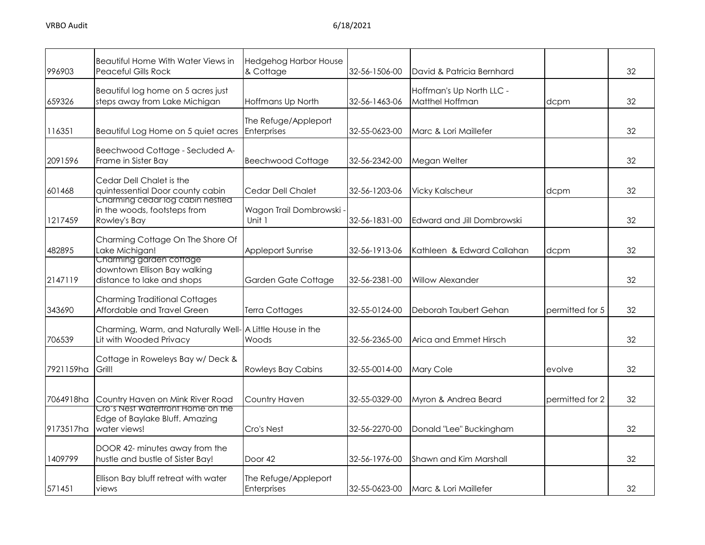| 996903    | <b>Beautiful Home With Water Views in</b><br><b>Peaceful Gills Rock</b>                          | <b>Hedgehog Harbor House</b><br>& Cottage | 32-56-1506-00 | David & Patricia Bernhard                   |                 | 32 |
|-----------|--------------------------------------------------------------------------------------------------|-------------------------------------------|---------------|---------------------------------------------|-----------------|----|
| 659326    | Beautiful log home on 5 acres just<br>steps away from Lake Michigan                              | Hoffmans Up North                         | 32-56-1463-06 | Hoffman's Up North LLC -<br>Matthel Hoffman | dcpm            | 32 |
| 116351    | Beautiful Log Home on 5 quiet acres                                                              | The Refuge/Appleport<br>Enterprises       | 32-55-0623-00 | Marc & Lori Maillefer                       |                 | 32 |
| 2091596   | Beechwood Cottage - Secluded A-<br>Frame in Sister Bay                                           | <b>Beechwood Cottage</b>                  | 32-56-2342-00 | Megan Welter                                |                 | 32 |
| 601468    | Cedar Dell Chalet is the<br>quintessential Door county cabin<br>Charming cedar log cabin nestled | <b>Cedar Dell Chalet</b>                  | 32-56-1203-06 | <b>Vicky Kalscheur</b>                      | dcpm            | 32 |
| 1217459   | in the woods, footsteps from<br>Rowley's Bay                                                     | Wagon Trail Dombrowski -<br>Unit 1        | 32-56-1831-00 | Edward and Jill Dombrowski                  |                 | 32 |
| 482895    | Charming Cottage On The Shore Of<br>Lake Michigan!                                               | <b>Appleport Sunrise</b>                  | 32-56-1913-06 | Kathleen & Edward Callahan                  | dcpm            | 32 |
| 2147119   | Charming garden cottage<br>downtown Ellison Bay walking<br>distance to lake and shops            | Garden Gate Cottage                       | 32-56-2381-00 | <b>Willow Alexander</b>                     |                 | 32 |
| 343690    | <b>Charming Traditional Cottages</b><br>Affordable and Travel Green                              | Terra Cottages                            | 32-55-0124-00 | Deborah Taubert Gehan                       | permitted for 5 | 32 |
| 706539    | Charming, Warm, and Naturally Well- A Little House in the<br>Lit with Wooded Privacy             | Woods                                     | 32-56-2365-00 | Arica and Emmet Hirsch                      |                 | 32 |
| 7921159ha | Cottage in Roweleys Bay w/ Deck &<br>Grill!                                                      | <b>Rowleys Bay Cabins</b>                 | 32-55-0014-00 | Mary Cole                                   | evolve          | 32 |
| 7064918ha | Country Haven on Mink River Road                                                                 | Country Haven                             | 32-55-0329-00 | Myron & Andrea Beard                        | permitted for 2 | 32 |
| 9173517ha | <u>Crois Nest waterfront Home on the </u><br>Edge of Baylake Bluff. Amazing<br>water views!      | Cro's Nest                                | 32-56-2270-00 | Donald "Lee" Buckingham                     |                 | 32 |
| 1409799   | DOOR 42- minutes away from the<br>hustle and bustle of Sister Bay!                               | Door 42                                   | 32-56-1976-00 | Shawn and Kim Marshall                      |                 | 32 |
| 571451    | Ellison Bay bluff retreat with water<br>views                                                    | The Refuge/Appleport<br>Enterprises       | 32-55-0623-00 | Marc & Lori Maillefer                       |                 | 32 |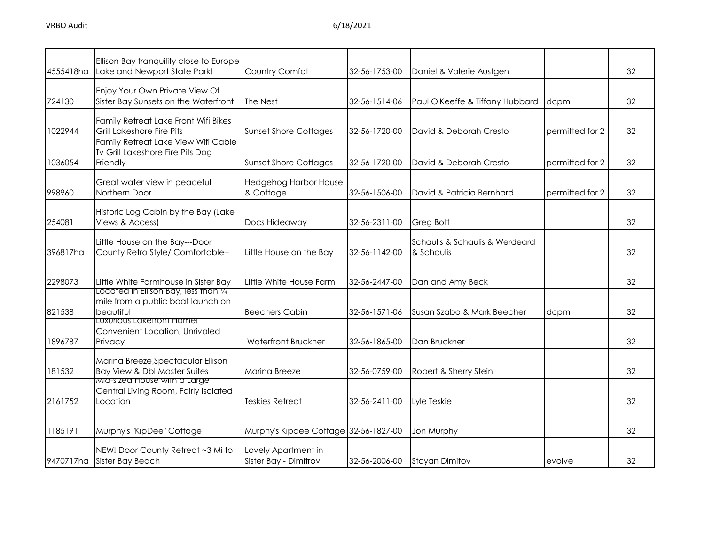| 4555418ha | Ellison Bay tranquility close to Europe<br>Lake and Newport State Park!                                              | Country Comfot                               | 32-56-1753-00 | Daniel & Valerie Austgen                     |                 | 32 |
|-----------|----------------------------------------------------------------------------------------------------------------------|----------------------------------------------|---------------|----------------------------------------------|-----------------|----|
| 724130    | Enjoy Your Own Private View Of<br>Sister Bay Sunsets on the Waterfront                                               | The Nest                                     | 32-56-1514-06 | Paul O'Keeffe & Tiffany Hubbard              | dcpm            | 32 |
| 1022944   | Family Retreat Lake Front Wifi Bikes<br>Grill Lakeshore Fire Pits                                                    | <b>Sunset Shore Cottages</b>                 | 32-56-1720-00 | David & Deborah Cresto                       | permitted for 2 | 32 |
| 1036054   | Family Retreat Lake View Wifi Cable<br>Tv Grill Lakeshore Fire Pits Dog<br>Friendly                                  | <b>Sunset Shore Cottages</b>                 | 32-56-1720-00 | David & Deborah Cresto                       | permitted for 2 | 32 |
| 998960    | Great water view in peaceful<br>Northern Door                                                                        | <b>Hedgehog Harbor House</b><br>& Cottage    | 32-56-1506-00 | David & Patricia Bernhard                    | permitted for 2 | 32 |
| 254081    | Historic Log Cabin by the Bay (Lake<br>Views & Access)                                                               | Docs Hideaway                                | 32-56-2311-00 | Greg Bott                                    |                 | 32 |
| 396817ha  | Little House on the Bay---Door<br>County Retro Style/ Comfortable--                                                  | Little House on the Bay                      | 32-56-1142-00 | Schaulis & Schaulis & Werdeard<br>& Schaulis |                 | 32 |
| 2298073   | Little White Farmhouse in Sister Bay                                                                                 | Little White House Farm                      | 32-56-2447-00 | Dan and Amy Beck                             |                 | 32 |
| 821538    | Located in Ellison Bay, less than 1/4<br>mile from a public boat launch on<br>beautiful<br>Luxurious Lakefront Home! | Beechers Cabin                               | 32-56-1571-06 | Susan Szabo & Mark Beecher                   | dcpm            | 32 |
| 1896787   | Convenient Location, Unrivaled<br>Privacy                                                                            | <b>Waterfront Bruckner</b>                   | 32-56-1865-00 | Dan Bruckner                                 |                 | 32 |
| 181532    | Marina Breeze, Spectacular Ellison<br><b>Bay View &amp; Dbl Master Suites</b>                                        | Marina Breeze                                | 32-56-0759-00 | Robert & Sherry Stein                        |                 | 32 |
| 2161752   | Mid-sized House with a Large<br>Central Living Room, Fairly Isolated<br>Location                                     | <b>Teskies Retreat</b>                       | 32-56-2411-00 | Lyle Teskie                                  |                 | 32 |
| 1185191   | Murphy's "KipDee" Cottage                                                                                            | Murphy's Kipdee Cottage 32-56-1827-00        |               | Jon Murphy                                   |                 | 32 |
|           | NEW! Door County Retreat ~3 Mi to<br>9470717ha Sister Bay Beach                                                      | Lovely Apartment in<br>Sister Bay - Dimitrov | 32-56-2006-00 | <b>Stoyan Dimitov</b>                        | evolve          | 32 |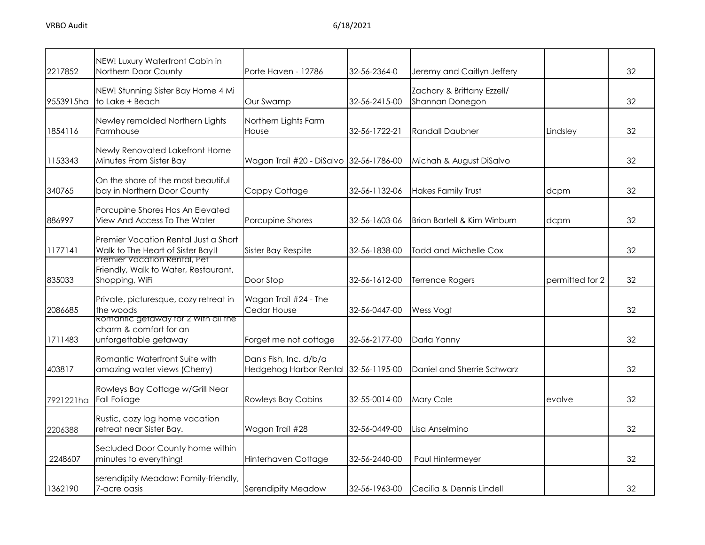| 2217852   | NEW! Luxury Waterfront Cabin in<br>Northern Door County                                       | Porte Haven - 12786                                            | 32-56-2364-0  | Jeremy and Caitlyn Jeffery                    |                 | 32 |
|-----------|-----------------------------------------------------------------------------------------------|----------------------------------------------------------------|---------------|-----------------------------------------------|-----------------|----|
| 9553915ha | NEW! Stunning Sister Bay Home 4 Mi<br>to Lake + Beach                                         | Our Swamp                                                      | 32-56-2415-00 | Zachary & Brittany Ezzell/<br>Shannan Donegon |                 | 32 |
| 1854116   | Newley remolded Northern Lights<br>Farmhouse                                                  | Northern Lights Farm<br>House                                  | 32-56-1722-21 | <b>Randall Daubner</b>                        | Lindsley        | 32 |
| 1153343   | Newly Renovated Lakefront Home<br>Minutes From Sister Bay                                     | Wagon Trail #20 - DiSalvo 32-56-1786-00                        |               | Michah & August DiSalvo                       |                 | 32 |
| 340765    | On the shore of the most beautiful<br>bay in Northern Door County                             | Cappy Cottage                                                  | 32-56-1132-06 | <b>Hakes Family Trust</b>                     | dcpm            | 32 |
| 886997    | Porcupine Shores Has An Elevated<br>View And Access To The Water                              | Porcupine Shores                                               | 32-56-1603-06 | Brian Bartell & Kim Winburn                   | dcpm            | 32 |
| 1177141   | Premier Vacation Rental Just a Short<br>Walk to The Heart of Sister Bay!!                     | Sister Bay Respite                                             | 32-56-1838-00 | Todd and Michelle Cox                         |                 | 32 |
| 835033    | Premier Vacation Rental, Pet<br>Friendly, Walk to Water, Restaurant,<br>Shopping, WiFi        | Door Stop                                                      | 32-56-1612-00 | <b>Terrence Rogers</b>                        | permitted for 2 | 32 |
| 2086685   | Private, picturesque, cozy retreat in<br>the woods                                            | Wagon Trail #24 - The<br>Cedar House                           | 32-56-0447-00 | Wess Vogt                                     |                 | 32 |
| 1711483   | <b>ROMANTIC GETAWAY TOT 2 WITH AIL THE</b><br>charm & comfort for an<br>unforgettable getaway | Forget me not cottage                                          | 32-56-2177-00 | Darla Yanny                                   |                 | 32 |
| 403817    | Romantic Waterfront Suite with<br>amazing water views (Cherry)                                | Dan's Fish, Inc. d/b/a<br>Hedgehog Harbor Rental 32-56-1195-00 |               | Daniel and Sherrie Schwarz                    |                 | 32 |
| 7921221ha | Rowleys Bay Cottage w/Grill Near<br><b>Fall Foliage</b>                                       | <b>Rowleys Bay Cabins</b>                                      | 32-55-0014-00 | Mary Cole                                     | evolve          | 32 |
| 2206388   | Rustic, cozy log home vacation<br>retreat near Sister Bay.                                    | Wagon Trail #28                                                | 32-56-0449-00 | Lisa Anselmino                                |                 | 32 |
| 2248607   | Secluded Door County home within<br>minutes to everything!                                    | Hinterhaven Cottage                                            | 32-56-2440-00 | Paul Hintermeyer                              |                 | 32 |
| 1362190   | serendipity Meadow: Family-friendly,<br>7-acre oasis                                          | Serendipity Meadow                                             | 32-56-1963-00 | Cecilia & Dennis Lindell                      |                 | 32 |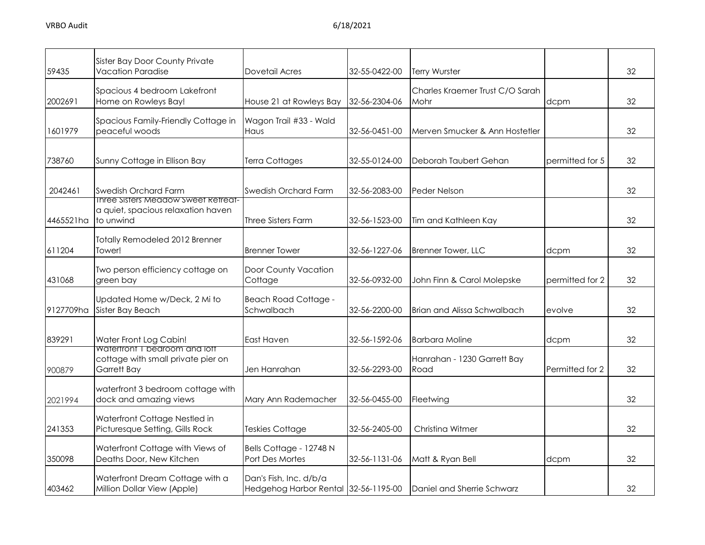| 59435     | <b>Sister Bay Door County Private</b><br><b>Vacation Paradise</b>                  | Dovetail Acres                                                 | 32-55-0422-00 | Terry Wurster                           |                 | 32 |
|-----------|------------------------------------------------------------------------------------|----------------------------------------------------------------|---------------|-----------------------------------------|-----------------|----|
| 2002691   | Spacious 4 bedroom Lakefront<br>Home on Rowleys Bay!                               | House 21 at Rowleys Bay                                        | 32-56-2304-06 | Charles Kraemer Trust C/O Sarah<br>Mohr | dcpm            | 32 |
| 1601979   | Spacious Family-Friendly Cottage in<br>peaceful woods                              | Wagon Trail #33 - Wald<br>Haus                                 | 32-56-0451-00 | Merven Smucker & Ann Hostetler          |                 | 32 |
| 738760    | Sunny Cottage in Ellison Bay                                                       | Terra Cottages                                                 | 32-55-0124-00 | Deborah Taubert Gehan                   | permitted for 5 | 32 |
| 2042461   | <b>Swedish Orchard Farm</b><br>Inree Sisters Meadow Sweet Retreat-                 | Swedish Orchard Farm                                           | 32-56-2083-00 | Peder Nelson                            |                 | 32 |
| 4465521ha | a quiet, spacious relaxation haven<br>to unwind                                    | Three Sisters Farm                                             | 32-56-1523-00 | Tim and Kathleen Kay                    |                 | 32 |
| 611204    | <b>Totally Remodeled 2012 Brenner</b><br>Tower!                                    | <b>Brenner Tower</b>                                           | 32-56-1227-06 | Brenner Tower, LLC                      | dcpm            | 32 |
| 431068    | Two person efficiency cottage on<br>green bay                                      | Door County Vacation<br>Cottage                                | 32-56-0932-00 | John Finn & Carol Molepske              | permitted for 2 | 32 |
| 9127709ha | Updated Home w/Deck, 2 Mi to<br>Sister Bay Beach                                   | <b>Beach Road Cottage -</b><br>Schwalbach                      | 32-56-2200-00 | Brian and Alissa Schwalbach             | evolve          | 32 |
| 839291    | Water Front Log Cabin!                                                             | <b>East Haven</b>                                              | 32-56-1592-06 | <b>Barbara Moline</b>                   | dcpm            | 32 |
| 900879    | Watertront I bedroom and lott<br>cottage with small private pier on<br>Garrett Bay | Jen Hanrahan                                                   | 32-56-2293-00 | Hanrahan - 1230 Garrett Bay<br>Road     | Permitted for 2 | 32 |
| 2021994   | waterfront 3 bedroom cottage with<br>dock and amazing views                        | Mary Ann Rademacher                                            | 32-56-0455-00 | Fleetwing                               |                 | 32 |
| 241353    | Waterfront Cottage Nestled in<br>Picturesque Setting, Gills Rock                   | Teskies Cottage                                                | 32-56-2405-00 | Christing Witmer                        |                 | 32 |
| 350098    | Waterfront Cottage with Views of<br>Deaths Door, New Kitchen                       | Bells Cottage - 12748 N<br>Port Des Mortes                     | 32-56-1131-06 | Matt & Ryan Bell                        | dcpm            | 32 |
| 403462    | Waterfront Dream Cottage with a<br>Million Dollar View (Apple)                     | Dan's Fish, Inc. d/b/a<br>Hedgehog Harbor Rental 32-56-1195-00 |               | Daniel and Sherrie Schwarz              |                 | 32 |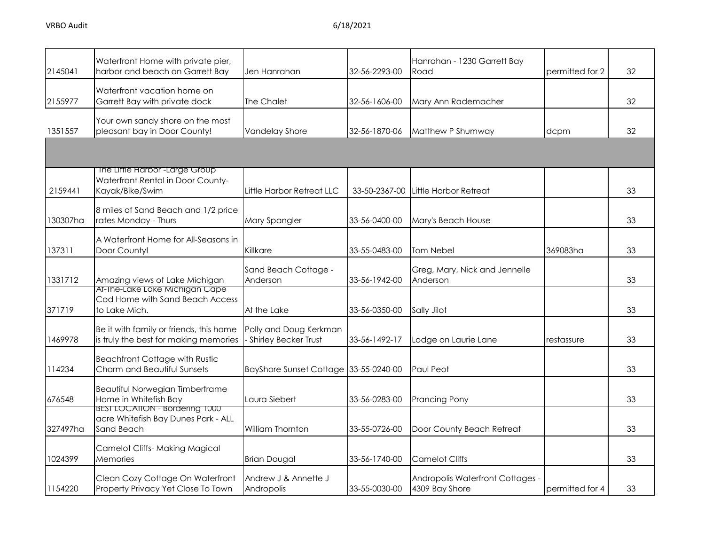| 2145041  | Waterfront Home with private pier,<br>harbor and beach on Garrett Bay                             | Jen Hanrahan                                     | 32-56-2293-00 | Hanrahan - 1230 Garrett Bay<br>Road                | permitted for 2 | 32 |
|----------|---------------------------------------------------------------------------------------------------|--------------------------------------------------|---------------|----------------------------------------------------|-----------------|----|
| 2155977  | Waterfront vacation home on<br>Garrett Bay with private dock                                      | The Chalet                                       | 32-56-1606-00 | Mary Ann Rademacher                                |                 | 32 |
| 1351557  | Your own sandy shore on the most<br>pleasant bay in Door County!                                  | Vandelay Shore                                   | 32-56-1870-06 | Matthew P Shumway                                  | dcpm            | 32 |
|          |                                                                                                   |                                                  |               |                                                    |                 |    |
| 2159441  | The Liffle Harbor <sup>-Large</sup> Group<br>Waterfront Rental in Door County-<br>Kayak/Bike/Swim | Little Harbor Retreat LLC                        | 33-50-2367-00 | Little Harbor Retreat                              |                 | 33 |
| 130307ha | 8 miles of Sand Beach and 1/2 price<br>rates Monday - Thurs                                       | Mary Spangler                                    | 33-56-0400-00 | Mary's Beach House                                 |                 | 33 |
| 137311   | A Waterfront Home for All-Seasons in<br>Door County!                                              | Killkare                                         | 33-55-0483-00 | Tom Nebel                                          | 369083ha        | 33 |
| 1331712  | Amazing views of Lake Michigan                                                                    | Sand Beach Cottage -<br>Anderson                 | 33-56-1942-00 | Greg, Mary, Nick and Jennelle<br>Anderson          |                 | 33 |
| 371719   | Af-The-Lake Lake Michigan Cape<br>Cod Home with Sand Beach Access<br>to Lake Mich.                | At the Lake                                      | 33-56-0350-00 | Sally Jilot                                        |                 | 33 |
| 1469978  | Be it with family or friends, this home<br>is truly the best for making memories                  | Polly and Doug Kerkman<br>- Shirley Becker Trust | 33-56-1492-17 | Lodge on Laurie Lane                               | restassure      | 33 |
| 114234   | <b>Beachfront Cottage with Rustic</b><br>Charm and Beautiful Sunsets                              | BayShore Sunset Cottage 33-55-0240-00            |               | Paul Peot                                          |                 | 33 |
| 676548   | <b>Beautiful Norwegian Timberframe</b><br>Home in Whitefish Bay                                   | Laura Siebert                                    | 33-56-0283-00 | <b>Prancing Pony</b>                               |                 | 33 |
| 327497ha | <b>BEST LOCATION - Bordering TUUU</b><br>acre Whitefish Bay Dunes Park - ALL<br>Sand Beach        | William Thornton                                 | 33-55-0726-00 | Door County Beach Retreat                          |                 | 33 |
| 1024399  | Camelot Cliffs- Making Magical<br>Memories                                                        | <b>Brian Dougal</b>                              | 33-56-1740-00 | <b>Camelot Cliffs</b>                              |                 | 33 |
| 1154220  | Clean Cozy Cottage On Waterfront<br>Property Privacy Yet Close To Town                            | Andrew J & Annette J<br>Andropolis               | 33-55-0030-00 | Andropolis Waterfront Cottages -<br>4309 Bay Shore | permitted for 4 | 33 |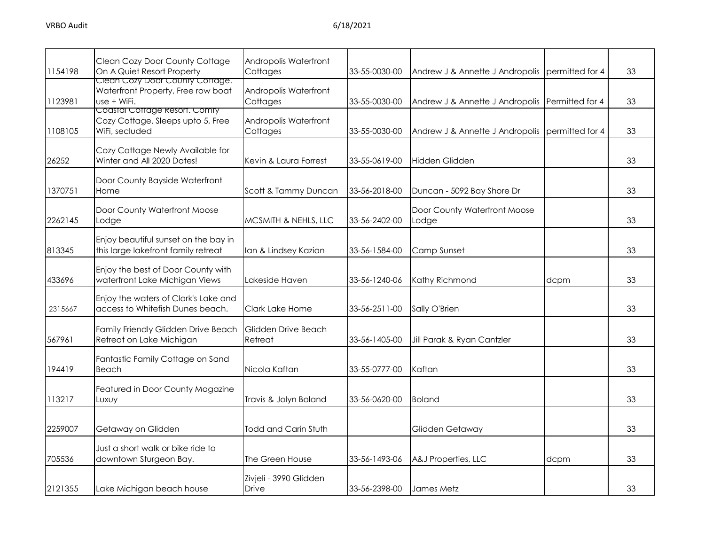| 1154198 | Clean Cozy Door County Cottage<br>On A Quiet Resort Property                         | Andropolis Waterfront<br>Cottages | 33-55-0030-00 | Andrew J & Annette J Andropolis       | permitted for 4 | 33 |
|---------|--------------------------------------------------------------------------------------|-----------------------------------|---------------|---------------------------------------|-----------------|----|
| 1123981 | Clean Cozy Door County Cottage.<br>Waterfront Property, Free row boat<br>use + WiFi. | Andropolis Waterfront<br>Cottages | 33-55-0030-00 | Andrew J & Annette J Andropolis       | Permitted for 4 | 33 |
| 1108105 | Coastal Cottage Resort. Comty<br>Cozy Cottage. Sleeps upto 5, Free<br>WiFi, secluded | Andropolis Waterfront<br>Cottages | 33-55-0030-00 | Andrew J & Annette J Andropolis       | permitted for 4 | 33 |
| 26252   | Cozy Cottage Newly Available for<br>Winter and All 2020 Dates!                       | Kevin & Laura Forrest             | 33-55-0619-00 | <b>Hidden Glidden</b>                 |                 | 33 |
| 1370751 | Door County Bayside Waterfront<br>Home                                               | Scott & Tammy Duncan              | 33-56-2018-00 | Duncan - 5092 Bay Shore Dr            |                 | 33 |
| 2262145 | Door County Waterfront Moose<br>Lodge                                                | MCSMITH & NEHLS, LLC              | 33-56-2402-00 | Door County Waterfront Moose<br>Lodge |                 | 33 |
| 813345  | Enjoy beautiful sunset on the bay in<br>this large lakefront family retreat          | Ian & Lindsey Kazian              | 33-56-1584-00 | Camp Sunset                           |                 | 33 |
| 433696  | Enjoy the best of Door County with<br>waterfront Lake Michigan Views                 | Lakeside Haven                    | 33-56-1240-06 | Kathy Richmond                        | dcpm            | 33 |
| 2315667 | Enjoy the waters of Clark's Lake and<br>access to Whitefish Dunes beach.             | Clark Lake Home                   | 33-56-2511-00 | Sally O'Brien                         |                 | 33 |
| 567961  | Family Friendly Glidden Drive Beach<br>Retreat on Lake Michigan                      | Glidden Drive Beach<br>Retreat    | 33-56-1405-00 | Jill Parak & Ryan Cantzler            |                 | 33 |
| 194419  | Fantastic Family Cottage on Sand<br>Beach                                            | Nicola Kaftan                     | 33-55-0777-00 | Kaftan                                |                 | 33 |
| 113217  | Featured in Door County Magazine<br>Luxuy                                            | Travis & Jolyn Boland             | 33-56-0620-00 | <b>Boland</b>                         |                 | 33 |
| 2259007 | Getaway on Glidden                                                                   | Todd and Carin Stuth              |               | Glidden Getaway                       |                 | 33 |
| 705536  | Just a short walk or bike ride to<br>downtown Sturgeon Bay.                          | The Green House                   | 33-56-1493-06 | A&J Properties, LLC                   | dcpm            | 33 |
| 2121355 | Lake Michigan beach house                                                            | Zivjeli - 3990 Glidden<br>Drive   | 33-56-2398-00 | James Metz                            |                 | 33 |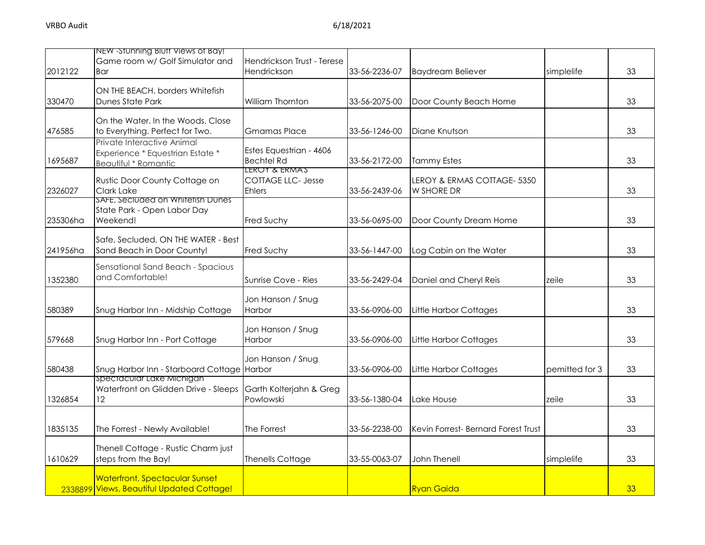|          | NEW - Stunning Blutt Views of Bay!                              |                                           |               |                                     |                |    |
|----------|-----------------------------------------------------------------|-------------------------------------------|---------------|-------------------------------------|----------------|----|
| 2012122  | Game room w/ Golf Simulator and<br>Bar                          | Hendrickson Trust - Terese<br>Hendrickson | 33-56-2236-07 | <b>Baydream Believer</b>            | simplelife     | 33 |
|          |                                                                 |                                           |               |                                     |                |    |
|          | ON THE BEACH. borders Whitefish                                 |                                           |               |                                     |                |    |
| 330470   | <b>Dunes State Park</b>                                         | William Thornton                          | 33-56-2075-00 | Door County Beach Home              |                | 33 |
|          | On the Water, In the Woods, Close                               |                                           |               |                                     |                |    |
| 476585   | to Everything. Perfect for Two.                                 | <b>Gmamas Place</b>                       | 33-56-1246-00 | Diane Knutson                       |                | 33 |
|          | Private Interactive Animal                                      | Estes Equestrian - 4606                   |               |                                     |                |    |
| 1695687  | Experience * Equestrian Estate *<br><b>Beautiful * Romantic</b> | <b>Bechtel Rd</b>                         | 33-56-2172-00 | <b>Tammy Estes</b>                  |                | 33 |
|          |                                                                 | LEROY & ERMA'S                            |               |                                     |                |    |
|          | Rustic Door County Cottage on                                   | <b>COTTAGE LLC- Jesse</b>                 |               | LEROY & ERMAS COTTAGE- 5350         |                |    |
| 2326027  | Clark Lake<br>SAFE, Seciuded on Whitefish Dunes                 | <b>Ehlers</b>                             | 33-56-2439-06 | W SHORE DR                          |                | 33 |
|          | State Park - Open Labor Day                                     |                                           |               |                                     |                |    |
| 235306ha | Weekend!                                                        | Fred Suchy                                | 33-56-0695-00 | Door County Dream Home              |                | 33 |
|          | Safe, Secluded, ON THE WATER - Best                             |                                           |               |                                     |                |    |
| 241956ha | Sand Beach in Door County!                                      | <b>Fred Suchy</b>                         | 33-56-1447-00 | Log Cabin on the Water              |                | 33 |
|          | Sensational Sand Beach - Spacious                               |                                           |               |                                     |                |    |
| 1352380  | and Comfortable!                                                | Sunrise Cove - Ries                       | 33-56-2429-04 | Daniel and Cheryl Reis              | zeile          | 33 |
|          |                                                                 |                                           |               |                                     |                |    |
|          |                                                                 | Jon Hanson / Snug                         |               |                                     |                |    |
| 580389   | Snug Harbor Inn - Midship Cottage                               | Harbor                                    | 33-56-0906-00 | Little Harbor Cottages              |                | 33 |
|          |                                                                 | Jon Hanson / Snug                         |               |                                     |                |    |
| 579668   | Snug Harbor Inn - Port Cottage                                  | Harbor                                    | 33-56-0906-00 | <b>Little Harbor Cottages</b>       |                | 33 |
|          |                                                                 | Jon Hanson / Snug                         |               |                                     |                |    |
| 580438   | Snug Harbor Inn - Starboard Cottage Harbor                      |                                           | 33-56-0906-00 | <b>Little Harbor Cottages</b>       | pemitted for 3 | 33 |
|          | Spectacular Lake Michigan                                       |                                           |               |                                     |                |    |
|          | Waterfront on Glidden Drive - Sleeps                            | Garth Kolterjahn & Greg                   |               |                                     |                |    |
| 1326854  | 12                                                              | Powlowski                                 | 33-56-1380-04 | Lake House                          | zeile          | 33 |
|          |                                                                 |                                           |               |                                     |                |    |
| 1835135  | The Forrest - Newly Available!                                  | The Forrest                               | 33-56-2238-00 | Kevin Forrest- Bernard Forest Trust |                | 33 |
|          | Thenell Cottage - Rustic Charm just                             |                                           |               |                                     |                |    |
| 1610629  | steps from the Bay!                                             | <b>Thenells Cottage</b>                   | 33-55-0063-07 | John Thenell                        | simplelife     | 33 |
|          |                                                                 |                                           |               |                                     |                |    |
|          | <b>Waterfront, Spectacular Sunset</b>                           |                                           |               |                                     |                |    |
|          | 2338899 Views, Beautiful Updated Cottage!                       |                                           |               | <b>Ryan Gaida</b>                   |                | 33 |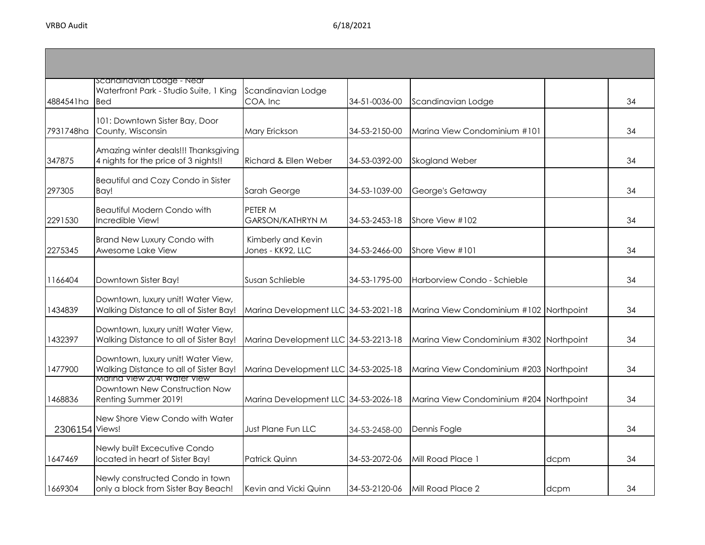| 4884541ha      | Scandinavian Lodge - Near<br>Waterfront Park - Studio Suite, 1 King<br><b>I</b> Bed  | Scandinavian Lodge<br>COA, Inc          | 34-51-0036-00 | Scandinavian Lodge                      |      | 34 |
|----------------|--------------------------------------------------------------------------------------|-----------------------------------------|---------------|-----------------------------------------|------|----|
| 7931748ha      | 101: Downtown Sister Bay, Door<br>County, Wisconsin                                  | Mary Erickson                           | 34-53-2150-00 | Marina View Condominium #101            |      | 34 |
| 347875         | Amazing winter deals!!! Thanksgiving<br>4 nights for the price of 3 nights!!         | Richard & Ellen Weber                   | 34-53-0392-00 | Skogland Weber                          |      | 34 |
| 297305         | Beautiful and Cozy Condo in Sister<br>Bay!                                           | Sarah George                            | 34-53-1039-00 | George's Getaway                        |      | 34 |
| 2291530        | <b>Beautiful Modern Condo with</b><br>Incredible View!                               | PETER M<br><b>GARSON/KATHRYN M</b>      | 34-53-2453-18 | Shore View #102                         |      | 34 |
| 2275345        | <b>Brand New Luxury Condo with</b><br>Awesome Lake View                              | Kimberly and Kevin<br>Jones - KK92, LLC | 34-53-2466-00 | Shore View #101                         |      | 34 |
| 1166404        | Downtown Sister Bay!                                                                 | Susan Schlieble                         | 34-53-1795-00 | Harborview Condo - Schieble             |      | 34 |
| 1434839        | Downtown, luxury unit! Water View,<br>Walking Distance to all of Sister Bay!         | Marina Development LLC 34-53-2021-18    |               | Marina View Condominium #102 Northpoint |      | 34 |
| 1432397        | Downtown, luxury unit! Water View,<br>Walking Distance to all of Sister Bay!         | Marina Development LLC 34-53-2213-18    |               | Marina View Condominium #302 Northpoint |      | 34 |
| 1477900        | Downtown, luxury unit! Water View,<br>Walking Distance to all of Sister Bay!         | Marina Development LLC 34-53-2025-18    |               | Marina View Condominium #203 Northpoint |      | 34 |
| 1468836        | Marina View 204! Water View<br>Downtown New Construction Now<br>Renting Summer 2019! | Marina Development LLC 34-53-2026-18    |               | Marina View Condominium #204 Northpoint |      | 34 |
| 2306154 Views! | New Shore View Condo with Water                                                      | <b>Just Plane Fun LLC</b>               | 34-53-2458-00 | Dennis Fogle                            |      | 34 |
| 1647469        | Newly built Excecutive Condo<br>located in heart of Sister Bay!                      | Patrick Quinn                           | 34-53-2072-06 | Mill Road Place 1                       | dcpm | 34 |
| 1669304        | Newly constructed Condo in town<br>only a block from Sister Bay Beach!               | Kevin and Vicki Quinn                   | 34-53-2120-06 | Mill Road Place 2                       | dcpm | 34 |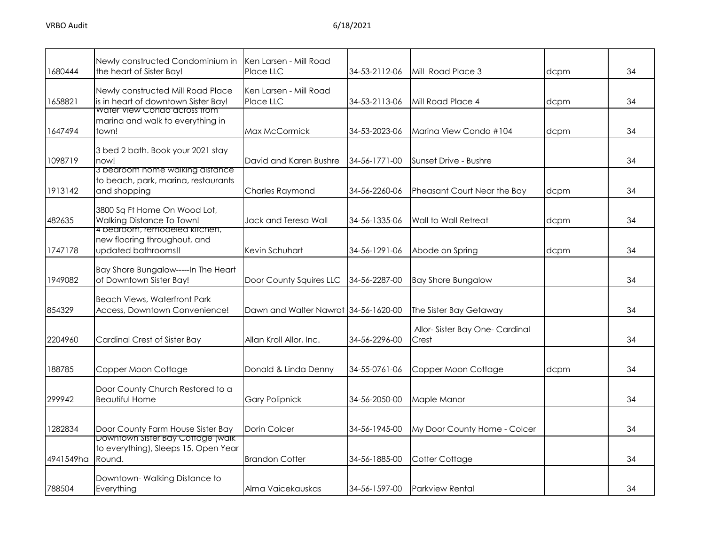| 1680444   | Newly constructed Condominium in<br>the heart of Sister Bay!                           | Ken Larsen - Mill Road<br>Place LLC  | 34-53-2112-06 | Mill Road Place 3                      | dcpm | 34 |
|-----------|----------------------------------------------------------------------------------------|--------------------------------------|---------------|----------------------------------------|------|----|
| 1658821   | Newly constructed Mill Road Place<br>is in heart of downtown Sister Bay!               | Ken Larsen - Mill Road<br>Place LLC  | 34-53-2113-06 | Mill Road Place 4                      | dcpm | 34 |
| 1647494   | water view Condo across from<br>marina and walk to everything in<br>town!              | Max McCormick                        | 34-53-2023-06 | Marina View Condo #104                 | dcpm | 34 |
| 1098719   | 3 bed 2 bath. Book your 2021 stay<br>now!                                              | David and Karen Bushre               | 34-56-1771-00 | Sunset Drive - Bushre                  |      | 34 |
| 1913142   | 3 bedroom home walking distance<br>to beach, park, marina, restaurants<br>and shopping | Charles Raymond                      | 34-56-2260-06 | Pheasant Court Near the Bay            | dcpm | 34 |
| 482635    | 3800 Sq Ft Home On Wood Lot,<br>Walking Distance To Town!                              | Jack and Teresa Wall                 | 34-56-1335-06 | Wall to Wall Retreat                   | dcpm | 34 |
| 1747178   | 4 bearcom, remodeled kitchen,<br>new flooring throughout, and<br>updated bathrooms!!   | Kevin Schuhart                       | 34-56-1291-06 | Abode on Spring                        | dcpm | 34 |
| 1949082   | Bay Shore Bungalow-----In The Heart<br>of Downtown Sister Bay!                         | Door County Squires LLC              | 34-56-2287-00 | <b>Bay Shore Bungalow</b>              |      | 34 |
| 854329    | <b>Beach Views, Waterfront Park</b><br>Access, Downtown Convenience!                   | Dawn and Walter Nawrot 34-56-1620-00 |               | The Sister Bay Getaway                 |      | 34 |
| 2204960   | Cardinal Crest of Sister Bay                                                           | Allan Kroll Allor, Inc.              | 34-56-2296-00 | Allor-Sister Bay One-Cardinal<br>Crest |      | 34 |
| 188785    | Copper Moon Cottage                                                                    | Donald & Linda Denny                 | 34-55-0761-06 | Copper Moon Cottage                    | dcpm | 34 |
| 299942    | Door County Church Restored to a<br><b>Beautiful Home</b>                              | <b>Gary Polipnick</b>                | 34-56-2050-00 | Maple Manor                            |      | 34 |
| 1282834   | Door County Farm House Sister Bay                                                      | Dorin Colcer                         | 34-56-1945-00 | My Door County Home - Colcer           |      | 34 |
| 4941549ha | Downtown Sister Bay Cottage (walk<br>to everything), Sleeps 15, Open Year<br>Round.    | <b>Brandon Cotter</b>                | 34-56-1885-00 | Cotter Cottage                         |      | 34 |
| 788504    | Downtown-Walking Distance to<br>Everything                                             | Alma Vaicekauskas                    | 34-56-1597-00 | <b>Parkview Rental</b>                 |      | 34 |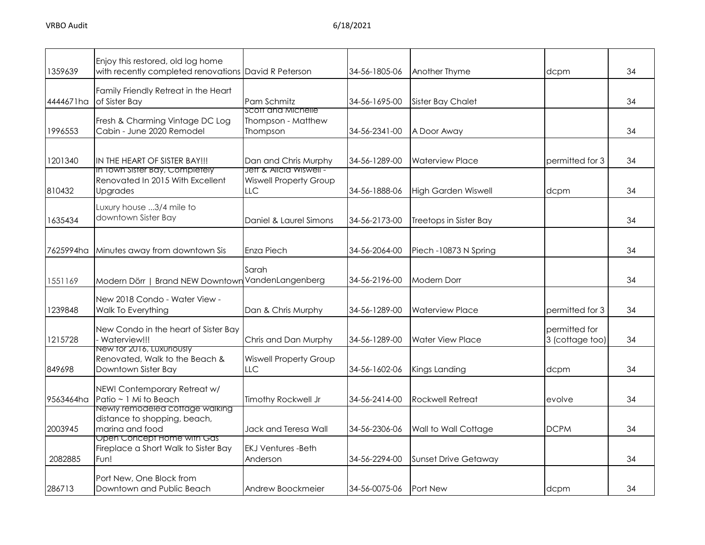| 1359639   | Enjoy this restored, old log home<br>with recently completed renovations David R Peterson |                                                      | 34-56-1805-06 | Another Thyme               | dcpm                             | 34 |
|-----------|-------------------------------------------------------------------------------------------|------------------------------------------------------|---------------|-----------------------------|----------------------------------|----|
| 4444671ha | Family Friendly Retreat in the Heart<br>of Sister Bay                                     | Pam Schmitz                                          | 34-56-1695-00 | Sister Bay Chalet           |                                  | 34 |
| 1996553   | Fresh & Charming Vintage DC Log<br>Cabin - June 2020 Remodel                              | SCOTT AND MICHELLE<br>Thompson - Matthew<br>Thompson | 34-56-2341-00 | A Door Away                 |                                  | 34 |
| 1201340   | IN THE HEART OF SISTER BAY!!!<br>In Town Sister Bay, Completely                           | Dan and Chris Murphy<br>Jett & Alicia Wiswell -      | 34-56-1289-00 | <b>Waterview Place</b>      | permitted for 3                  | 34 |
| 810432    | Renovated In 2015 With Excellent<br>Upgrades                                              | <b>Wiswell Property Group</b><br><b>LLC</b>          | 34-56-1888-06 | <b>High Garden Wiswell</b>  | dcpm                             | 34 |
| 1635434   | Luxury house 3/4 mile to<br>downtown Sister Bay                                           | Daniel & Laurel Simons                               | 34-56-2173-00 | Treetops in Sister Bay      |                                  | 34 |
| 7625994ha | Minutes away from downtown Sis                                                            | Enza Piech                                           | 34-56-2064-00 | Piech -10873 N Spring       |                                  | 34 |
| 1551169   | Modern Dörr   Brand NEW Downtown VandenLangenberg                                         | Sarah                                                | 34-56-2196-00 | <b>Modern Dorr</b>          |                                  | 34 |
| 1239848   | New 2018 Condo - Water View -<br>Walk To Everything                                       | Dan & Chris Murphy                                   | 34-56-1289-00 | <b>Waterview Place</b>      | permitted for 3                  | 34 |
| 1215728   | New Condo in the heart of Sister Bay<br>Waterview!!!                                      | Chris and Dan Murphy                                 | 34-56-1289-00 | <b>Water View Place</b>     | permitted for<br>3 (cottage too) | 34 |
| 849698    | New for 2016, Luxuriously<br>Renovated, Walk to the Beach &<br>Downtown Sister Bay        | <b>Wiswell Property Group</b><br><b>LLC</b>          | 34-56-1602-06 | Kings Landing               | dcpm                             | 34 |
| 9563464ha | NEW! Contemporary Retreat w/<br>Patio ~ 1 Mi to Beach                                     | <b>Timothy Rockwell Jr</b>                           | 34-56-2414-00 | <b>Rockwell Retreat</b>     | evolve                           | 34 |
| 2003945   | Newly remodeled coffage walking<br>distance to shopping, beach,<br>marina and food        | Jack and Teresa Wall                                 | 34-56-2306-06 | Wall to Wall Cottage        | <b>DCPM</b>                      | 34 |
| 2082885   | Open Concept Home with Gas<br>Fireplace a Short Walk to Sister Bay<br>Fun!                | <b>EKJ Ventures -Beth</b><br>Anderson                | 34-56-2294-00 | <b>Sunset Drive Getaway</b> |                                  | 34 |
| 286713    | Port New, One Block from<br>Downtown and Public Beach                                     | Andrew Boockmeier                                    | 34-56-0075-06 | <b>Port New</b>             | dcpm                             | 34 |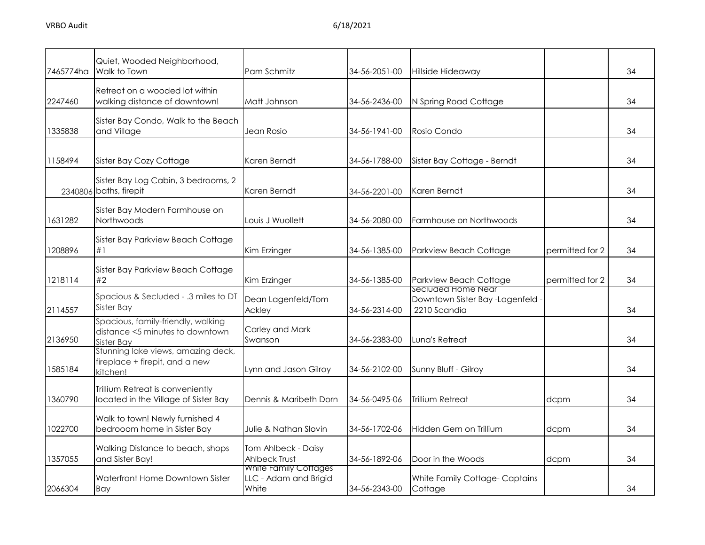| 7465774ha | Quiet, Wooded Neighborhood,<br>Walk to Town                                         | Pam Schmitz                                             | 34-56-2051-00 | Hillside Hideaway                                                    |                 | 34 |
|-----------|-------------------------------------------------------------------------------------|---------------------------------------------------------|---------------|----------------------------------------------------------------------|-----------------|----|
| 2247460   | Retreat on a wooded lot within<br>walking distance of downtown!                     | Matt Johnson                                            | 34-56-2436-00 | N Spring Road Cottage                                                |                 | 34 |
| 1335838   | Sister Bay Condo, Walk to the Beach<br>and Village                                  | Jean Rosio                                              | 34-56-1941-00 | Rosio Condo                                                          |                 | 34 |
| 1158494   | Sister Bay Cozy Cottage                                                             | Karen Berndt                                            | 34-56-1788-00 | Sister Bay Cottage - Berndt                                          |                 | 34 |
|           | Sister Bay Log Cabin, 3 bedrooms, 2<br>2340806 baths, firepit                       | Karen Berndt                                            | 34-56-2201-00 | Karen Berndt                                                         |                 | 34 |
| 1631282   | Sister Bay Modern Farmhouse on<br>Northwoods                                        | Louis J Wuollett                                        | 34-56-2080-00 | Farmhouse on Northwoods                                              |                 | 34 |
| 1208896   | Sister Bay Parkview Beach Cottage<br>#1                                             | Kim Erzinger                                            | 34-56-1385-00 | Parkview Beach Cottage                                               | permitted for 2 | 34 |
| 1218114   | Sister Bay Parkview Beach Cottage<br>#2                                             | Kim Erzinger                                            | 34-56-1385-00 | Parkview Beach Cottage                                               | permitted for 2 | 34 |
| 2114557   | Spacious & Secluded - .3 miles to DT<br>Sister Bay                                  | Dean Lagenfeld/Tom<br>Ackley                            | 34-56-2314-00 | Secluded Home Near<br>Downtown Sister Bay -Lagenfeld<br>2210 Scandia |                 | 34 |
| 2136950   | Spacious, family-friendly, walking<br>distance <5 minutes to downtown<br>Sister Bav | Carley and Mark<br>Swanson                              | 34-56-2383-00 | Luna's Retreat                                                       |                 | 34 |
| 1585184   | Stunning lake views, amazing deck,<br>fireplace + firepit, and a new<br>kitchen!    | Lynn and Jason Gilroy                                   | 34-56-2102-00 | Sunny Bluff - Gilroy                                                 |                 | 34 |
| 1360790   | Trillium Retreat is conveniently<br>located in the Village of Sister Bay            | Dennis & Maribeth Dorn                                  | 34-56-0495-06 | Trillium Retreat                                                     | dcpm            | 34 |
| 1022700   | Walk to town! Newly furnished 4<br>bedrooom home in Sister Bay                      | Julie & Nathan Slovin                                   | 34-56-1702-06 | Hidden Gem on Trillium                                               | dcpm            | 34 |
| 1357055   | Walking Distance to beach, shops<br>and Sister Bay!                                 | Tom Ahlbeck - Daisy<br>Ahlbeck Trust                    | 34-56-1892-06 | Door in the Woods                                                    | dcpm            | 34 |
| 2066304   | Waterfront Home Downtown Sister<br>Bay                                              | White Family Cottages<br>LLC - Adam and Brigid<br>White | 34-56-2343-00 | White Family Cottage-Captains<br>Cottage                             |                 | 34 |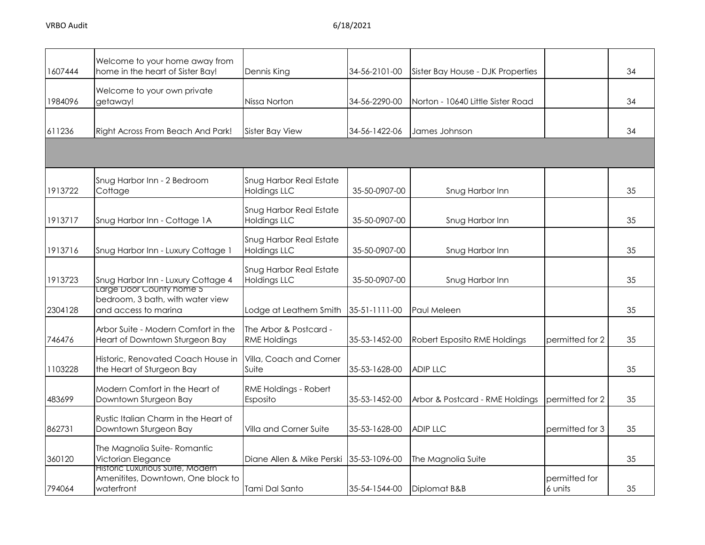| 1607444 | Welcome to your home away from<br>home in the heart of Sister Bay!                   | Dennis King                                           | 34-56-2101-00 | Sister Bay House - DJK Properties |                          | 34 |
|---------|--------------------------------------------------------------------------------------|-------------------------------------------------------|---------------|-----------------------------------|--------------------------|----|
| 1984096 | Welcome to your own private<br>getaway!                                              | Nissa Norton                                          | 34-56-2290-00 | Norton - 10640 Little Sister Road |                          | 34 |
| 611236  | Right Across From Beach And Park!                                                    | Sister Bay View                                       | 34-56-1422-06 | James Johnson                     |                          | 34 |
|         |                                                                                      |                                                       |               |                                   |                          |    |
| 1913722 | Snug Harbor Inn - 2 Bedroom<br>Cottage                                               | Snug Harbor Real Estate<br><b>Holdings LLC</b>        | 35-50-0907-00 | Snug Harbor Inn                   |                          | 35 |
| 1913717 | Snug Harbor Inn - Cottage 1A                                                         | Snug Harbor Real Estate<br><b>Holdings LLC</b>        | 35-50-0907-00 | Snug Harbor Inn                   |                          | 35 |
| 1913716 | Snug Harbor Inn - Luxury Cottage 1                                                   | Snug Harbor Real Estate<br><b>Holdings LLC</b>        | 35-50-0907-00 | Snug Harbor Inn                   |                          | 35 |
| 1913723 | Snug Harbor Inn - Luxury Cottage 4                                                   | <b>Snug Harbor Real Estate</b><br><b>Holdings LLC</b> | 35-50-0907-00 | Snug Harbor Inn                   |                          | 35 |
| 2304128 | Large Door County nome 5<br>bedroom, 3 bath, with water view<br>and access to marina | Lodge at Leathem Smith                                | 35-51-1111-00 | Paul Meleen                       |                          | 35 |
| 746476  | Arbor Suite - Modern Comfort in the<br>Heart of Downtown Sturgeon Bay                | The Arbor & Postcard -<br><b>RME Holdings</b>         | 35-53-1452-00 | Robert Esposito RME Holdings      | permitted for 2          | 35 |
| 1103228 | Historic, Renovated Coach House in<br>the Heart of Sturgeon Bay                      | Villa, Coach and Corner<br>Suite                      | 35-53-1628-00 | <b>ADIP LLC</b>                   |                          | 35 |
| 483699  | Modern Comfort in the Heart of<br>Downtown Sturgeon Bay                              | RME Holdings - Robert<br>Esposito                     | 35-53-1452-00 | Arbor & Postcard - RME Holdings   | permitted for 2          | 35 |
| 862731  | Rustic Italian Charm in the Heart of<br>Downtown Sturgeon Bay                        | Villa and Corner Suite                                | 35-53-1628-00 | <b>ADIP LLC</b>                   | permitted for 3          | 35 |
| 360120  | The Magnolia Suite-Romantic<br>Victorian Elegance                                    | Diane Allen & Mike Perski                             | 35-53-1096-00 | The Magnolia Suite                |                          | 35 |
| 794064  | Historic Luxurious Suite, Modern<br>Amenitites, Downtown, One block to<br>waterfront | Tami Dal Santo                                        | 35-54-1544-00 | Diplomat B&B                      | permitted for<br>6 units | 35 |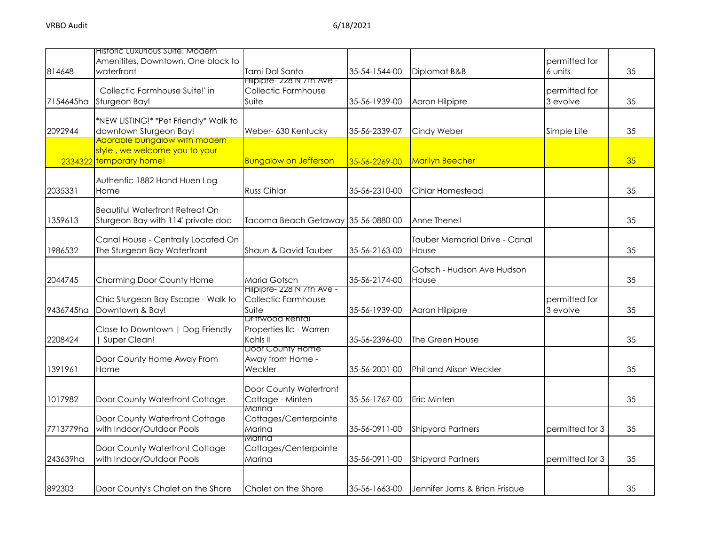| 814648    | Historic Luxurious Suite, Modern<br>Amenitites, Downtown, One block to<br>waterfront             | Tami Dal Santo                                             | 35-54-1544-00 | Diplomat B&B                           | permitted for<br>6 units  | 35 |
|-----------|--------------------------------------------------------------------------------------------------|------------------------------------------------------------|---------------|----------------------------------------|---------------------------|----|
| 7154645ha | 'Collectic Farmhouse Suite!' in<br>Sturgeon Bay!                                                 | Hilpipre- 228 N / th Ave -<br>Collectic Farmhouse<br>Suite | 35-56-1939-00 | Aaron Hilpipre                         | permitted for<br>3 evolve | 35 |
| 2092944   | *NEW LISTING!* *Pet Friendly* Walk to<br>downtown Sturgeon Bay!<br>Adorable bungalow with modern | Weber- 630 Kentucky                                        | 35-56-2339-07 | Cindy Weber                            | Simple Life               | 35 |
|           | style, we welcome you to your<br>2334322 temporary home!                                         | <b>Bungalow on Jefferson</b>                               | 35-56-2269-00 | <b>Marilyn Beecher</b>                 |                           | 35 |
| 2035331   | Authentic 1882 Hand Huen Log<br>Home                                                             | <b>Russ Cihlar</b>                                         | 35-56-2310-00 | Cihlar Homestead                       |                           | 35 |
| 1359613   | <b>Beautiful Waterfront Retreat On</b><br>Sturgeon Bay with 114' private doc                     | Tacoma Beach Getaway 35-56-0880-00                         |               | Anne Thenell                           |                           | 35 |
| 1986532   | Canal House - Centrally Located On<br>The Sturgeon Bay Waterfront                                | Shaun & David Tauber                                       | 35-56-2163-00 | Tauber Memorial Drive - Canal<br>House |                           | 35 |
| 2044745   | Charming Door County Home                                                                        | Maria Gotsch                                               | 35-56-2174-00 | Gotsch - Hudson Ave Hudson<br>House    |                           | 35 |
| 9436745ha | Chic Sturgeon Bay Escape - Walk to<br>Downtown & Bay!                                            | Hilpipre- 228 N /th Ave -<br>Collectic Farmhouse<br>Suite  | 35-56-1939-00 | Aaron Hilpipre                         | permitted for<br>3 evolve | 35 |
| 2208424   | Close to Downtown   Dog Friendly<br>Super Clean!                                                 | Driftwood Renfal<br>Properties IIc - Warren<br>Kohls II    | 35-56-2396-00 | The Green House                        |                           | 35 |
| 1391961   | Door County Home Away From<br>Home                                                               | <b>Door County Home</b><br>Away from Home -<br>Weckler     | 35-56-2001-00 | <b>Phil and Alison Weckler</b>         |                           | 35 |
| 1017982   | Door County Waterfront Cottage                                                                   | Door County Waterfront<br>Cottage - Minten                 | 35-56-1767-00 | Eric Minten                            |                           | 35 |
| 7713779ha | Door County Waterfront Cottage<br>with Indoor/Outdoor Pools                                      | Marina<br>Cottages/Centerpointe<br>Marina                  | 35-56-0911-00 | <b>Shipyard Partners</b>               | permitted for 3           | 35 |
| 243639ha  | Door County Waterfront Cottage<br>with Indoor/Outdoor Pools                                      | Marina<br>Cottages/Centerpointe<br>Marina                  | 35-56-0911-00 | <b>Shipyard Partners</b>               | permitted for 3           | 35 |
| 892303    | Door County's Chalet on the Shore                                                                | Chalet on the Shore                                        | 35-56-1663-00 | Jennifer Jorns & Brian Frisque         |                           | 35 |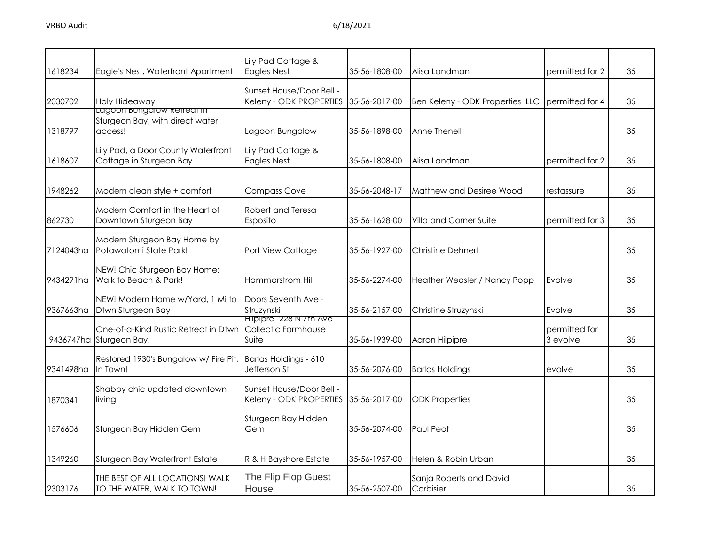| 1618234   | Eagle's Nest, Waterfront Apartment                                       | Lily Pad Cottage &<br><b>Eagles Nest</b>                          | 35-56-1808-00 | Alisa Landman                        | permitted for 2           | 35 |
|-----------|--------------------------------------------------------------------------|-------------------------------------------------------------------|---------------|--------------------------------------|---------------------------|----|
| 2030702   | Holy Hideaway                                                            | Sunset House/Door Bell -<br>Keleny - ODK PROPERTIES 35-56-2017-00 |               | Ben Keleny - ODK Properties LLC      | permitted for 4           | 35 |
| 1318797   | Lagoon bungalow ketreat in<br>Sturgeon Bay, with direct water<br>access! | Lagoon Bungalow                                                   | 35-56-1898-00 | Anne Thenell                         |                           | 35 |
| 1618607   | Lily Pad, a Door County Waterfront<br>Cottage in Sturgeon Bay            | Lily Pad Cottage &<br><b>Eagles Nest</b>                          | 35-56-1808-00 | Alisa Landman                        | permitted for 2           | 35 |
| 1948262   | Modern clean style + comfort                                             | <b>Compass Cove</b>                                               | 35-56-2048-17 | Matthew and Desiree Wood             | restassure                | 35 |
| 862730    | Modern Comfort in the Heart of<br>Downtown Sturgeon Bay                  | Robert and Teresa<br>Esposito                                     | 35-56-1628-00 | Villa and Corner Suite               | permitted for 3           | 35 |
| 7124043ha | Modern Sturgeon Bay Home by<br>Potawatomi State Park!                    | Port View Cottage                                                 | 35-56-1927-00 | <b>Christine Dehnert</b>             |                           | 35 |
| 9434291ha | NEW! Chic Sturgeon Bay Home:<br>Walk to Beach & Park!                    | Hammarstrom Hill                                                  | 35-56-2274-00 | Heather Weasler / Nancy Popp         | Evolve                    | 35 |
| 9367663ha | NEW! Modern Home w/Yard, 1 Mi to<br>Dtwn Sturgeon Bay                    | Doors Seventh Ave -<br>Struzynski                                 | 35-56-2157-00 | Christine Struzynski                 | Evolve                    | 35 |
|           | One-of-a-Kind Rustic Retreat in Dtwn<br>9436747ha Sturgeon Bay!          | Hilpipre- 228 N / In Ave -<br>Collectic Farmhouse<br>Suite        | 35-56-1939-00 | Aaron Hilpipre                       | permitted for<br>3 evolve | 35 |
| 9341498ha | Restored 1930's Bungalow w/ Fire Pit,<br>In Town!                        | Barlas Holdings - 610<br>Jefferson St                             | 35-56-2076-00 | <b>Barlas Holdings</b>               | evolve                    | 35 |
| 1870341   | Shabby chic updated downtown<br>living                                   | Sunset House/Door Bell -<br>Keleny - ODK PROPERTIES               | 35-56-2017-00 | <b>ODK Properties</b>                |                           | 35 |
| 1576606   | Sturgeon Bay Hidden Gem                                                  | Sturgeon Bay Hidden<br>Gem                                        | 35-56-2074-00 | Paul Peot                            |                           | 35 |
| 1349260   | Sturgeon Bay Waterfront Estate                                           | R & H Bayshore Estate                                             | 35-56-1957-00 | Helen & Robin Urban                  |                           | 35 |
| 2303176   | THE BEST OF ALL LOCATIONS! WALK<br>TO THE WATER, WALK TO TOWN!           | The Flip Flop Guest<br>House                                      | 35-56-2507-00 | Sanja Roberts and David<br>Corbisier |                           | 35 |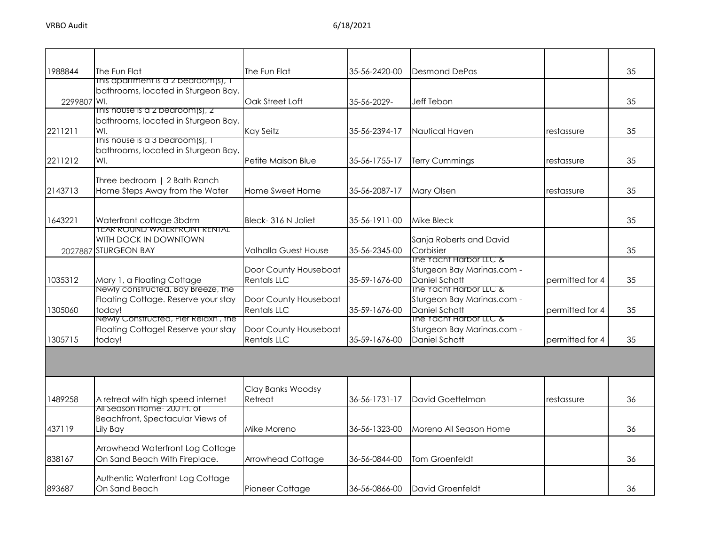| 1988844     | The Fun Flat                                        | The Fun Flat                | 35-56-2420-00 | <b>Desmond DePas</b>       |                 | 35 |
|-------------|-----------------------------------------------------|-----------------------------|---------------|----------------------------|-----------------|----|
|             | This apartment is a 2 bedroom(s), T                 |                             |               |                            |                 |    |
|             | bathrooms, located in Sturgeon Bay,                 |                             |               |                            |                 |    |
| 2299807 WI. | $Inis$ nouse is a z pearoom(s), z                   | Oak Street Loft             | 35-56-2029-   | <b>Jeff Tebon</b>          |                 | 35 |
|             | bathrooms, located in Sturgeon Bay,                 |                             |               |                            |                 |    |
|             |                                                     |                             | 35-56-2394-17 |                            |                 | 35 |
| 2211211     | WI.<br>This house is a 3 bedroom(s), $\overline{1}$ | Kay Seitz                   |               | Nautical Haven             | restassure      |    |
|             | bathrooms, located in Sturgeon Bay,                 |                             |               |                            |                 |    |
| 2211212     | WI.                                                 | Petite Maison Blue          | 35-56-1755-17 | <b>Terry Cummings</b>      | restassure      | 35 |
|             |                                                     |                             |               |                            |                 |    |
|             | Three bedroom   2 Bath Ranch                        |                             |               |                            |                 |    |
| 2143713     | Home Steps Away from the Water                      | Home Sweet Home             | 35-56-2087-17 | <b>Mary Olsen</b>          | restassure      | 35 |
|             |                                                     |                             |               |                            |                 |    |
|             |                                                     |                             |               |                            |                 |    |
| 1643221     | Waterfront cottage 3bdrm                            | Bleck-316 N Joliet          | 35-56-1911-00 | <b>Mike Bleck</b>          |                 | 35 |
|             | <b>TEAR ROUND WATERFRONT RENTAL</b>                 |                             |               |                            |                 |    |
|             | WITH DOCK IN DOWNTOWN                               |                             |               | Sanja Roberts and David    |                 |    |
|             | 2027887 STURGEON BAY                                | <b>Valhalla Guest House</b> | 35-56-2345-00 | Corbisier                  |                 | 35 |
|             |                                                     |                             |               | The Yacht Harbor LLC &     |                 |    |
|             |                                                     | Door County Houseboat       |               | Sturgeon Bay Marinas.com - |                 |    |
| 1035312     | Mary 1, a Floating Cottage                          | <b>Rentals LLC</b>          | 35-59-1676-00 | Daniel Schott              | permitted for 4 | 35 |
|             | Newly constructed, Bay Breeze, the                  |                             |               | The Yacht Harbor LLC &     |                 |    |
|             | Floating Cottage. Reserve your stay                 | Door County Houseboat       |               | Sturgeon Bay Marinas.com - |                 |    |
| 1305060     | today!                                              | <b>Rentals LLC</b>          | 35-59-1676-00 | Daniel Schott              | permitted for 4 | 35 |
|             | Newly Constructed, Pier Relaxn, the                 |                             |               | The Yacht Harbor LLC &     |                 |    |
|             | Floating Cottage! Reserve your stay                 | Door County Houseboat       |               | Sturgeon Bay Marinas.com - |                 |    |
| 1305715     | today!                                              | <b>Rentals LLC</b>          | 35-59-1676-00 | Daniel Schott              | permitted for 4 | 35 |
|             |                                                     |                             |               |                            |                 |    |
|             |                                                     |                             |               |                            |                 |    |
|             |                                                     |                             |               |                            |                 |    |
|             |                                                     |                             |               |                            |                 |    |
|             |                                                     | Clay Banks Woodsy           |               |                            |                 |    |
| 1489258     | A retreat with high speed internet                  | Retreat                     | 36-56-1731-17 | David Goettelman           | restassure      | 36 |
|             | All season Home- 200 FT. OT                         |                             |               |                            |                 |    |
|             | Beachfront, Spectacular Views of                    |                             |               |                            |                 |    |
| 437119      | Lily Bay                                            | Mike Moreno                 | 36-56-1323-00 | Moreno All Season Home     |                 | 36 |
|             |                                                     |                             |               |                            |                 |    |
|             | Arrowhead Waterfront Log Cottage                    |                             |               |                            |                 |    |
| 838167      | On Sand Beach With Fireplace.                       | Arrowhead Cottage           | 36-56-0844-00 | Tom Groenfeldt             |                 | 36 |
|             |                                                     |                             |               |                            |                 |    |
|             | Authentic Waterfront Log Cottage                    |                             |               |                            |                 |    |
| 893687      | On Sand Beach                                       | Pioneer Cottage             | 36-56-0866-00 | David Groenfeldt           |                 | 36 |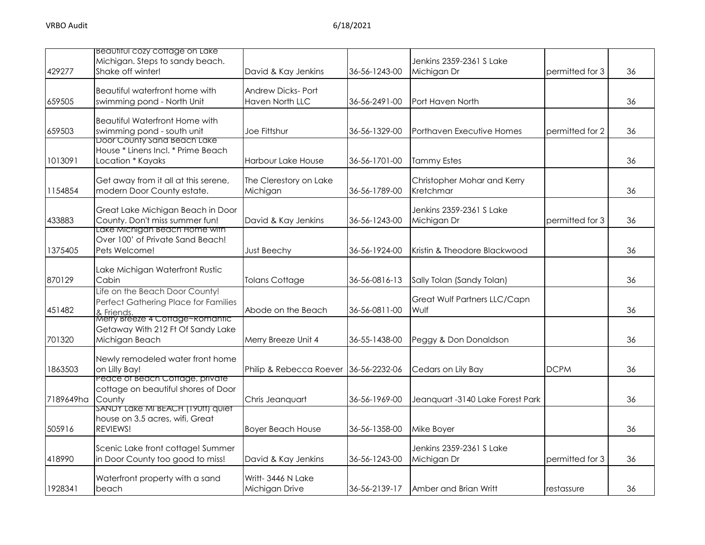| 429277    | Beautiful cozy coffage on Lake<br>Michigan. Steps to sandy beach.<br>Shake off winter!               | David & Kay Jenkins                                | 36-56-1243-00 | Jenkins 2359-2361 S Lake<br>Michigan Dr  | permitted for 3 | 36 |
|-----------|------------------------------------------------------------------------------------------------------|----------------------------------------------------|---------------|------------------------------------------|-----------------|----|
| 659505    | Beautiful waterfront home with<br>swimming pond - North Unit                                         | <b>Andrew Dicks-Port</b><br><b>Haven North LLC</b> | 36-56-2491-00 | Port Haven North                         |                 | 36 |
| 659503    | <b>Beautiful Waterfront Home with</b><br>swimming pond - south unit<br>Door County Sand Beach Lake   | Joe Fittshur                                       | 36-56-1329-00 | Porthaven Executive Homes                | permitted for 2 | 36 |
| 1013091   | House * Linens Incl. * Prime Beach<br>Location * Kayaks                                              | <b>Harbour Lake House</b>                          | 36-56-1701-00 | <b>Tammy Estes</b>                       |                 | 36 |
| 1154854   | Get away from it all at this serene,<br>modern Door County estate.                                   | The Clerestory on Lake<br>Michigan                 | 36-56-1789-00 | Christopher Mohar and Kerry<br>Kretchmar |                 | 36 |
| 433883    | Great Lake Michigan Beach in Door<br>County. Don't miss summer fun!<br>Lake Michigan Beach Home with | David & Kay Jenkins                                | 36-56-1243-00 | Jenkins 2359-2361 S Lake<br>Michigan Dr  | permitted for 3 | 36 |
| 1375405   | Over 100' of Private Sand Beach!<br>Pets Welcome!                                                    | <b>Just Beechy</b>                                 | 36-56-1924-00 | Kristin & Theodore Blackwood             |                 | 36 |
| 870129    | Lake Michigan Waterfront Rustic<br>Cabin                                                             | <b>Tolans Cottage</b>                              | 36-56-0816-13 | Sally Tolan (Sandy Tolan)                |                 | 36 |
| 451482    | Life on the Beach Door County!<br>Perfect Gathering Place for Families<br>& Friends.                 | Abode on the Beach                                 | 36-56-0811-00 | Great Wulf Partners LLC/Capn<br>Wulf     |                 | 36 |
| 701320    | Merry Breeze 4 Corrage~Romantic<br>Getaway With 212 Ft Of Sandy Lake<br>Michigan Beach               | Merry Breeze Unit 4                                | 36-55-1438-00 | Peggy & Don Donaldson                    |                 | 36 |
| 1863503   | Newly remodeled water front home<br>on Lilly Bay!                                                    | Philip & Rebecca Roever 36-56-2232-06              |               | Cedars on Lily Bay                       | <b>DCPM</b>     | 36 |
| 7189649ha | Peace of Beach Coffage, private<br>cottage on beautiful shores of Door<br>County                     | Chris Jeanquart                                    | 36-56-1969-00 | Jeanquart -3140 Lake Forest Park         |                 | 36 |
| 505916    | SAND'T LAKE MI BEACH (1901T) QUIET<br>house on 3.5 acres, wifi, Great<br>REVIEWS!                    | <b>Boyer Beach House</b>                           | 36-56-1358-00 | Mike Boyer                               |                 | 36 |
| 418990    | Scenic Lake front cottage! Summer<br>in Door County too good to miss!                                | David & Kay Jenkins                                | 36-56-1243-00 | Jenkins 2359-2361 S Lake<br>Michigan Dr  | permitted for 3 | 36 |
| 1928341   | Waterfront property with a sand<br>beach                                                             | Writt- 3446 N Lake<br>Michigan Drive               | 36-56-2139-17 | Amber and Brian Writt                    | restassure      | 36 |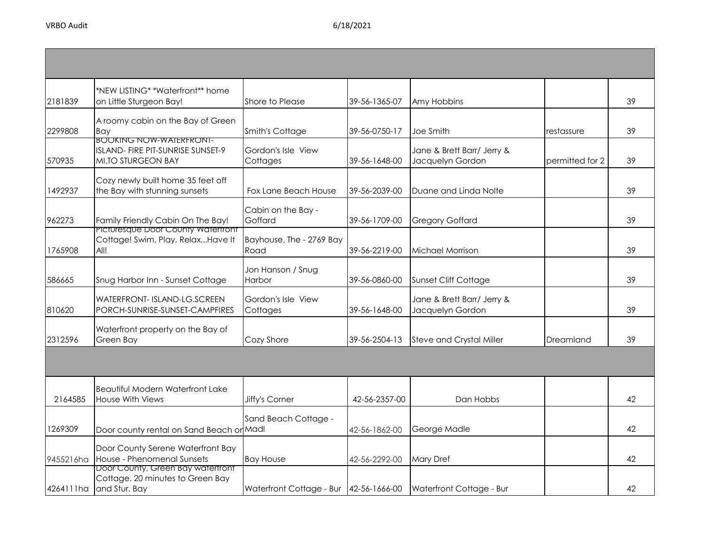| 2181839   | *NEW LISTING* *Waterfront** home<br>on Little Sturgeon Bay!                                      | Shore to Please                        | 39-56-1365-07 | Amy Hobbins                                    |                 | 39 |
|-----------|--------------------------------------------------------------------------------------------------|----------------------------------------|---------------|------------------------------------------------|-----------------|----|
| 2299808   | A roomy cabin on the Bay of Green<br>Bay                                                         | Smith's Cottage                        | 39-56-0750-17 | Joe Smith                                      | restassure      | 39 |
| 570935    | <b>BOOKING NOW-WAIERFRONI-</b><br>ISLAND- FIRE PIT-SUNRISE SUNSET-9<br><b>MI.TO STURGEON BAY</b> | Gordon's Isle View<br>Cottages         | 39-56-1648-00 | Jane & Brett Barr/ Jerry &<br>Jacquelyn Gordon | permitted for 2 | 39 |
| 1492937   | Cozy newly built home 35 feet off<br>the Bay with stunning sunsets                               | Fox Lane Beach House                   | 39-56-2039-00 | Duane and Linda Nolte                          |                 | 39 |
| 962273    | Family Friendly Cabin On The Bay!<br>Picturesque Door County waterrront                          | Cabin on the Bay -<br>Goffard          | 39-56-1709-00 | <b>Gregory Goffard</b>                         |                 | 39 |
| 1765908   | Cottage! Swim, Play, RelaxHave It<br>All!                                                        | Bayhouse, The - 2769 Bay<br>Road       | 39-56-2219-00 | Michael Morrison                               |                 | 39 |
| 586665    | Snug Harbor Inn - Sunset Cottage                                                                 | Jon Hanson / Snug<br>Harbor            | 39-56-0860-00 | <b>Sunset Cliff Cottage</b>                    |                 | 39 |
| 810620    | WATERFRONT- ISLAND-LG.SCREEN<br>PORCH-SUNRISE-SUNSET-CAMPFIRES                                   | Gordon's Isle View<br>Cottages         | 39-56-1648-00 | Jane & Brett Barr/ Jerry &<br>Jacquelyn Gordon |                 | 39 |
| 2312596   | Waterfront property on the Bay of<br>Green Bay                                                   | Cozy Shore                             | 39-56-2504-13 | <b>Steve and Crystal Miller</b>                | Dreamland       | 39 |
|           |                                                                                                  |                                        |               |                                                |                 |    |
| 2164585   | <b>Beautiful Modern Waterfront Lake</b><br><b>House With Views</b>                               | Jiffy's Corner                         | 42-56-2357-00 | Dan Hobbs                                      |                 | 42 |
| 1269309   | Door county rental on Sand Beach or Madl                                                         | Sand Beach Cottage -                   | 42-56-1862-00 | George Madle                                   |                 | 42 |
| 9455216ha | Door County Serene Waterfront Bay<br>House - Phenomenal Sunsets                                  | <b>Bay House</b>                       | 42-56-2292-00 | <b>Mary Dref</b>                               |                 | 42 |
|           | Door County, Green Bay watertront<br>Cottage. 20 minutes to Green Bay<br>4264111ha and Stur. Bay | Waterfront Cottage - Bur 42-56-1666-00 |               | Waterfront Cottage - Bur                       |                 | 42 |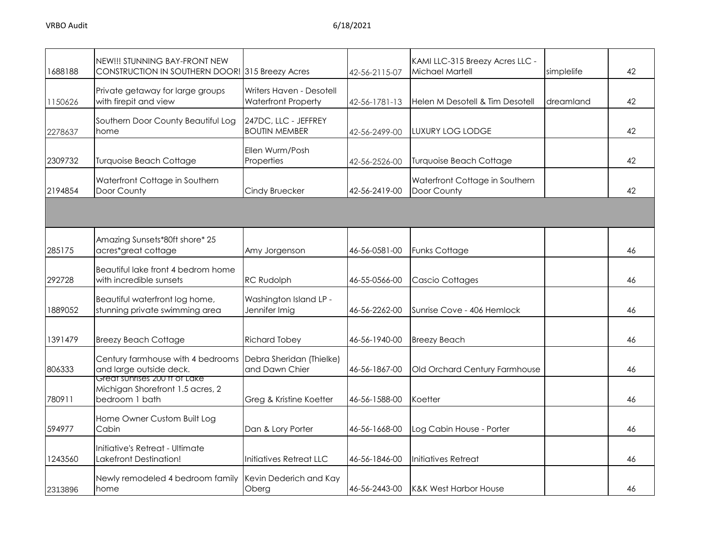| 1688188 | NEW!!! STUNNING BAY-FRONT NEW<br>CONSTRUCTION IN SOUTHERN DOOR! 315 Breezy Acres    |                                                        | 42-56-2115-07 | KAMI LLC-315 Breezy Acres LLC -<br>Michael Martell | simplelife | 42 |
|---------|-------------------------------------------------------------------------------------|--------------------------------------------------------|---------------|----------------------------------------------------|------------|----|
| 1150626 | Private getaway for large groups<br>with firepit and view                           | Writers Haven - Desotell<br><b>Waterfront Property</b> | 42-56-1781-13 | Helen M Desotell & Tim Desotell                    | dreamland  | 42 |
| 2278637 | Southern Door County Beautiful Log<br>home                                          | 247DC, LLC - JEFFREY<br><b>BOUTIN MEMBER</b>           | 42-56-2499-00 | LUXURY LOG LODGE                                   |            | 42 |
| 2309732 | <b>Turquoise Beach Cottage</b>                                                      | Ellen Wurm/Posh<br>Properties                          | 42-56-2526-00 | <b>Turquoise Beach Cottage</b>                     |            | 42 |
| 2194854 | Waterfront Cottage in Southern<br>Door County                                       | Cindy Bruecker                                         | 42-56-2419-00 | Waterfront Cottage in Southern<br>Door County      |            | 42 |
|         |                                                                                     |                                                        |               |                                                    |            |    |
| 285175  | Amazing Sunsets*80ft shore* 25<br>acres*great cottage                               | Amy Jorgenson                                          | 46-56-0581-00 | <b>Funks Cottage</b>                               |            | 46 |
| 292728  | Beautiful lake front 4 bedrom home<br>with incredible sunsets                       | <b>RC Rudolph</b>                                      | 46-55-0566-00 | Cascio Cottages                                    |            | 46 |
| 1889052 | Beautiful waterfront log home,<br>stunning private swimming area                    | Washington Island LP -<br>Jennifer Imig                | 46-56-2262-00 | Sunrise Cove - 406 Hemlock                         |            | 46 |
| 1391479 | <b>Breezy Beach Cottage</b>                                                         | <b>Richard Tobey</b>                                   | 46-56-1940-00 | <b>Breezy Beach</b>                                |            | 46 |
| 806333  | Century farmhouse with 4 bedrooms<br>and large outside deck.                        | Debra Sheridan (Thielke)<br>and Dawn Chier             | 46-56-1867-00 | Old Orchard Century Farmhouse                      |            | 46 |
| 780911  | Great sunrises 200 ft of Lake<br>Michigan Shorefront 1.5 acres, 2<br>bedroom 1 bath | Greg & Kristine Koetter                                | 46-56-1588-00 | Koetter                                            |            | 46 |
| 594977  | Home Owner Custom Built Log<br>Cabin                                                | Dan & Lory Porter                                      | 46-56-1668-00 | Log Cabin House - Porter                           |            | 46 |
| 1243560 | Initiative's Retreat - Ultimate<br><b>Lakefront Destination!</b>                    | Initiatives Retreat LLC                                | 46-56-1846-00 | Initiatives Retreat                                |            | 46 |
| 2313896 | Newly remodeled 4 bedroom family<br>home                                            | Kevin Dederich and Kay<br>Oberg                        | 46-56-2443-00 | <b>K&amp;K West Harbor House</b>                   |            | 46 |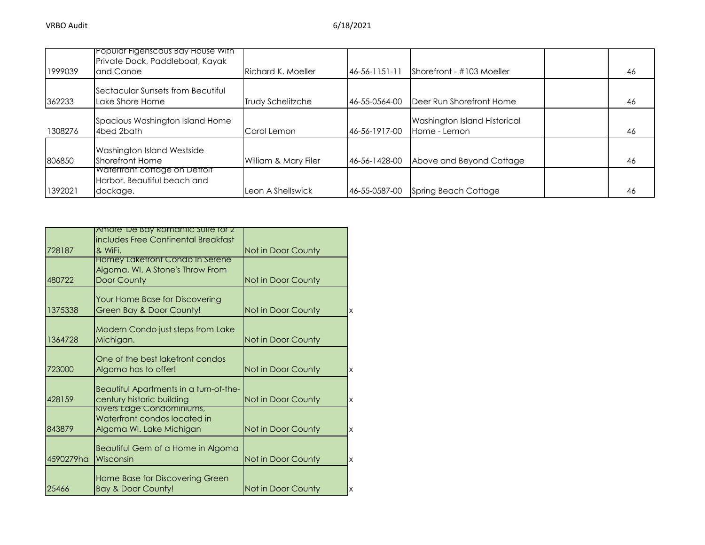| 1999039 | <b>Propular Figenscaus Bay House With</b><br>Private Dock, Paddleboat, Kayak<br>and Canoe | Richard K. Moeller   | $46 - 56 - 1151 - 11$ | Shorefront - #103 Moeller                    | 46 |
|---------|-------------------------------------------------------------------------------------------|----------------------|-----------------------|----------------------------------------------|----|
| 362233  | Sectacular Sunsets from Becutiful<br>Lake Shore Home                                      | Trudy Schelitzche    | 46-55-0564-00         | Deer Run Shorefront Home                     | 46 |
| 1308276 | Spacious Washington Island Home<br>4bed 2bath                                             | Carol Lemon          | 46-56-1917-00         | Washington Island Historical<br>Home - Lemon | 46 |
| 806850  | Washington Island Westside<br><b>Shorefront Home</b>                                      | William & Mary Filer | 46-56-1428-00         | Above and Beyond Cottage                     | 46 |
| 1392021 | Waterfront cottage on Detroit<br>Harbor, Beautiful beach and<br>dockage.                  | Leon A Shellswick    | 46-55-0587-00         | <b>Spring Beach Cottage</b>                  | 46 |

|           | Amore De Bay Romantic Suite for Z                                   |                    |   |
|-----------|---------------------------------------------------------------------|--------------------|---|
|           | includes Free Continental Breakfast                                 |                    |   |
| 728187    | & WiFi.                                                             | Not in Door County |   |
|           | Homey Lakefront Condo In Serene<br>Algoma, WI, A Stone's Throw From |                    |   |
| 480722    | Door County                                                         | Not in Door County |   |
|           |                                                                     |                    |   |
|           | Your Home Base for Discovering                                      |                    |   |
| 1375338   | Green Bay & Door County!                                            | Not in Door County | х |
|           |                                                                     |                    |   |
| 1364728   | Modern Condo just steps from Lake<br>Michigan.                      | Not in Door County |   |
|           |                                                                     |                    |   |
|           | One of the best lakefront condos                                    |                    |   |
| 723000    | Algoma has to offer!                                                | Not in Door County | X |
|           |                                                                     |                    |   |
| 428159    | Beautiful Apartments in a turn-of-the-<br>century historic building | Not in Door County |   |
|           | kivers Edge Condominiums,                                           |                    | X |
|           | Waterfront condos located in                                        |                    |   |
| 843879    | Algoma WI. Lake Michigan                                            | Not in Door County | X |
|           |                                                                     |                    |   |
| 4590279ha | Beautiful Gem of a Home in Algoma<br>Wisconsin                      |                    |   |
|           |                                                                     | Not in Door County | X |
|           | Home Base for Discovering Green                                     |                    |   |
| 25466     | <b>Bay &amp; Door County!</b>                                       | Not in Door County | X |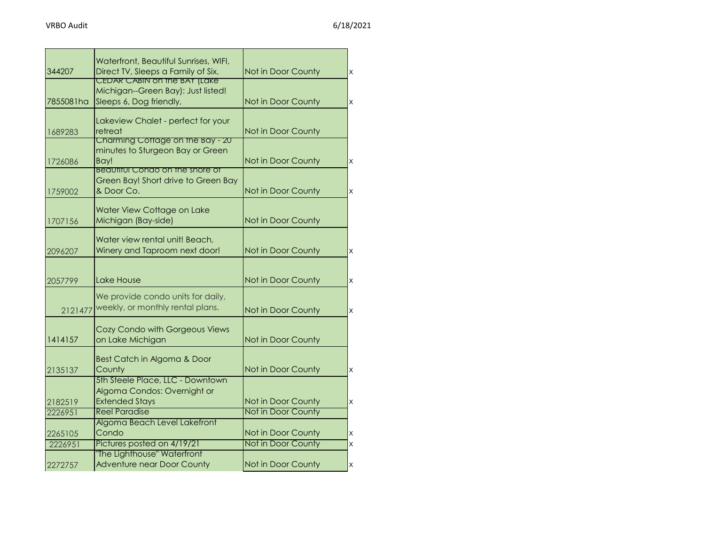|           | Waterfront, Beautiful Sunrises, WIFI,                                     |                           |                         |
|-----------|---------------------------------------------------------------------------|---------------------------|-------------------------|
| 344207    | Direct TV, Sleeps a Family of Six.<br><b>CEDAR CABIN ON THE BAY (LAKE</b> | Not in Door County        | $\overline{\mathsf{x}}$ |
|           | Michigan--Green Bay): Just listed!                                        |                           |                         |
| 7855081ha | Sleeps 6, Dog friendly,                                                   | Not in Door County        | $\times$                |
|           |                                                                           |                           |                         |
|           | Lakeview Chalet - perfect for your                                        |                           |                         |
| 1689283   | retreat                                                                   | Not in Door County        |                         |
|           | Charming Cottage on the Bay - 20                                          |                           |                         |
|           | minutes to Sturgeon Bay or Green                                          |                           |                         |
| 1726086   | Bay!                                                                      | Not in Door County        | $\times$                |
|           | Beautitul Condo on the shore of                                           |                           |                         |
|           | Green Bay! Short drive to Green Bay                                       |                           |                         |
| 1759002   | & Door Co.                                                                | Not in Door County        | $\overline{\mathsf{x}}$ |
|           | Water View Cottage on Lake                                                |                           |                         |
| 1707156   | Michigan (Bay-side)                                                       | Not in Door County        |                         |
|           |                                                                           |                           |                         |
|           | Water view rental unit! Beach,                                            |                           |                         |
| 2096207   | Winery and Taproom next door!                                             | Not in Door County        | $\times$                |
|           |                                                                           |                           |                         |
|           |                                                                           |                           |                         |
| 2057799   | Lake House                                                                | Not in Door County        | $\overline{\mathsf{x}}$ |
|           | We provide condo units for daily,                                         |                           |                         |
|           | weekly, or monthly rental plans.                                          |                           |                         |
| 2121477   |                                                                           | Not in Door County        | $\times$                |
|           | Cozy Condo with Gorgeous Views                                            |                           |                         |
| 1414157   | on Lake Michigan                                                          | Not in Door County        |                         |
|           |                                                                           |                           |                         |
|           | Best Catch in Algoma & Door                                               |                           |                         |
| 2135137   | County                                                                    | Not in Door County        | $\overline{\mathsf{x}}$ |
|           | 5th Steele Place, LLC - Downtown                                          |                           |                         |
|           | Algoma Condos: Overnight or                                               |                           |                         |
| 2182519   | <b>Extended Stays</b>                                                     | Not in Door County        | $\times$                |
| 2226951   | <b>Reel Paradise</b>                                                      | <b>Not in Door County</b> |                         |
|           | Algoma Beach Level Lakefront                                              |                           |                         |
| 2265105   | Condo                                                                     | Not in Door County        | X                       |
| 2226951   | Pictures posted on 4/19/21                                                | Not in Door County        | X                       |
|           | The Lighthouse" Waterfront                                                |                           |                         |
| 2272757   | <b>Adventure near Door County</b>                                         | Not in Door County        | $\times$                |